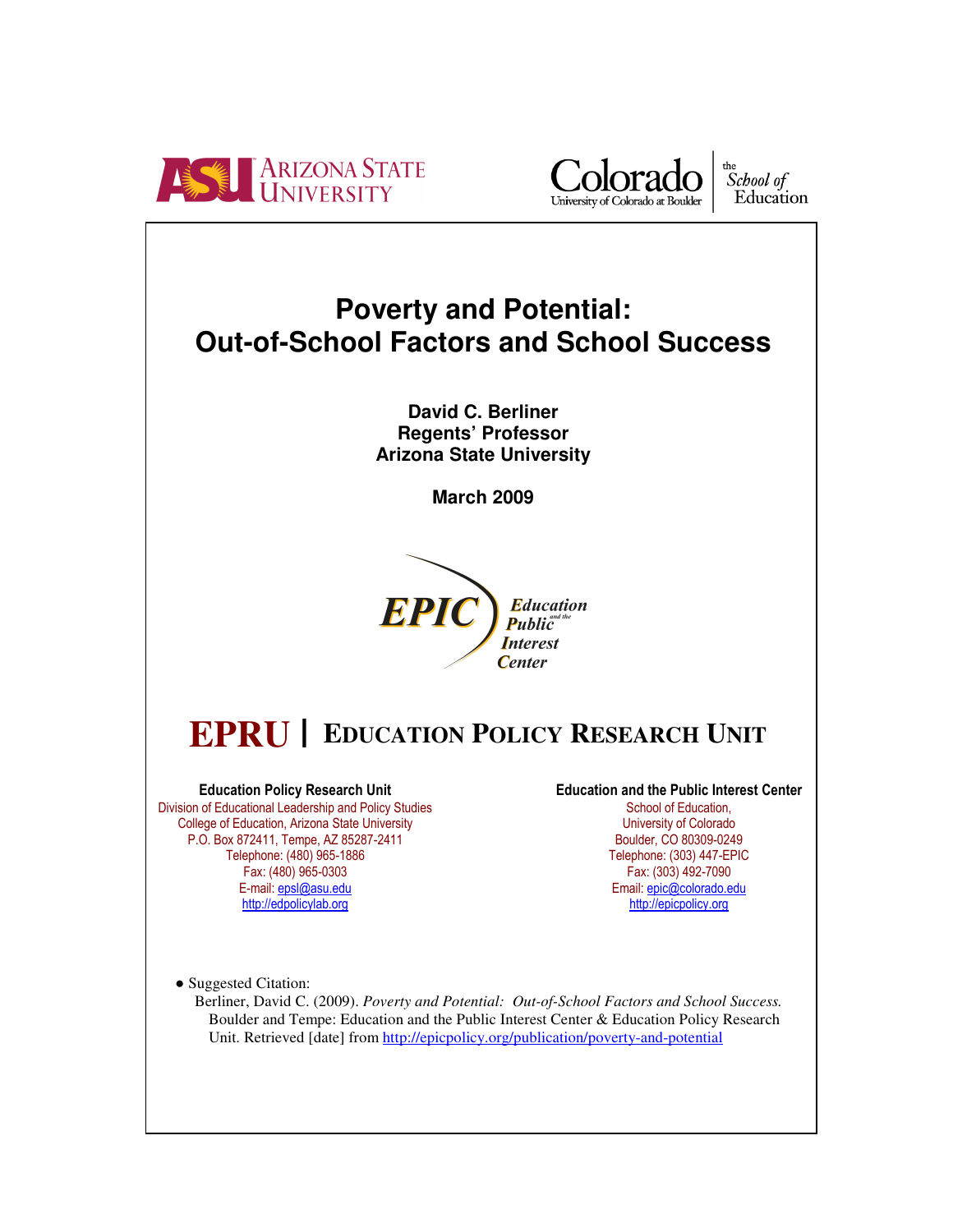



# School of Education

# **Poverty and Potential: Out-of-School Factors and School Success**

**David C. Berliner Regents' Professor Arizona State University** 

**March 2009** 



# **EDUCATION POLICY RESEARCH UNIT EPRU |**

Education Policy Research Unit

Division of Educational Leadership and Policy Studies College of Education, Arizona State University P.O. Box 872411, Tempe, AZ 85287-2411 Telephone: (480) 965-1886 Fax: (480) 965-0303 E-mail: epsl@asu.edu http://edpolicylab.org

Education and the Public Interest Center

School of Education. University of Colorado Boulder, CO 80309-0249 Telephone: (303) 447-EPIC Fax: (303) 492-7090 Email: epic@colorado.edu http://epicpolicy.org

● Suggested Citation:

 Berliner, David C. (2009). *Poverty and Potential: Out-of-School Factors and School Success.* Boulder and Tempe: Education and the Public Interest Center & Education Policy Research Unit. Retrieved [date] from http://epicpolicy.org/publication/poverty-and-potential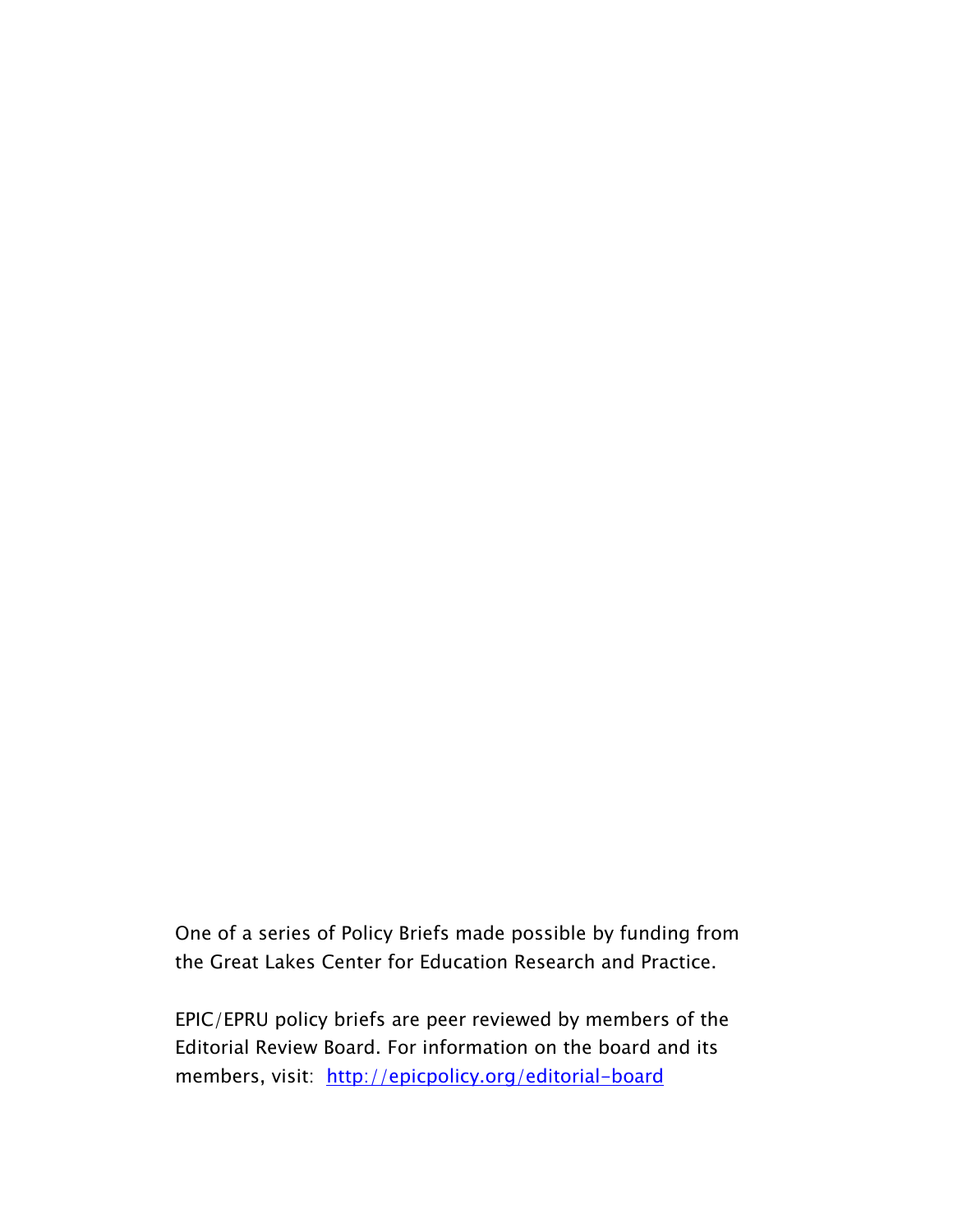One of a series of Policy Briefs made possible by funding from the Great Lakes Center for Education Research and Practice.

EPIC/EPRU policy briefs are peer reviewed by members of the Editorial Review Board. For information on the board and its members, visit: http://epicpolicy.org/editorial-board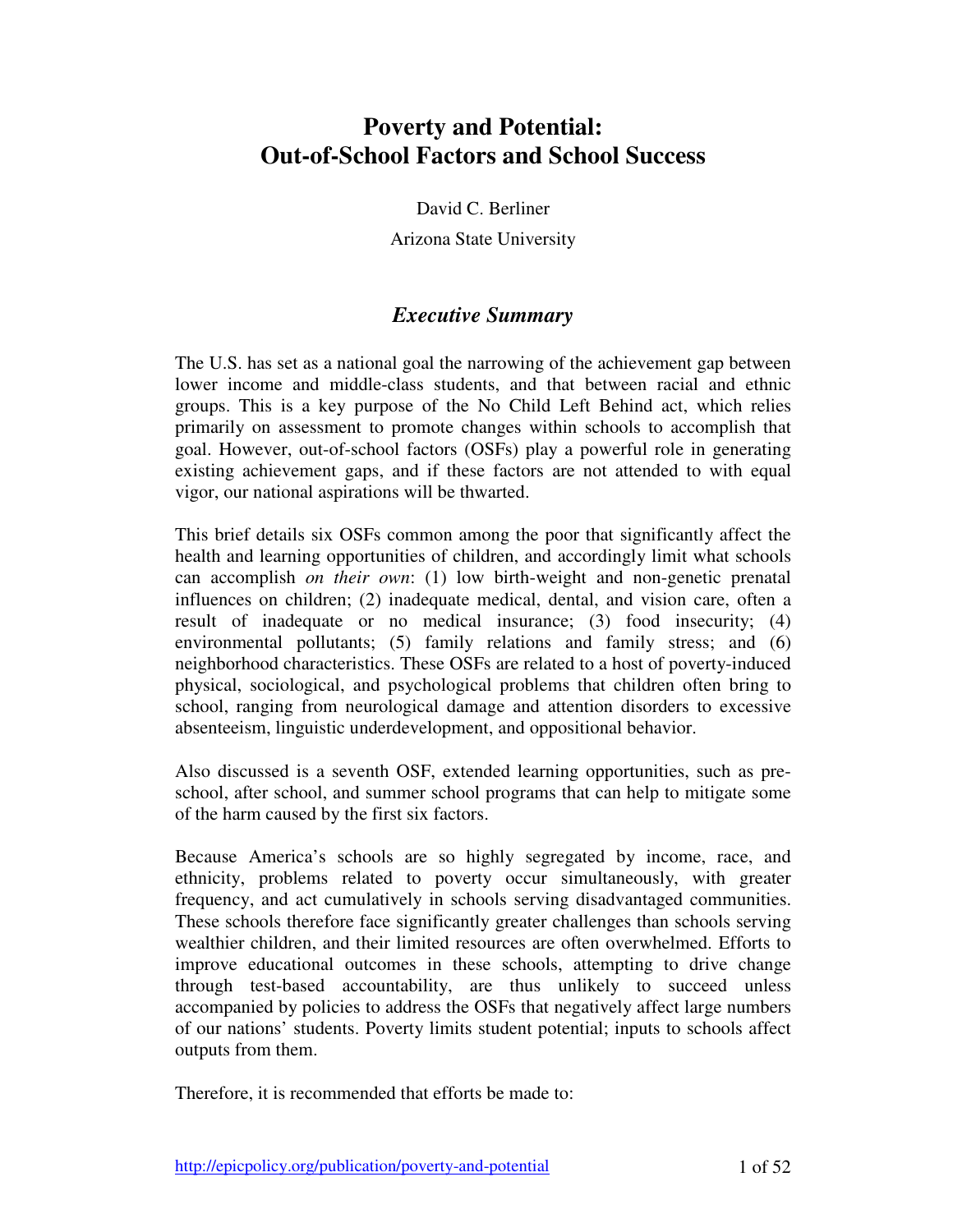# **Poverty and Potential: Out-of-School Factors and School Success**

David C. Berliner

Arizona State University

# *Executive Summary*

The U.S. has set as a national goal the narrowing of the achievement gap between lower income and middle-class students, and that between racial and ethnic groups. This is a key purpose of the No Child Left Behind act, which relies primarily on assessment to promote changes within schools to accomplish that goal. However, out-of-school factors (OSFs) play a powerful role in generating existing achievement gaps, and if these factors are not attended to with equal vigor, our national aspirations will be thwarted.

This brief details six OSFs common among the poor that significantly affect the health and learning opportunities of children, and accordingly limit what schools can accomplish *on their own*: (1) low birth-weight and non-genetic prenatal influences on children; (2) inadequate medical, dental, and vision care, often a result of inadequate or no medical insurance; (3) food insecurity; (4) environmental pollutants; (5) family relations and family stress; and (6) neighborhood characteristics. These OSFs are related to a host of poverty-induced physical, sociological, and psychological problems that children often bring to school, ranging from neurological damage and attention disorders to excessive absenteeism, linguistic underdevelopment, and oppositional behavior.

Also discussed is a seventh OSF, extended learning opportunities, such as preschool, after school, and summer school programs that can help to mitigate some of the harm caused by the first six factors.

Because America's schools are so highly segregated by income, race, and ethnicity, problems related to poverty occur simultaneously, with greater frequency, and act cumulatively in schools serving disadvantaged communities. These schools therefore face significantly greater challenges than schools serving wealthier children, and their limited resources are often overwhelmed. Efforts to improve educational outcomes in these schools, attempting to drive change through test-based accountability, are thus unlikely to succeed unless accompanied by policies to address the OSFs that negatively affect large numbers of our nations' students. Poverty limits student potential; inputs to schools affect outputs from them.

Therefore, it is recommended that efforts be made to: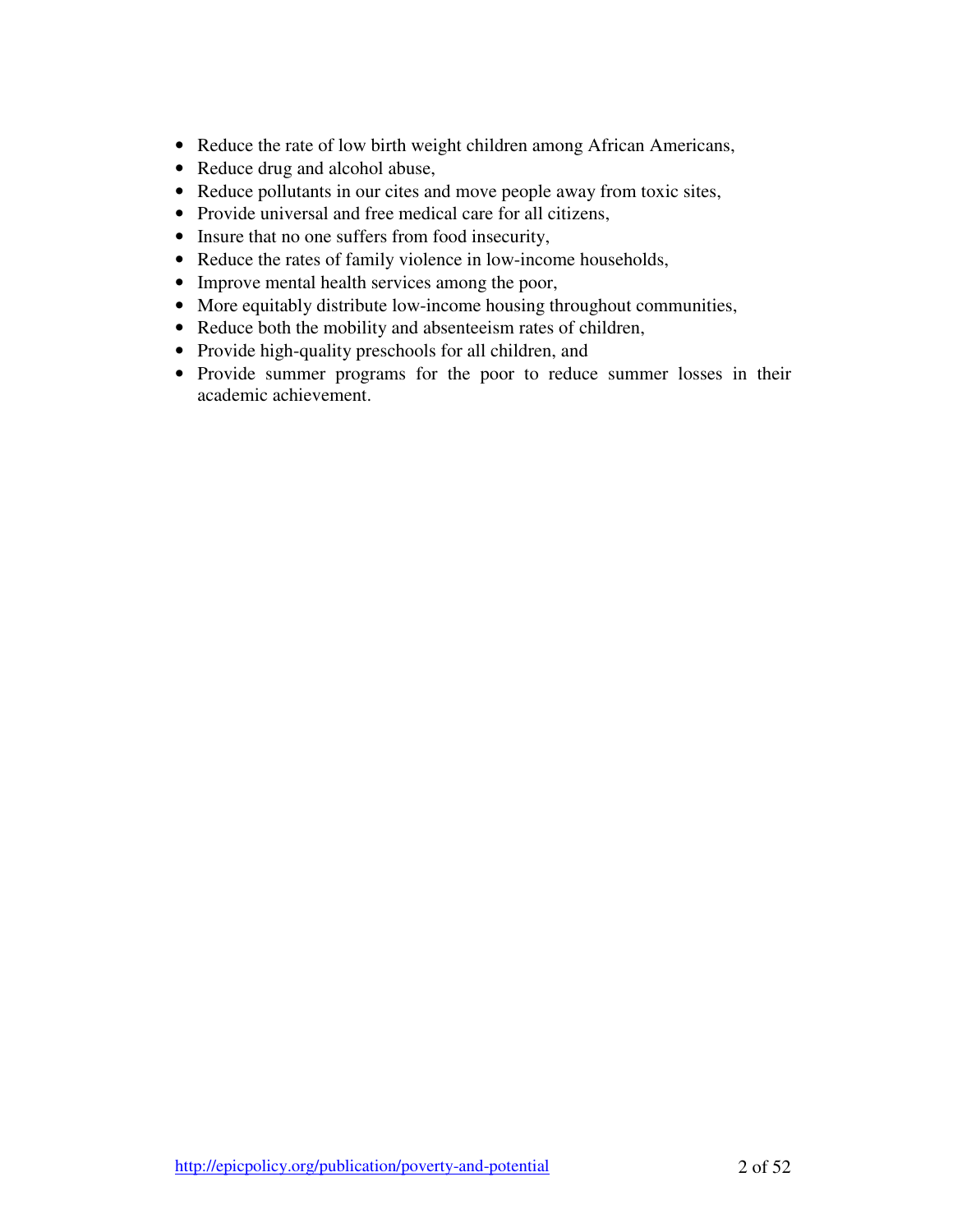- Reduce the rate of low birth weight children among African Americans,
- Reduce drug and alcohol abuse,
- Reduce pollutants in our cites and move people away from toxic sites,
- Provide universal and free medical care for all citizens,
- Insure that no one suffers from food insecurity,
- Reduce the rates of family violence in low-income households,
- Improve mental health services among the poor,
- More equitably distribute low-income housing throughout communities,
- Reduce both the mobility and absenteeism rates of children,
- Provide high-quality preschools for all children, and
- Provide summer programs for the poor to reduce summer losses in their academic achievement.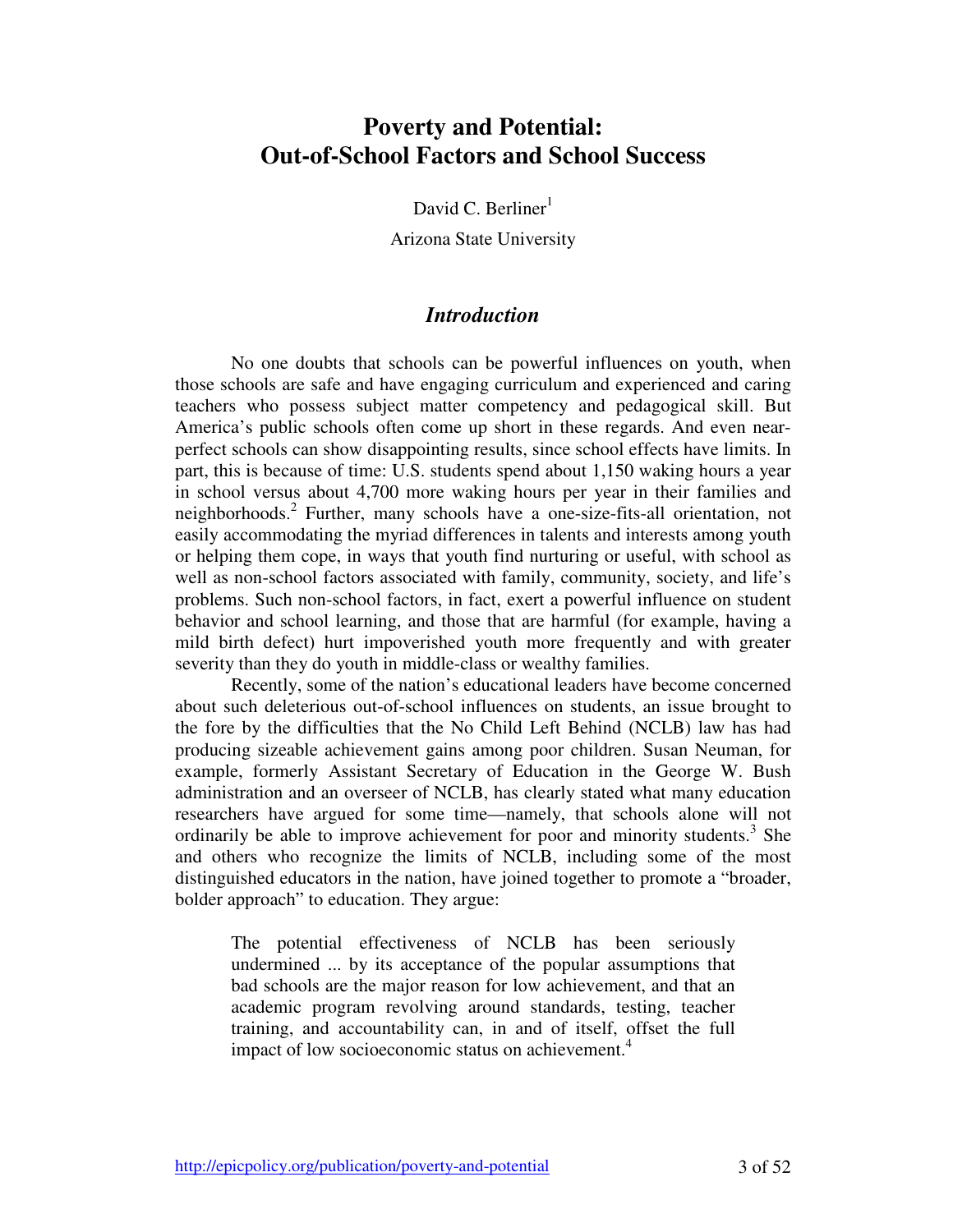# **Poverty and Potential: Out-of-School Factors and School Success**

David C. Berliner $<sup>1</sup>$ </sup>

Arizona State University

# *Introduction*

No one doubts that schools can be powerful influences on youth, when those schools are safe and have engaging curriculum and experienced and caring teachers who possess subject matter competency and pedagogical skill. But America's public schools often come up short in these regards. And even nearperfect schools can show disappointing results, since school effects have limits. In part, this is because of time: U.S. students spend about 1,150 waking hours a year in school versus about 4,700 more waking hours per year in their families and neighborhoods.<sup>2</sup> Further, many schools have a one-size-fits-all orientation, not easily accommodating the myriad differences in talents and interests among youth or helping them cope, in ways that youth find nurturing or useful, with school as well as non-school factors associated with family, community, society, and life's problems. Such non-school factors, in fact, exert a powerful influence on student behavior and school learning, and those that are harmful (for example, having a mild birth defect) hurt impoverished youth more frequently and with greater severity than they do youth in middle-class or wealthy families.

Recently, some of the nation's educational leaders have become concerned about such deleterious out-of-school influences on students, an issue brought to the fore by the difficulties that the No Child Left Behind (NCLB) law has had producing sizeable achievement gains among poor children. Susan Neuman, for example, formerly Assistant Secretary of Education in the George W. Bush administration and an overseer of NCLB, has clearly stated what many education researchers have argued for some time—namely, that schools alone will not ordinarily be able to improve achievement for poor and minority students.<sup>3</sup> She and others who recognize the limits of NCLB, including some of the most distinguished educators in the nation, have joined together to promote a "broader, bolder approach" to education. They argue:

The potential effectiveness of NCLB has been seriously undermined ... by its acceptance of the popular assumptions that bad schools are the major reason for low achievement, and that an academic program revolving around standards, testing, teacher training, and accountability can, in and of itself, offset the full impact of low socioeconomic status on achievement.<sup>4</sup>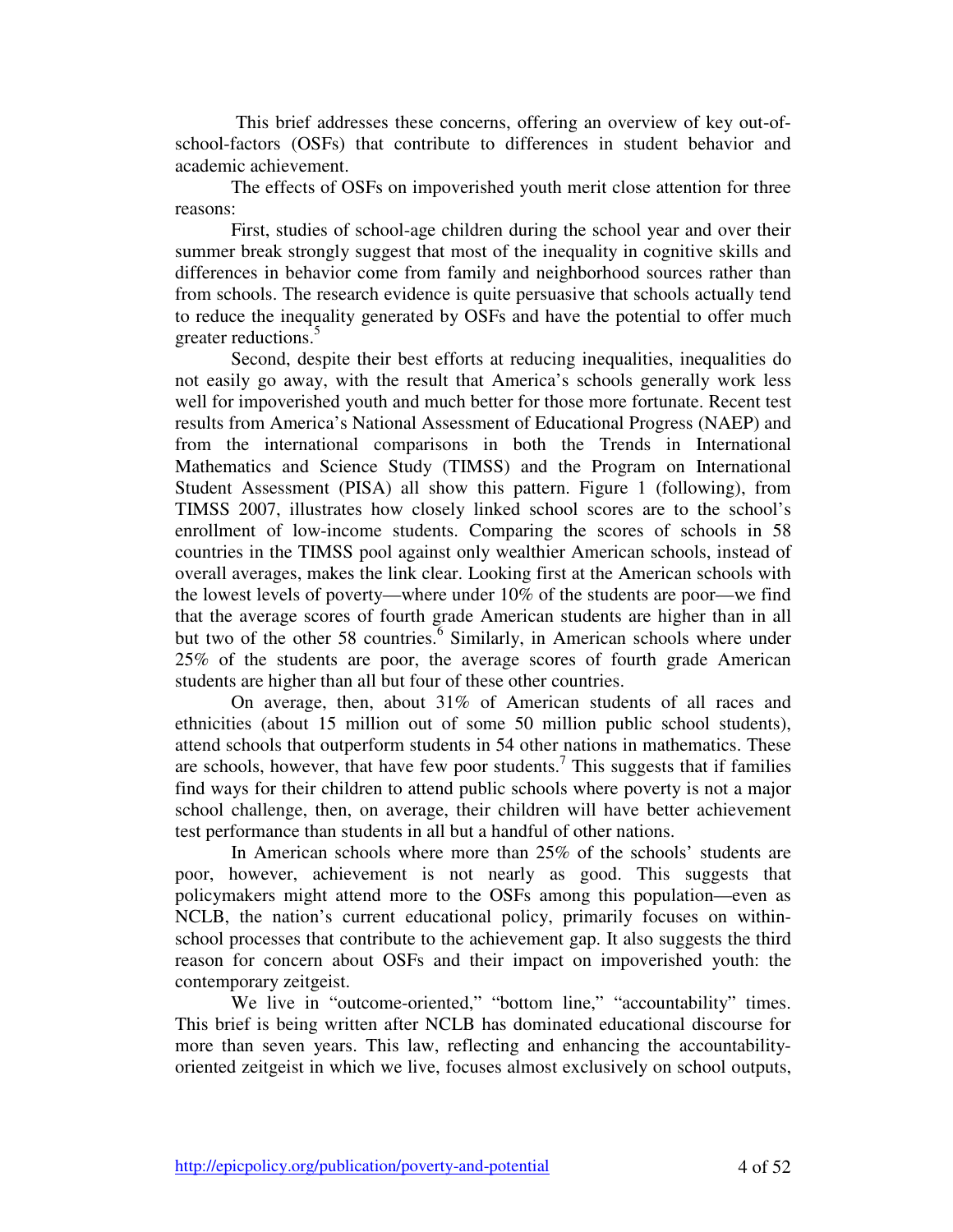This brief addresses these concerns, offering an overview of key out-ofschool-factors (OSFs) that contribute to differences in student behavior and academic achievement.

The effects of OSFs on impoverished youth merit close attention for three reasons:

First, studies of school-age children during the school year and over their summer break strongly suggest that most of the inequality in cognitive skills and differences in behavior come from family and neighborhood sources rather than from schools. The research evidence is quite persuasive that schools actually tend to reduce the inequality generated by OSFs and have the potential to offer much greater reductions.<sup>5</sup>

Second, despite their best efforts at reducing inequalities, inequalities do not easily go away, with the result that America's schools generally work less well for impoverished youth and much better for those more fortunate. Recent test results from America's National Assessment of Educational Progress (NAEP) and from the international comparisons in both the Trends in International Mathematics and Science Study (TIMSS) and the Program on International Student Assessment (PISA) all show this pattern. Figure 1 (following), from TIMSS 2007, illustrates how closely linked school scores are to the school's enrollment of low-income students. Comparing the scores of schools in 58 countries in the TIMSS pool against only wealthier American schools, instead of overall averages, makes the link clear. Looking first at the American schools with the lowest levels of poverty—where under 10% of the students are poor—we find that the average scores of fourth grade American students are higher than in all but two of the other 58 countries.<sup>6</sup> Similarly, in American schools where under 25% of the students are poor, the average scores of fourth grade American students are higher than all but four of these other countries.

On average, then, about 31% of American students of all races and ethnicities (about 15 million out of some 50 million public school students), attend schools that outperform students in 54 other nations in mathematics. These are schools, however, that have few poor students.<sup>7</sup> This suggests that if families find ways for their children to attend public schools where poverty is not a major school challenge, then, on average, their children will have better achievement test performance than students in all but a handful of other nations.

In American schools where more than 25% of the schools' students are poor, however, achievement is not nearly as good. This suggests that policymakers might attend more to the OSFs among this population—even as NCLB, the nation's current educational policy, primarily focuses on withinschool processes that contribute to the achievement gap. It also suggests the third reason for concern about OSFs and their impact on impoverished youth: the contemporary zeitgeist.

We live in "outcome-oriented," "bottom line," "accountability" times. This brief is being written after NCLB has dominated educational discourse for more than seven years. This law, reflecting and enhancing the accountabilityoriented zeitgeist in which we live, focuses almost exclusively on school outputs,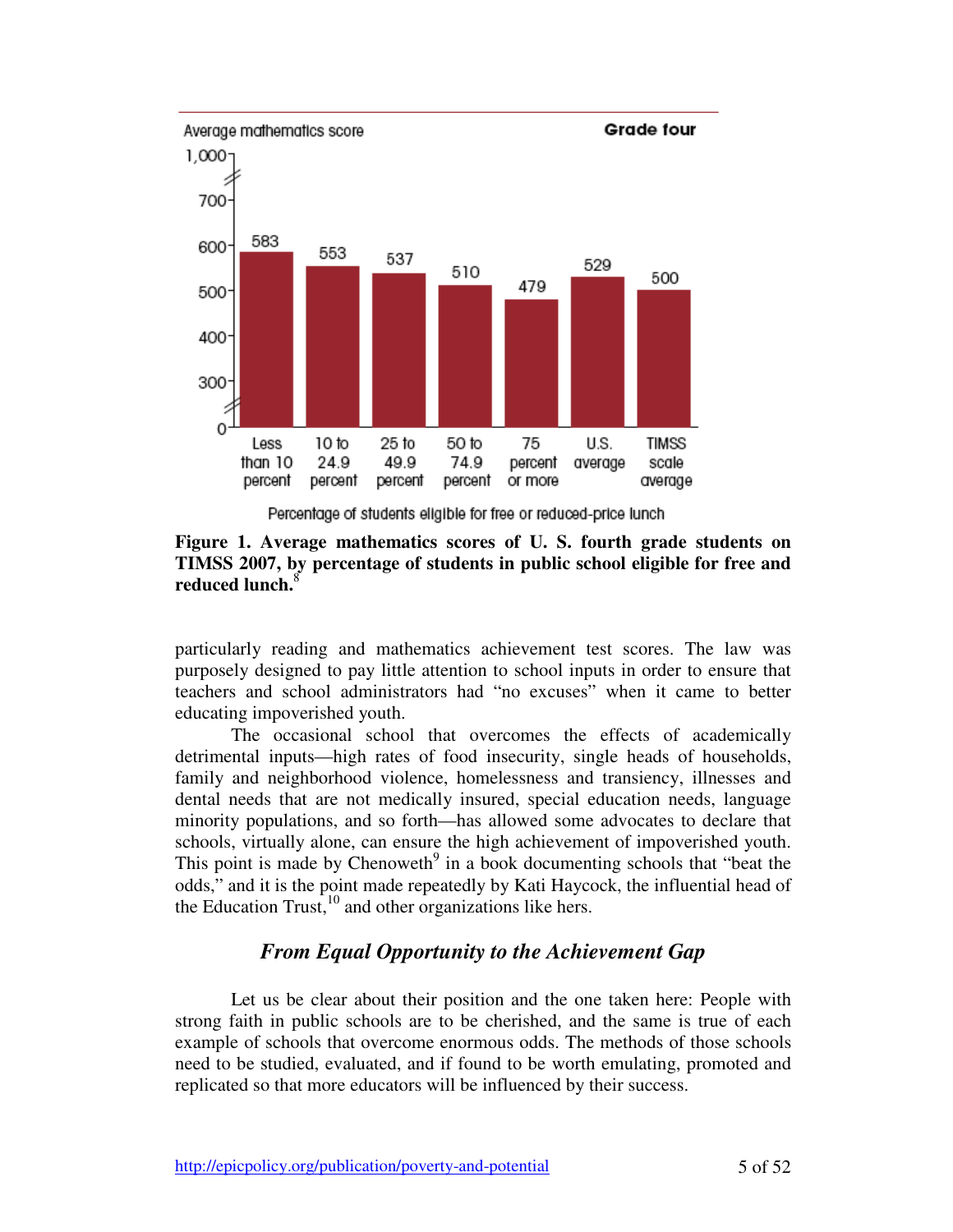

**Figure 1. Average mathematics scores of U. S. fourth grade students on** 

**TIMSS 2007, by percentage of students in public school eligible for free and reduced lunch.**<sup>8</sup>

particularly reading and mathematics achievement test scores. The law was purposely designed to pay little attention to school inputs in order to ensure that teachers and school administrators had "no excuses" when it came to better educating impoverished youth.

The occasional school that overcomes the effects of academically detrimental inputs—high rates of food insecurity, single heads of households, family and neighborhood violence, homelessness and transiency, illnesses and dental needs that are not medically insured, special education needs, language minority populations, and so forth—has allowed some advocates to declare that schools, virtually alone, can ensure the high achievement of impoverished youth. This point is made by Chenoweth $9$  in a book documenting schools that "beat the odds," and it is the point made repeatedly by Kati Haycock, the influential head of the Education Trust, $10$  and other organizations like hers.

# *From Equal Opportunity to the Achievement Gap*

Let us be clear about their position and the one taken here: People with strong faith in public schools are to be cherished, and the same is true of each example of schools that overcome enormous odds. The methods of those schools need to be studied, evaluated, and if found to be worth emulating, promoted and replicated so that more educators will be influenced by their success.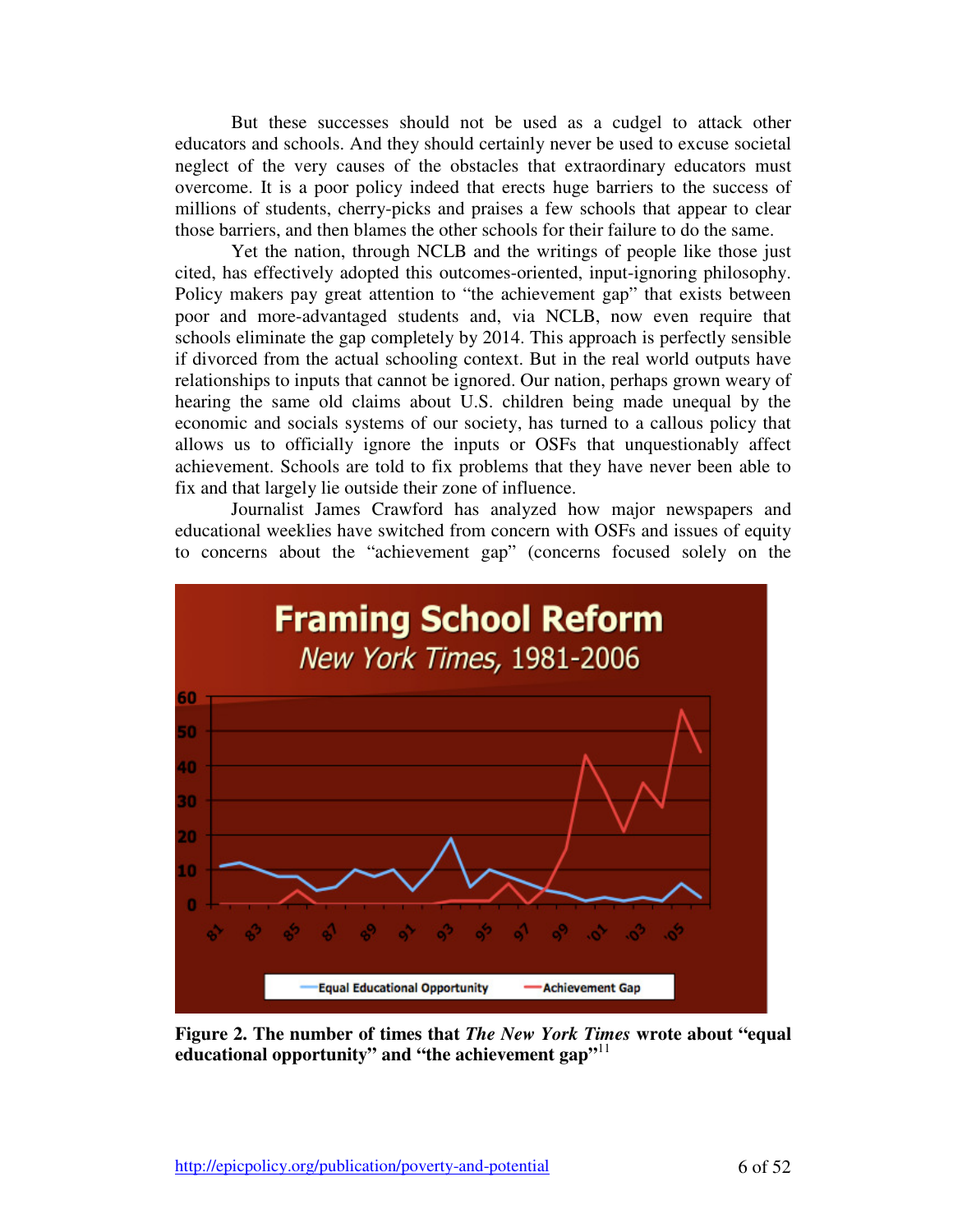But these successes should not be used as a cudgel to attack other educators and schools. And they should certainly never be used to excuse societal neglect of the very causes of the obstacles that extraordinary educators must overcome. It is a poor policy indeed that erects huge barriers to the success of millions of students, cherry-picks and praises a few schools that appear to clear those barriers, and then blames the other schools for their failure to do the same.

Yet the nation, through NCLB and the writings of people like those just cited, has effectively adopted this outcomes-oriented, input-ignoring philosophy. Policy makers pay great attention to "the achievement gap" that exists between poor and more-advantaged students and, via NCLB, now even require that schools eliminate the gap completely by 2014. This approach is perfectly sensible if divorced from the actual schooling context. But in the real world outputs have relationships to inputs that cannot be ignored. Our nation, perhaps grown weary of hearing the same old claims about U.S. children being made unequal by the economic and socials systems of our society, has turned to a callous policy that allows us to officially ignore the inputs or OSFs that unquestionably affect achievement. Schools are told to fix problems that they have never been able to fix and that largely lie outside their zone of influence.

Journalist James Crawford has analyzed how major newspapers and educational weeklies have switched from concern with OSFs and issues of equity to concerns about the "achievement gap" (concerns focused solely on the



**Figure 2. The number of times that** *The New York Times* **wrote about "equal educational opportunity" and "the achievement gap"**<sup>11</sup>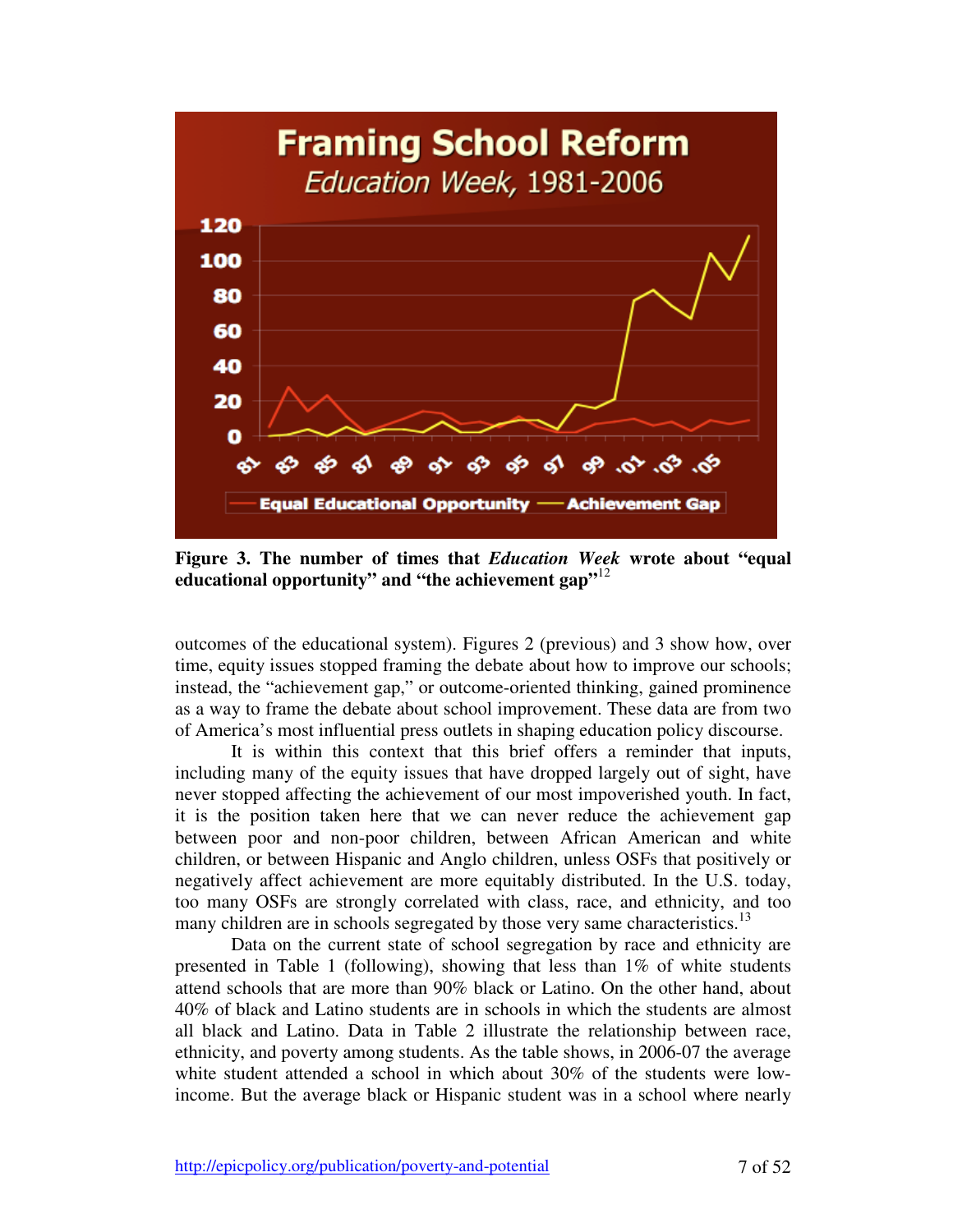

**Figure 3. The number of times that** *Education Week* **wrote about "equal educational opportunity" and "the achievement gap"**<sup>12</sup>

outcomes of the educational system). Figures 2 (previous) and 3 show how, over time, equity issues stopped framing the debate about how to improve our schools; instead, the "achievement gap," or outcome-oriented thinking, gained prominence as a way to frame the debate about school improvement. These data are from two of America's most influential press outlets in shaping education policy discourse.

It is within this context that this brief offers a reminder that inputs, including many of the equity issues that have dropped largely out of sight, have never stopped affecting the achievement of our most impoverished youth. In fact, it is the position taken here that we can never reduce the achievement gap between poor and non-poor children, between African American and white children, or between Hispanic and Anglo children, unless OSFs that positively or negatively affect achievement are more equitably distributed. In the U.S. today, too many OSFs are strongly correlated with class, race, and ethnicity, and too many children are in schools segregated by those very same characteristics.<sup>13</sup>

Data on the current state of school segregation by race and ethnicity are presented in Table 1 (following), showing that less than 1% of white students attend schools that are more than 90% black or Latino. On the other hand, about 40% of black and Latino students are in schools in which the students are almost all black and Latino. Data in Table 2 illustrate the relationship between race, ethnicity, and poverty among students. As the table shows, in 2006-07 the average white student attended a school in which about 30% of the students were lowincome. But the average black or Hispanic student was in a school where nearly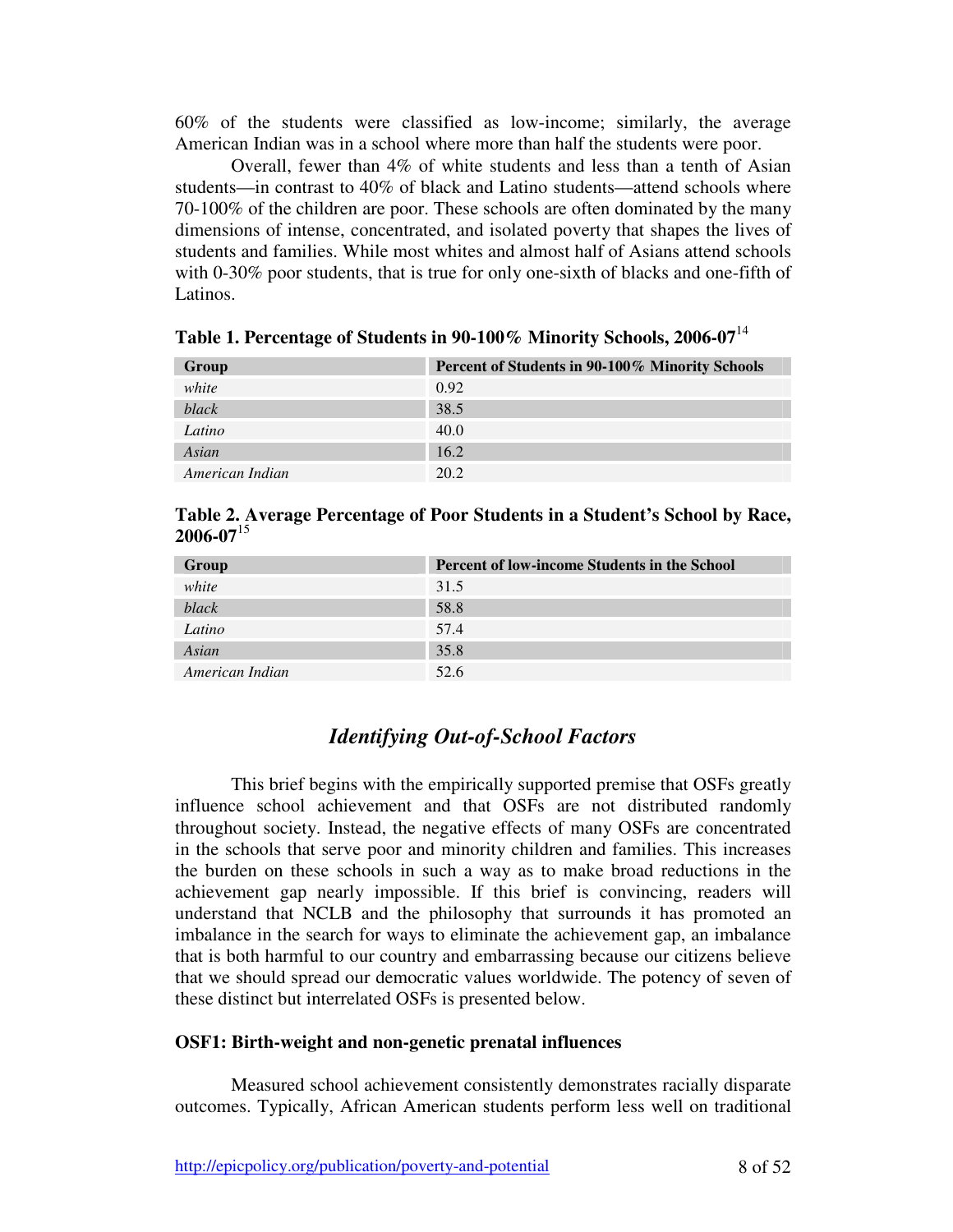60% of the students were classified as low-income; similarly, the average American Indian was in a school where more than half the students were poor.

Overall, fewer than 4% of white students and less than a tenth of Asian students—in contrast to 40% of black and Latino students—attend schools where 70-100% of the children are poor. These schools are often dominated by the many dimensions of intense, concentrated, and isolated poverty that shapes the lives of students and families. While most whites and almost half of Asians attend schools with 0-30% poor students, that is true for only one-sixth of blacks and one-fifth of Latinos.

| Group           | Percent of Students in 90-100% Minority Schools |
|-----------------|-------------------------------------------------|
| white           | 0.92                                            |
| black           | 38.5                                            |
| Latino          | 40.0                                            |
| Asian           | 16.2                                            |
| American Indian | 20.2                                            |

**Table 1. Percentage of Students in 90-100% Minority Schools, 2006-07**<sup>14</sup>

|                  | Table 2. Average Percentage of Poor Students in a Student's School by Race, |  |  |
|------------------|-----------------------------------------------------------------------------|--|--|
| $2006 - 07^{15}$ |                                                                             |  |  |

| Group           | Percent of low-income Students in the School |
|-----------------|----------------------------------------------|
| white           | 31.5                                         |
| black           | 58.8                                         |
| Latino          | 57.4                                         |
| Asian           | 35.8                                         |
| American Indian | 52.6                                         |

# *Identifying Out-of-School Factors*

This brief begins with the empirically supported premise that OSFs greatly influence school achievement and that OSFs are not distributed randomly throughout society. Instead, the negative effects of many OSFs are concentrated in the schools that serve poor and minority children and families. This increases the burden on these schools in such a way as to make broad reductions in the achievement gap nearly impossible. If this brief is convincing, readers will understand that NCLB and the philosophy that surrounds it has promoted an imbalance in the search for ways to eliminate the achievement gap, an imbalance that is both harmful to our country and embarrassing because our citizens believe that we should spread our democratic values worldwide. The potency of seven of these distinct but interrelated OSFs is presented below.

# **OSF1: Birth-weight and non-genetic prenatal influences**

Measured school achievement consistently demonstrates racially disparate outcomes. Typically, African American students perform less well on traditional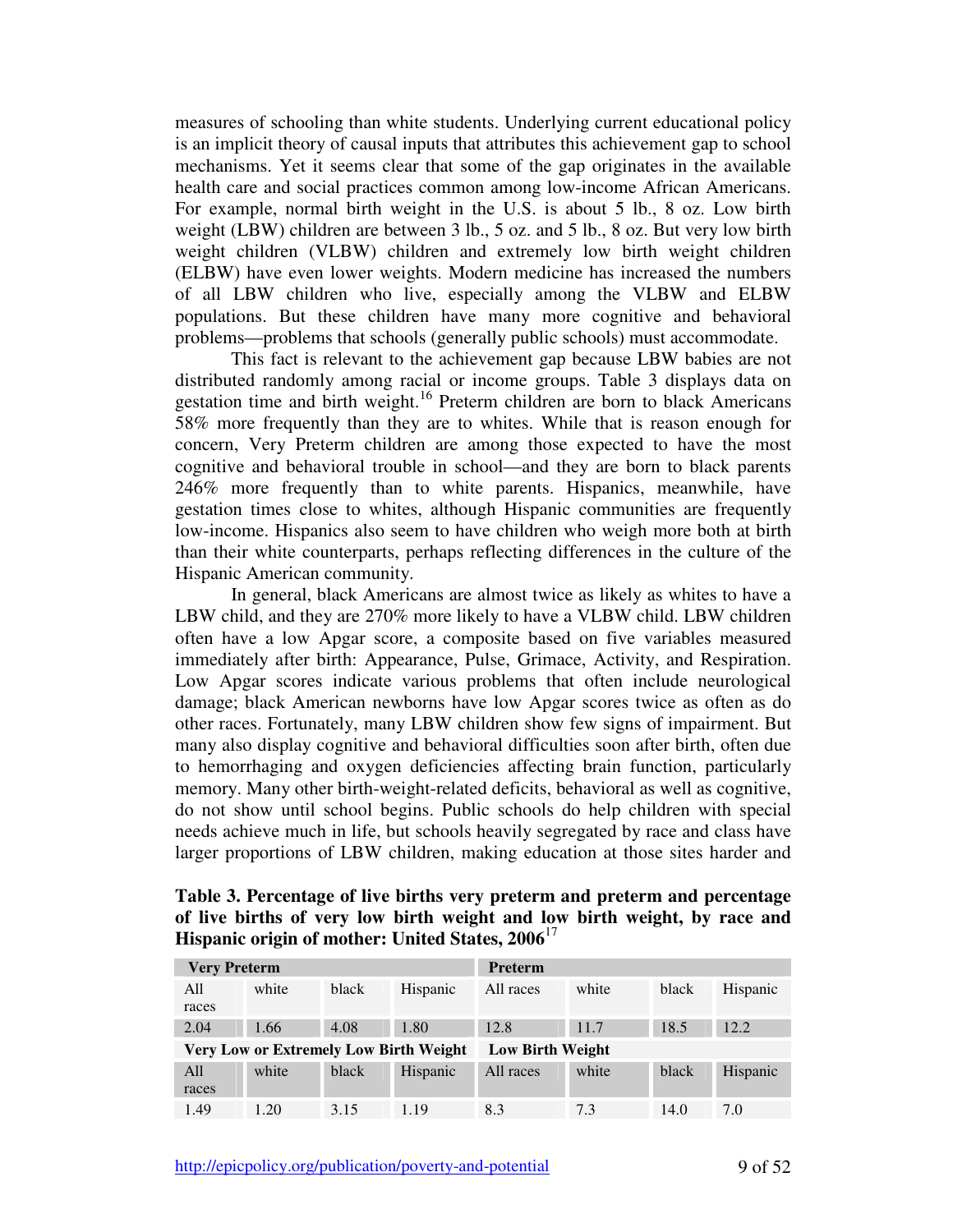measures of schooling than white students. Underlying current educational policy is an implicit theory of causal inputs that attributes this achievement gap to school mechanisms. Yet it seems clear that some of the gap originates in the available health care and social practices common among low-income African Americans. For example, normal birth weight in the U.S. is about 5 lb., 8 oz. Low birth weight (LBW) children are between 3 lb., 5 oz. and 5 lb., 8 oz. But very low birth weight children (VLBW) children and extremely low birth weight children (ELBW) have even lower weights. Modern medicine has increased the numbers of all LBW children who live, especially among the VLBW and ELBW populations. But these children have many more cognitive and behavioral problems—problems that schools (generally public schools) must accommodate.

This fact is relevant to the achievement gap because LBW babies are not distributed randomly among racial or income groups. Table 3 displays data on gestation time and birth weight.<sup>16</sup> Preterm children are born to black Americans 58% more frequently than they are to whites. While that is reason enough for concern, Very Preterm children are among those expected to have the most cognitive and behavioral trouble in school—and they are born to black parents 246% more frequently than to white parents. Hispanics, meanwhile, have gestation times close to whites, although Hispanic communities are frequently low-income. Hispanics also seem to have children who weigh more both at birth than their white counterparts, perhaps reflecting differences in the culture of the Hispanic American community.

In general, black Americans are almost twice as likely as whites to have a LBW child, and they are 270% more likely to have a VLBW child. LBW children often have a low Apgar score, a composite based on five variables measured immediately after birth: Appearance, Pulse, Grimace, Activity, and Respiration. Low Apgar scores indicate various problems that often include neurological damage; black American newborns have low Apgar scores twice as often as do other races. Fortunately, many LBW children show few signs of impairment. But many also display cognitive and behavioral difficulties soon after birth, often due to hemorrhaging and oxygen deficiencies affecting brain function, particularly memory. Many other birth-weight-related deficits, behavioral as well as cognitive, do not show until school begins. Public schools do help children with special needs achieve much in life, but schools heavily segregated by race and class have larger proportions of LBW children, making education at those sites harder and

**Table 3. Percentage of live births very preterm and preterm and percentage of live births of very low birth weight and low birth weight, by race and Hispanic origin of mother: United States, 2006**<sup>17</sup>

| <b>Very Preterm</b>                    |       |       | <b>Preterm</b>          |           |       |       |          |
|----------------------------------------|-------|-------|-------------------------|-----------|-------|-------|----------|
| A11                                    | white | black | Hispanic                | All races | white | black | Hispanic |
| races                                  |       |       |                         |           |       |       |          |
| 2.04                                   | 1.66  | 4.08  | 1.80                    | 12.8      | 11.7  | 18.5  | 12.2     |
| Very Low or Extremely Low Birth Weight |       |       | <b>Low Birth Weight</b> |           |       |       |          |
|                                        |       |       |                         |           |       |       |          |
| A11                                    | white | black | Hispanic                | All races | white | black | Hispanic |
| races                                  |       |       |                         |           |       |       |          |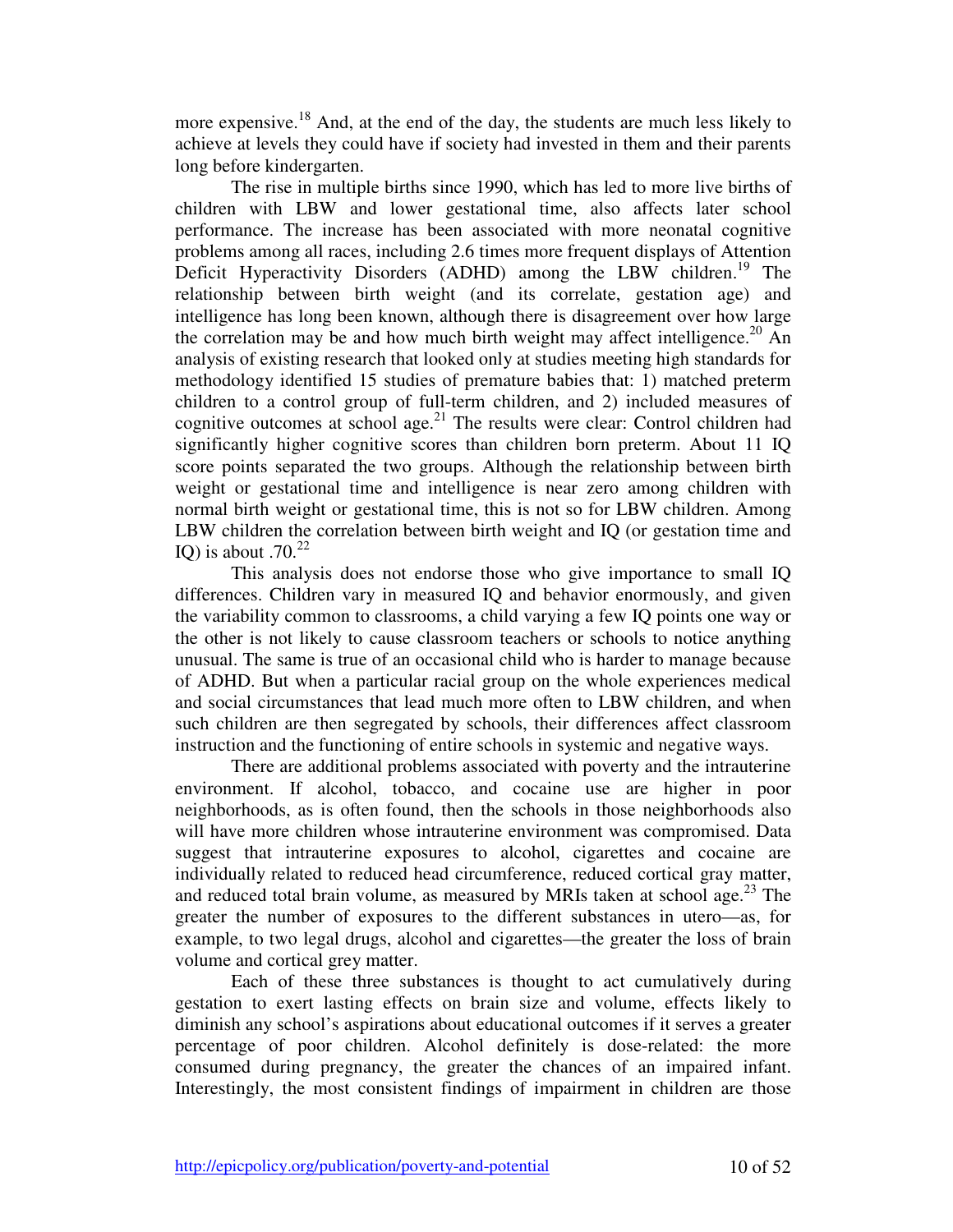more expensive.<sup>18</sup> And, at the end of the day, the students are much less likely to achieve at levels they could have if society had invested in them and their parents long before kindergarten.

The rise in multiple births since 1990, which has led to more live births of children with LBW and lower gestational time, also affects later school performance. The increase has been associated with more neonatal cognitive problems among all races, including 2.6 times more frequent displays of Attention Deficit Hyperactivity Disorders (ADHD) among the LBW children.<sup>19</sup> The relationship between birth weight (and its correlate, gestation age) and intelligence has long been known, although there is disagreement over how large the correlation may be and how much birth weight may affect intelligence.<sup>20</sup> An analysis of existing research that looked only at studies meeting high standards for methodology identified 15 studies of premature babies that: 1) matched preterm children to a control group of full-term children, and 2) included measures of cognitive outcomes at school age.<sup>21</sup> The results were clear: Control children had significantly higher cognitive scores than children born preterm. About 11 IQ score points separated the two groups. Although the relationship between birth weight or gestational time and intelligence is near zero among children with normal birth weight or gestational time, this is not so for LBW children. Among LBW children the correlation between birth weight and IQ (or gestation time and IQ) is about .70. $^{22}$ 

This analysis does not endorse those who give importance to small IQ differences. Children vary in measured IQ and behavior enormously, and given the variability common to classrooms, a child varying a few IQ points one way or the other is not likely to cause classroom teachers or schools to notice anything unusual. The same is true of an occasional child who is harder to manage because of ADHD. But when a particular racial group on the whole experiences medical and social circumstances that lead much more often to LBW children, and when such children are then segregated by schools, their differences affect classroom instruction and the functioning of entire schools in systemic and negative ways.

There are additional problems associated with poverty and the intrauterine environment. If alcohol, tobacco, and cocaine use are higher in poor neighborhoods, as is often found, then the schools in those neighborhoods also will have more children whose intrauterine environment was compromised. Data suggest that intrauterine exposures to alcohol, cigarettes and cocaine are individually related to reduced head circumference, reduced cortical gray matter, and reduced total brain volume, as measured by MRIs taken at school age.<sup>23</sup> The greater the number of exposures to the different substances in utero—as, for example, to two legal drugs, alcohol and cigarettes—the greater the loss of brain volume and cortical grey matter.

Each of these three substances is thought to act cumulatively during gestation to exert lasting effects on brain size and volume, effects likely to diminish any school's aspirations about educational outcomes if it serves a greater percentage of poor children. Alcohol definitely is dose-related: the more consumed during pregnancy, the greater the chances of an impaired infant. Interestingly, the most consistent findings of impairment in children are those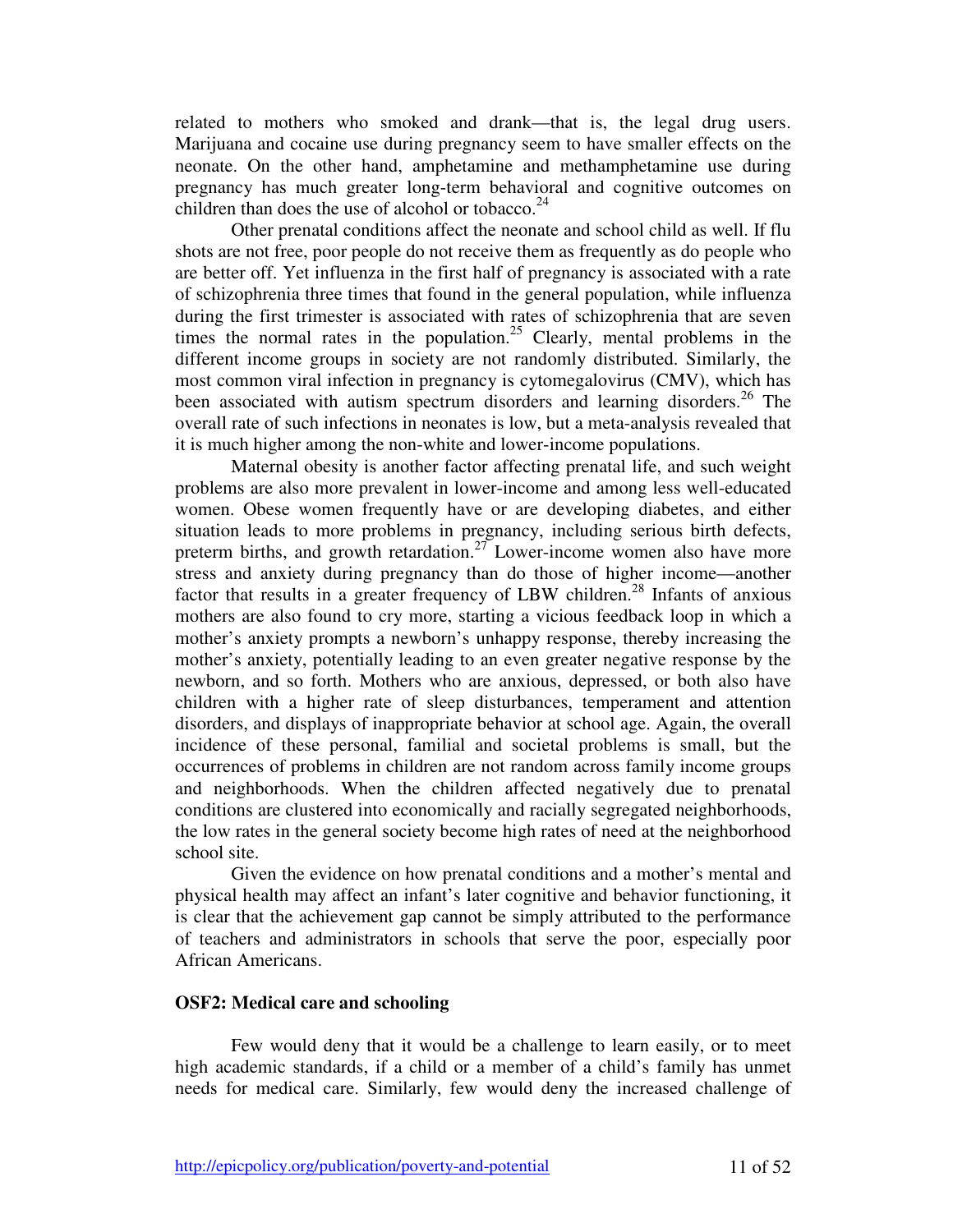related to mothers who smoked and drank—that is, the legal drug users. Marijuana and cocaine use during pregnancy seem to have smaller effects on the neonate. On the other hand, amphetamine and methamphetamine use during pregnancy has much greater long-term behavioral and cognitive outcomes on children than does the use of alcohol or tobacco. $24$ 

Other prenatal conditions affect the neonate and school child as well. If flu shots are not free, poor people do not receive them as frequently as do people who are better off. Yet influenza in the first half of pregnancy is associated with a rate of schizophrenia three times that found in the general population, while influenza during the first trimester is associated with rates of schizophrenia that are seven times the normal rates in the population.<sup>25</sup> Clearly, mental problems in the different income groups in society are not randomly distributed. Similarly, the most common viral infection in pregnancy is cytomegalovirus (CMV), which has been associated with autism spectrum disorders and learning disorders.<sup>26</sup> The overall rate of such infections in neonates is low, but a meta-analysis revealed that it is much higher among the non-white and lower-income populations.

Maternal obesity is another factor affecting prenatal life, and such weight problems are also more prevalent in lower-income and among less well-educated women. Obese women frequently have or are developing diabetes, and either situation leads to more problems in pregnancy, including serious birth defects, preterm births, and growth retardation.<sup>27</sup> Lower-income women also have more stress and anxiety during pregnancy than do those of higher income—another factor that results in a greater frequency of LBW children.<sup>28</sup> Infants of anxious mothers are also found to cry more, starting a vicious feedback loop in which a mother's anxiety prompts a newborn's unhappy response, thereby increasing the mother's anxiety, potentially leading to an even greater negative response by the newborn, and so forth. Mothers who are anxious, depressed, or both also have children with a higher rate of sleep disturbances, temperament and attention disorders, and displays of inappropriate behavior at school age. Again, the overall incidence of these personal, familial and societal problems is small, but the occurrences of problems in children are not random across family income groups and neighborhoods. When the children affected negatively due to prenatal conditions are clustered into economically and racially segregated neighborhoods, the low rates in the general society become high rates of need at the neighborhood school site.

Given the evidence on how prenatal conditions and a mother's mental and physical health may affect an infant's later cognitive and behavior functioning, it is clear that the achievement gap cannot be simply attributed to the performance of teachers and administrators in schools that serve the poor, especially poor African Americans.

#### **OSF2: Medical care and schooling**

Few would deny that it would be a challenge to learn easily, or to meet high academic standards, if a child or a member of a child's family has unmet needs for medical care. Similarly, few would deny the increased challenge of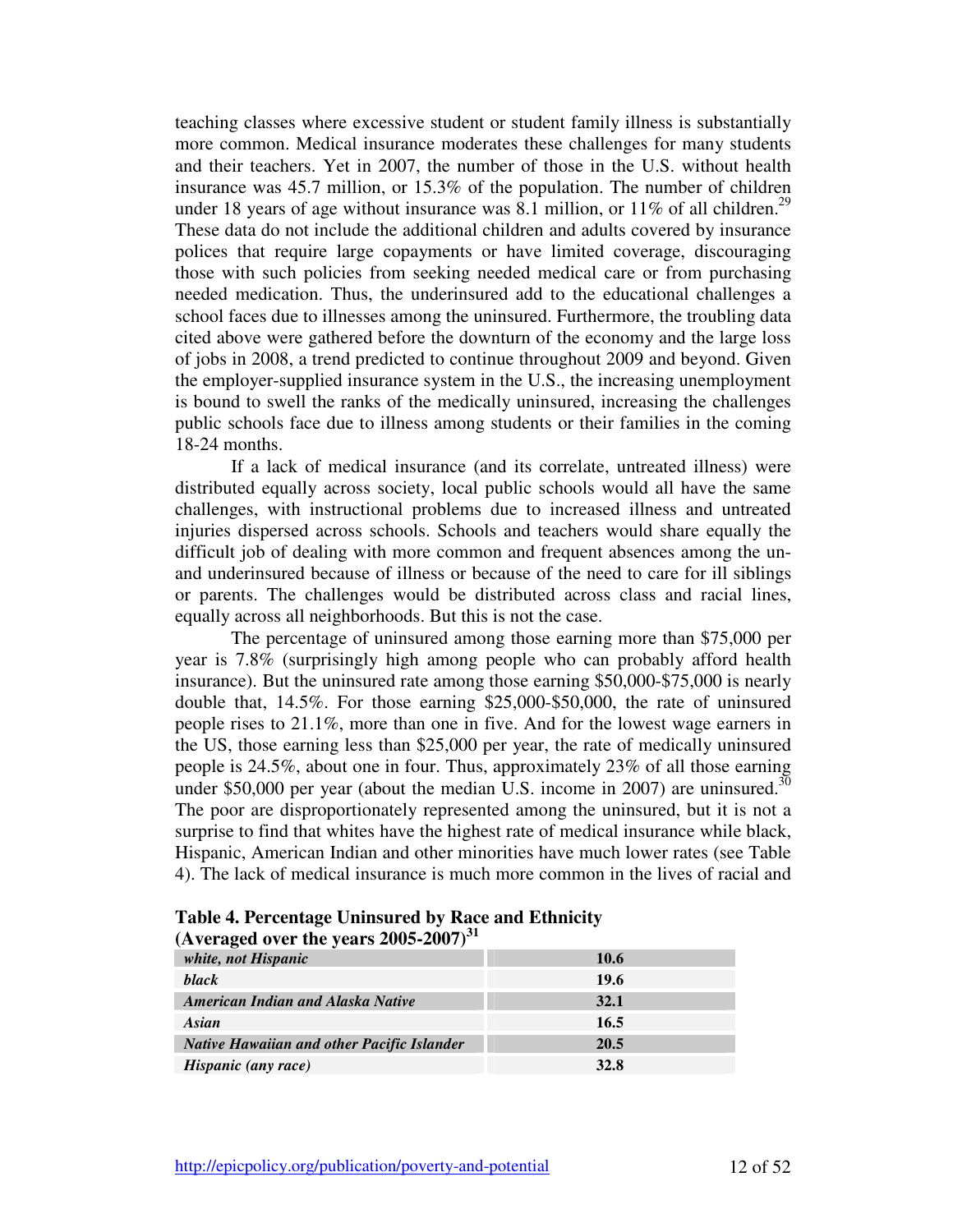teaching classes where excessive student or student family illness is substantially more common. Medical insurance moderates these challenges for many students and their teachers. Yet in 2007, the number of those in the U.S. without health insurance was 45.7 million, or 15.3% of the population. The number of children under 18 years of age without insurance was 8.1 million, or  $11\%$  of all children.<sup>29</sup> These data do not include the additional children and adults covered by insurance polices that require large copayments or have limited coverage, discouraging those with such policies from seeking needed medical care or from purchasing needed medication. Thus, the underinsured add to the educational challenges a school faces due to illnesses among the uninsured. Furthermore, the troubling data cited above were gathered before the downturn of the economy and the large loss of jobs in 2008, a trend predicted to continue throughout 2009 and beyond. Given the employer-supplied insurance system in the U.S., the increasing unemployment is bound to swell the ranks of the medically uninsured, increasing the challenges public schools face due to illness among students or their families in the coming 18-24 months.

If a lack of medical insurance (and its correlate, untreated illness) were distributed equally across society, local public schools would all have the same challenges, with instructional problems due to increased illness and untreated injuries dispersed across schools. Schools and teachers would share equally the difficult job of dealing with more common and frequent absences among the unand underinsured because of illness or because of the need to care for ill siblings or parents. The challenges would be distributed across class and racial lines, equally across all neighborhoods. But this is not the case.

The percentage of uninsured among those earning more than \$75,000 per year is 7.8% (surprisingly high among people who can probably afford health insurance). But the uninsured rate among those earning \$50,000-\$75,000 is nearly double that, 14.5%. For those earning \$25,000-\$50,000, the rate of uninsured people rises to 21.1%, more than one in five. And for the lowest wage earners in the US, those earning less than \$25,000 per year, the rate of medically uninsured people is 24.5%, about one in four. Thus, approximately 23% of all those earning under \$50,000 per year (about the median U.S. income in 2007) are uninsured.<sup>30</sup> The poor are disproportionately represented among the uninsured, but it is not a surprise to find that whites have the highest rate of medical insurance while black, Hispanic, American Indian and other minorities have much lower rates (see Table 4). The lack of medical insurance is much more common in the lives of racial and

#### **Table 4. Percentage Uninsured by Race and Ethnicity (Averaged over the years 2005-2007)<sup>31</sup>**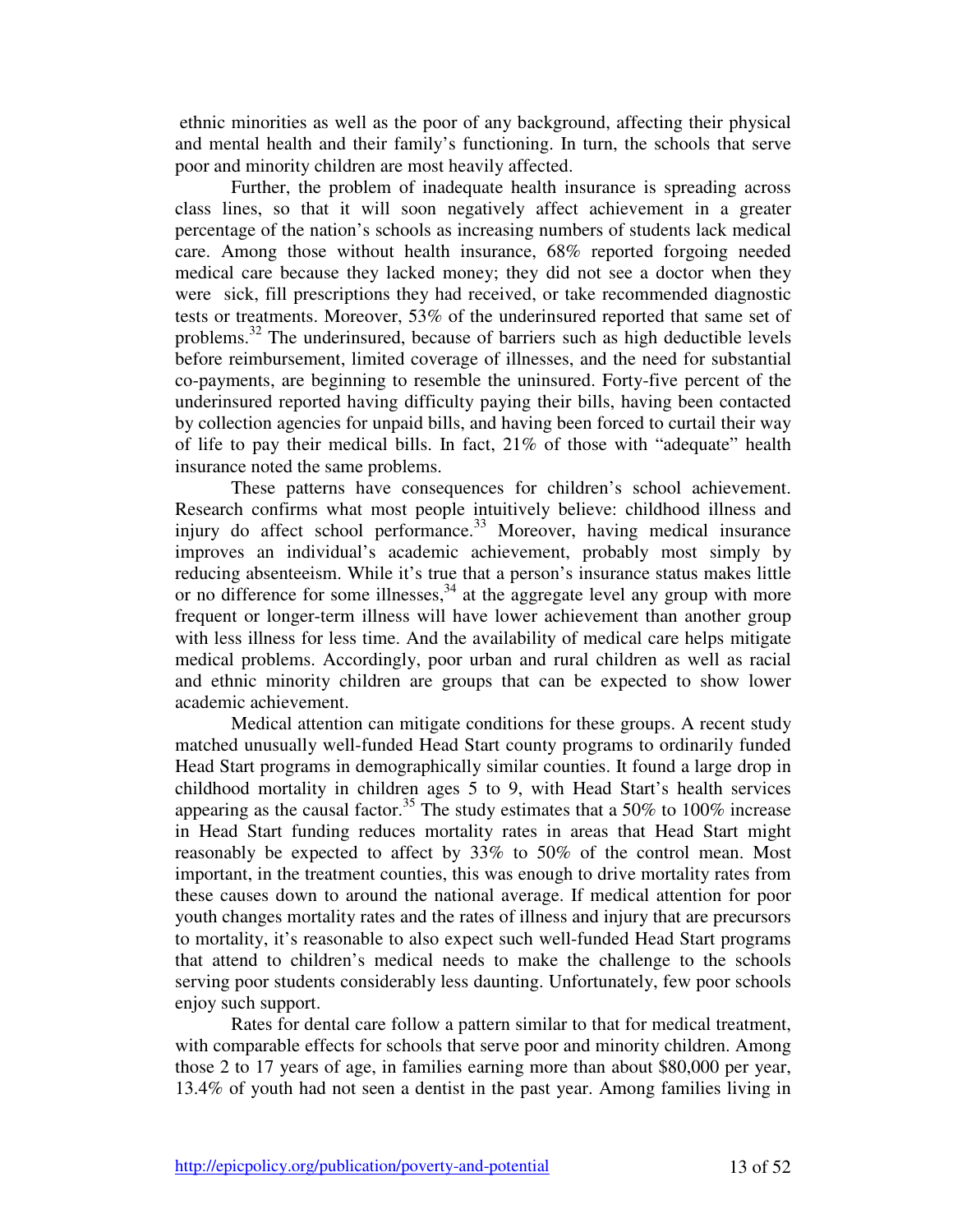ethnic minorities as well as the poor of any background, affecting their physical and mental health and their family's functioning. In turn, the schools that serve poor and minority children are most heavily affected.

Further, the problem of inadequate health insurance is spreading across class lines, so that it will soon negatively affect achievement in a greater percentage of the nation's schools as increasing numbers of students lack medical care. Among those without health insurance, 68% reported forgoing needed medical care because they lacked money; they did not see a doctor when they were sick, fill prescriptions they had received, or take recommended diagnostic tests or treatments. Moreover, 53% of the underinsured reported that same set of problems.<sup>32</sup> The underinsured, because of barriers such as high deductible levels before reimbursement, limited coverage of illnesses, and the need for substantial co-payments, are beginning to resemble the uninsured. Forty-five percent of the underinsured reported having difficulty paying their bills, having been contacted by collection agencies for unpaid bills, and having been forced to curtail their way of life to pay their medical bills. In fact, 21% of those with "adequate" health insurance noted the same problems.

These patterns have consequences for children's school achievement. Research confirms what most people intuitively believe: childhood illness and injury do affect school performance.<sup>33</sup> Moreover, having medical insurance improves an individual's academic achievement, probably most simply by reducing absenteeism. While it's true that a person's insurance status makes little or no difference for some illnesses,  $34$  at the aggregate level any group with more frequent or longer-term illness will have lower achievement than another group with less illness for less time. And the availability of medical care helps mitigate medical problems. Accordingly, poor urban and rural children as well as racial and ethnic minority children are groups that can be expected to show lower academic achievement.

Medical attention can mitigate conditions for these groups. A recent study matched unusually well-funded Head Start county programs to ordinarily funded Head Start programs in demographically similar counties. It found a large drop in childhood mortality in children ages 5 to 9, with Head Start's health services appearing as the causal factor.<sup>35</sup> The study estimates that a 50% to 100% increase in Head Start funding reduces mortality rates in areas that Head Start might reasonably be expected to affect by 33% to 50% of the control mean. Most important, in the treatment counties, this was enough to drive mortality rates from these causes down to around the national average. If medical attention for poor youth changes mortality rates and the rates of illness and injury that are precursors to mortality, it's reasonable to also expect such well-funded Head Start programs that attend to children's medical needs to make the challenge to the schools serving poor students considerably less daunting. Unfortunately, few poor schools enjoy such support.

Rates for dental care follow a pattern similar to that for medical treatment, with comparable effects for schools that serve poor and minority children. Among those 2 to 17 years of age, in families earning more than about \$80,000 per year, 13.4% of youth had not seen a dentist in the past year. Among families living in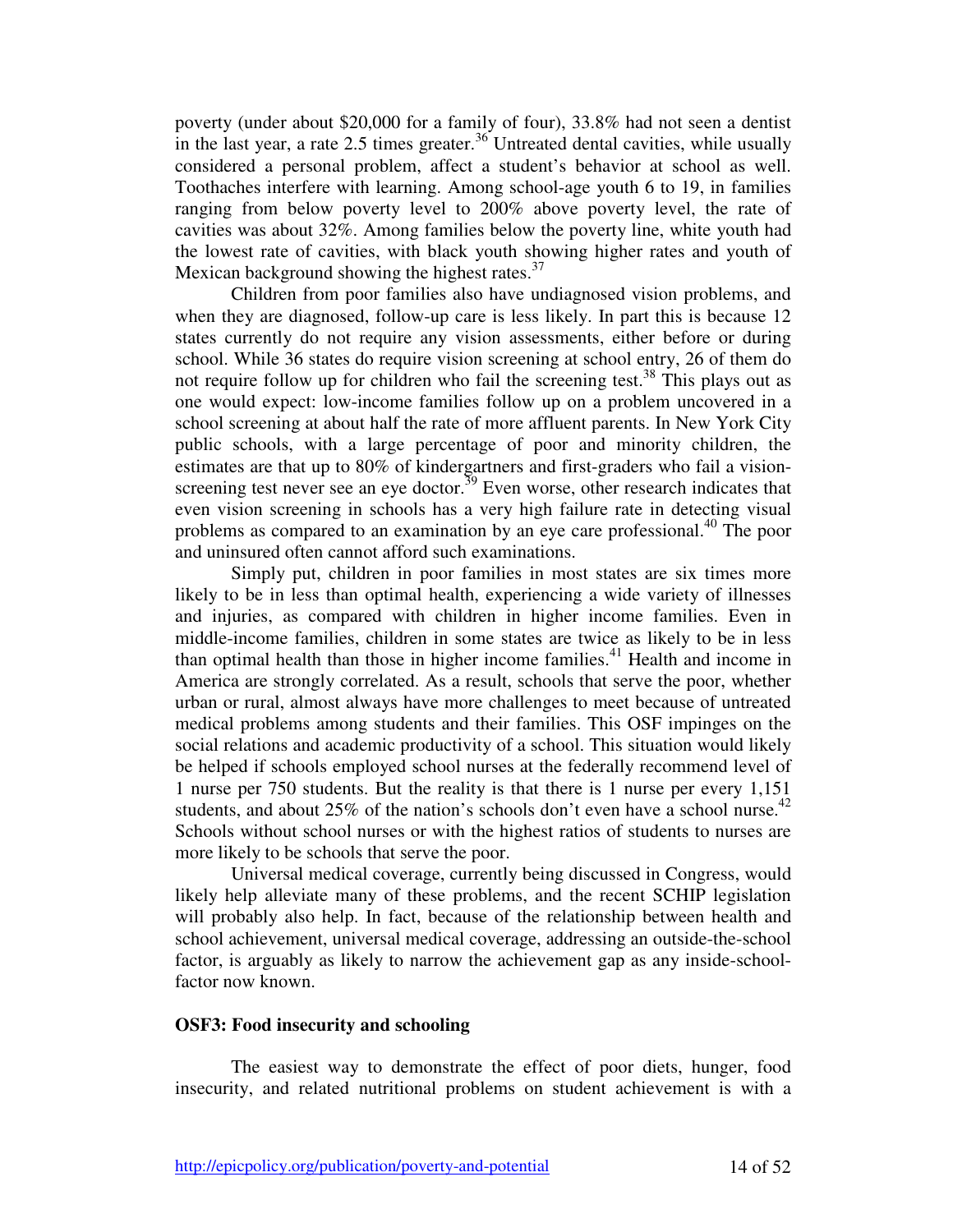poverty (under about \$20,000 for a family of four), 33.8% had not seen a dentist in the last year, a rate 2.5 times greater.<sup>36</sup> Untreated dental cavities, while usually considered a personal problem, affect a student's behavior at school as well. Toothaches interfere with learning. Among school-age youth 6 to 19, in families ranging from below poverty level to 200% above poverty level, the rate of cavities was about 32%. Among families below the poverty line, white youth had the lowest rate of cavities, with black youth showing higher rates and youth of Mexican background showing the highest rates.<sup>37</sup>

Children from poor families also have undiagnosed vision problems, and when they are diagnosed, follow-up care is less likely. In part this is because 12 states currently do not require any vision assessments, either before or during school. While 36 states do require vision screening at school entry, 26 of them do not require follow up for children who fail the screening test.<sup>38</sup> This plays out as one would expect: low-income families follow up on a problem uncovered in a school screening at about half the rate of more affluent parents. In New York City public schools, with a large percentage of poor and minority children, the estimates are that up to 80% of kindergartners and first-graders who fail a visionscreening test never see an eye doctor.<sup>39</sup> Even worse, other research indicates that even vision screening in schools has a very high failure rate in detecting visual problems as compared to an examination by an eye care professional.<sup>40</sup> The poor and uninsured often cannot afford such examinations.

Simply put, children in poor families in most states are six times more likely to be in less than optimal health, experiencing a wide variety of illnesses and injuries, as compared with children in higher income families. Even in middle-income families, children in some states are twice as likely to be in less than optimal health than those in higher income families.<sup>41</sup> Health and income in America are strongly correlated. As a result, schools that serve the poor, whether urban or rural, almost always have more challenges to meet because of untreated medical problems among students and their families. This OSF impinges on the social relations and academic productivity of a school. This situation would likely be helped if schools employed school nurses at the federally recommend level of 1 nurse per 750 students. But the reality is that there is 1 nurse per every 1,151 students, and about 25% of the nation's schools don't even have a school nurse.<sup>42</sup> Schools without school nurses or with the highest ratios of students to nurses are more likely to be schools that serve the poor.

Universal medical coverage, currently being discussed in Congress, would likely help alleviate many of these problems, and the recent SCHIP legislation will probably also help. In fact, because of the relationship between health and school achievement, universal medical coverage, addressing an outside-the-school factor, is arguably as likely to narrow the achievement gap as any inside-schoolfactor now known.

#### **OSF3: Food insecurity and schooling**

The easiest way to demonstrate the effect of poor diets, hunger, food insecurity, and related nutritional problems on student achievement is with a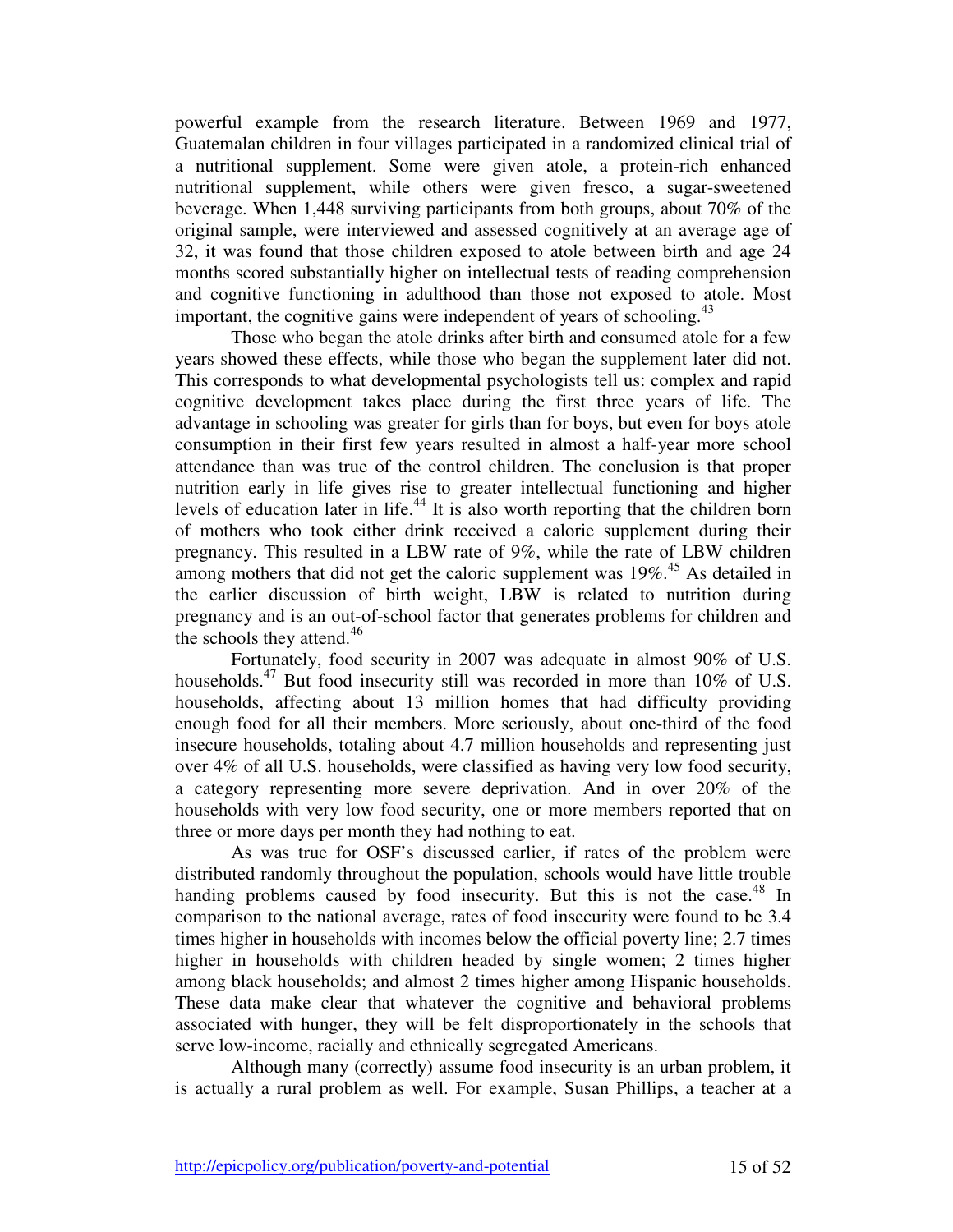powerful example from the research literature. Between 1969 and 1977, Guatemalan children in four villages participated in a randomized clinical trial of a nutritional supplement. Some were given atole, a protein-rich enhanced nutritional supplement, while others were given fresco, a sugar-sweetened beverage. When 1,448 surviving participants from both groups, about 70% of the original sample, were interviewed and assessed cognitively at an average age of 32, it was found that those children exposed to atole between birth and age 24 months scored substantially higher on intellectual tests of reading comprehension and cognitive functioning in adulthood than those not exposed to atole. Most important, the cognitive gains were independent of years of schooling. $43$ 

Those who began the atole drinks after birth and consumed atole for a few years showed these effects, while those who began the supplement later did not. This corresponds to what developmental psychologists tell us: complex and rapid cognitive development takes place during the first three years of life. The advantage in schooling was greater for girls than for boys, but even for boys atole consumption in their first few years resulted in almost a half-year more school attendance than was true of the control children. The conclusion is that proper nutrition early in life gives rise to greater intellectual functioning and higher levels of education later in life.<sup>44</sup> It is also worth reporting that the children born of mothers who took either drink received a calorie supplement during their pregnancy. This resulted in a LBW rate of 9%, while the rate of LBW children among mothers that did not get the caloric supplement was  $19\%$ .<sup>45</sup> As detailed in the earlier discussion of birth weight, LBW is related to nutrition during pregnancy and is an out-of-school factor that generates problems for children and the schools they attend.<sup>46</sup>

Fortunately, food security in 2007 was adequate in almost 90% of U.S. households.<sup>47</sup> But food insecurity still was recorded in more than 10% of U.S. households, affecting about 13 million homes that had difficulty providing enough food for all their members. More seriously, about one-third of the food insecure households, totaling about 4.7 million households and representing just over 4% of all U.S. households, were classified as having very low food security, a category representing more severe deprivation. And in over 20% of the households with very low food security, one or more members reported that on three or more days per month they had nothing to eat.

As was true for OSF's discussed earlier, if rates of the problem were distributed randomly throughout the population, schools would have little trouble handing problems caused by food insecurity. But this is not the case.<sup>48</sup> In comparison to the national average, rates of food insecurity were found to be 3.4 times higher in households with incomes below the official poverty line; 2.7 times higher in households with children headed by single women; 2 times higher among black households; and almost 2 times higher among Hispanic households. These data make clear that whatever the cognitive and behavioral problems associated with hunger, they will be felt disproportionately in the schools that serve low-income, racially and ethnically segregated Americans.

Although many (correctly) assume food insecurity is an urban problem, it is actually a rural problem as well. For example, Susan Phillips, a teacher at a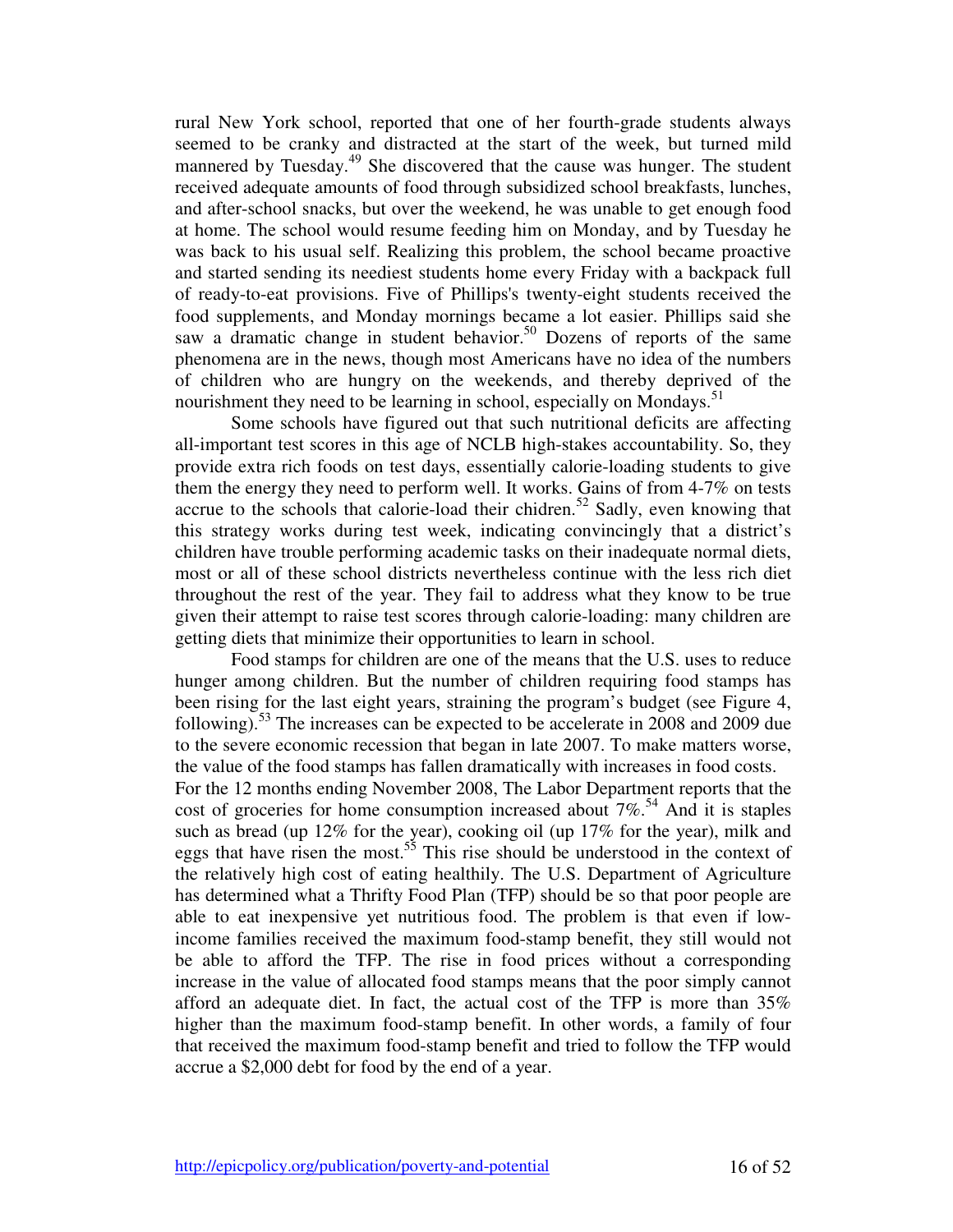rural New York school, reported that one of her fourth-grade students always seemed to be cranky and distracted at the start of the week, but turned mild mannered by Tuesday.<sup>49</sup> She discovered that the cause was hunger. The student received adequate amounts of food through subsidized school breakfasts, lunches, and after-school snacks, but over the weekend, he was unable to get enough food at home. The school would resume feeding him on Monday, and by Tuesday he was back to his usual self. Realizing this problem, the school became proactive and started sending its neediest students home every Friday with a backpack full of ready-to-eat provisions. Five of Phillips's twenty-eight students received the food supplements, and Monday mornings became a lot easier. Phillips said she saw a dramatic change in student behavior.<sup>50</sup> Dozens of reports of the same phenomena are in the news, though most Americans have no idea of the numbers of children who are hungry on the weekends, and thereby deprived of the nourishment they need to be learning in school, especially on Mondays.<sup>51</sup>

Some schools have figured out that such nutritional deficits are affecting all-important test scores in this age of NCLB high-stakes accountability. So, they provide extra rich foods on test days, essentially calorie-loading students to give them the energy they need to perform well. It works. Gains of from 4-7% on tests accrue to the schools that calorie-load their chidren.<sup>52</sup> Sadly, even knowing that this strategy works during test week, indicating convincingly that a district's children have trouble performing academic tasks on their inadequate normal diets, most or all of these school districts nevertheless continue with the less rich diet throughout the rest of the year. They fail to address what they know to be true given their attempt to raise test scores through calorie-loading: many children are getting diets that minimize their opportunities to learn in school.

Food stamps for children are one of the means that the U.S. uses to reduce hunger among children. But the number of children requiring food stamps has been rising for the last eight years, straining the program's budget (see Figure 4, following).<sup>53</sup> The increases can be expected to be accelerate in 2008 and 2009 due to the severe economic recession that began in late 2007. To make matters worse, the value of the food stamps has fallen dramatically with increases in food costs. For the 12 months ending November 2008, The Labor Department reports that the cost of groceries for home consumption increased about  $7\%$ .<sup>54</sup> And it is staples such as bread (up 12% for the year), cooking oil (up 17% for the year), milk and eggs that have risen the most.<sup>55</sup> This rise should be understood in the context of the relatively high cost of eating healthily. The U.S. Department of Agriculture has determined what a Thrifty Food Plan (TFP) should be so that poor people are able to eat inexpensive yet nutritious food. The problem is that even if lowincome families received the maximum food-stamp benefit, they still would not be able to afford the TFP. The rise in food prices without a corresponding increase in the value of allocated food stamps means that the poor simply cannot afford an adequate diet. In fact, the actual cost of the TFP is more than 35% higher than the maximum food-stamp benefit. In other words, a family of four that received the maximum food-stamp benefit and tried to follow the TFP would accrue a \$2,000 debt for food by the end of a year.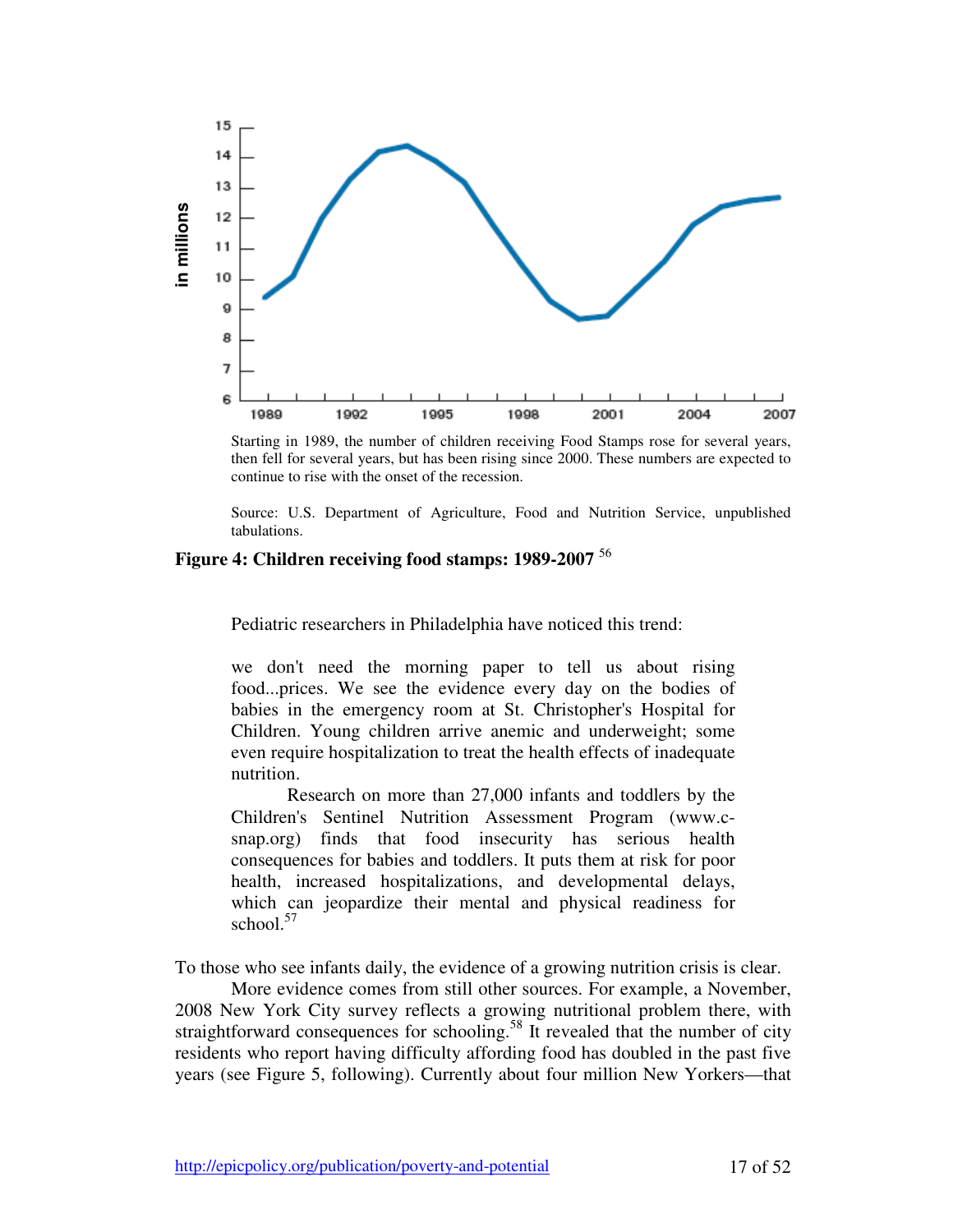

Starting in 1989, the number of children receiving Food Stamps rose for several years, then fell for several years, but has been rising since 2000. These numbers are expected to continue to rise with the onset of the recession.

Source: U.S. Department of Agriculture, Food and Nutrition Service, unpublished tabulations.

# **Figure 4: Children receiving food stamps: 1989-2007** <sup>56</sup>

Pediatric researchers in Philadelphia have noticed this trend:

we don't need the morning paper to tell us about rising food...prices. We see the evidence every day on the bodies of babies in the emergency room at St. Christopher's Hospital for Children. Young children arrive anemic and underweight; some even require hospitalization to treat the health effects of inadequate nutrition.

Research on more than 27,000 infants and toddlers by the Children's Sentinel Nutrition Assessment Program (www.csnap.org) finds that food insecurity has serious health consequences for babies and toddlers. It puts them at risk for poor health, increased hospitalizations, and developmental delays, which can jeopardize their mental and physical readiness for school. $57$ 

To those who see infants daily, the evidence of a growing nutrition crisis is clear.

More evidence comes from still other sources. For example, a November, 2008 New York City survey reflects a growing nutritional problem there, with straightforward consequences for schooling.<sup>58</sup> It revealed that the number of city residents who report having difficulty affording food has doubled in the past five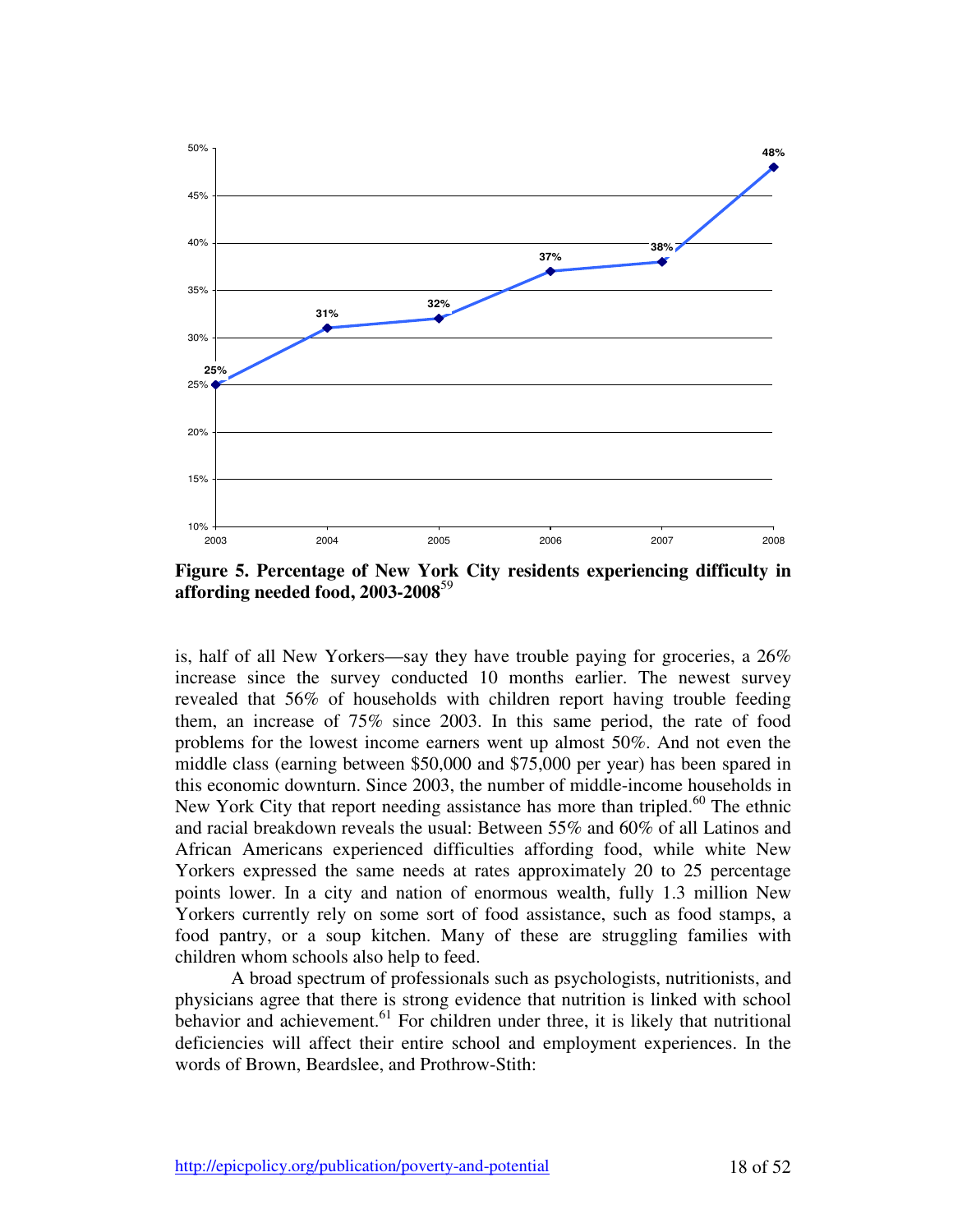

**Figure 5. Percentage of New York City residents experiencing difficulty in affording needed food, 2003-2008**<sup>59</sup> 

is, half of all New Yorkers—say they have trouble paying for groceries, a 26% increase since the survey conducted 10 months earlier. The newest survey revealed that 56% of households with children report having trouble feeding them, an increase of 75% since 2003. In this same period, the rate of food problems for the lowest income earners went up almost 50%. And not even the middle class (earning between \$50,000 and \$75,000 per year) has been spared in this economic downturn. Since 2003, the number of middle-income households in New York City that report needing assistance has more than tripled.<sup>60</sup> The ethnic and racial breakdown reveals the usual: Between 55% and 60% of all Latinos and African Americans experienced difficulties affording food, while white New Yorkers expressed the same needs at rates approximately 20 to 25 percentage points lower. In a city and nation of enormous wealth, fully 1.3 million New Yorkers currently rely on some sort of food assistance, such as food stamps, a food pantry, or a soup kitchen. Many of these are struggling families with children whom schools also help to feed.

A broad spectrum of professionals such as psychologists, nutritionists, and physicians agree that there is strong evidence that nutrition is linked with school behavior and achievement.<sup>61</sup> For children under three, it is likely that nutritional deficiencies will affect their entire school and employment experiences. In the words of Brown, Beardslee, and Prothrow-Stith: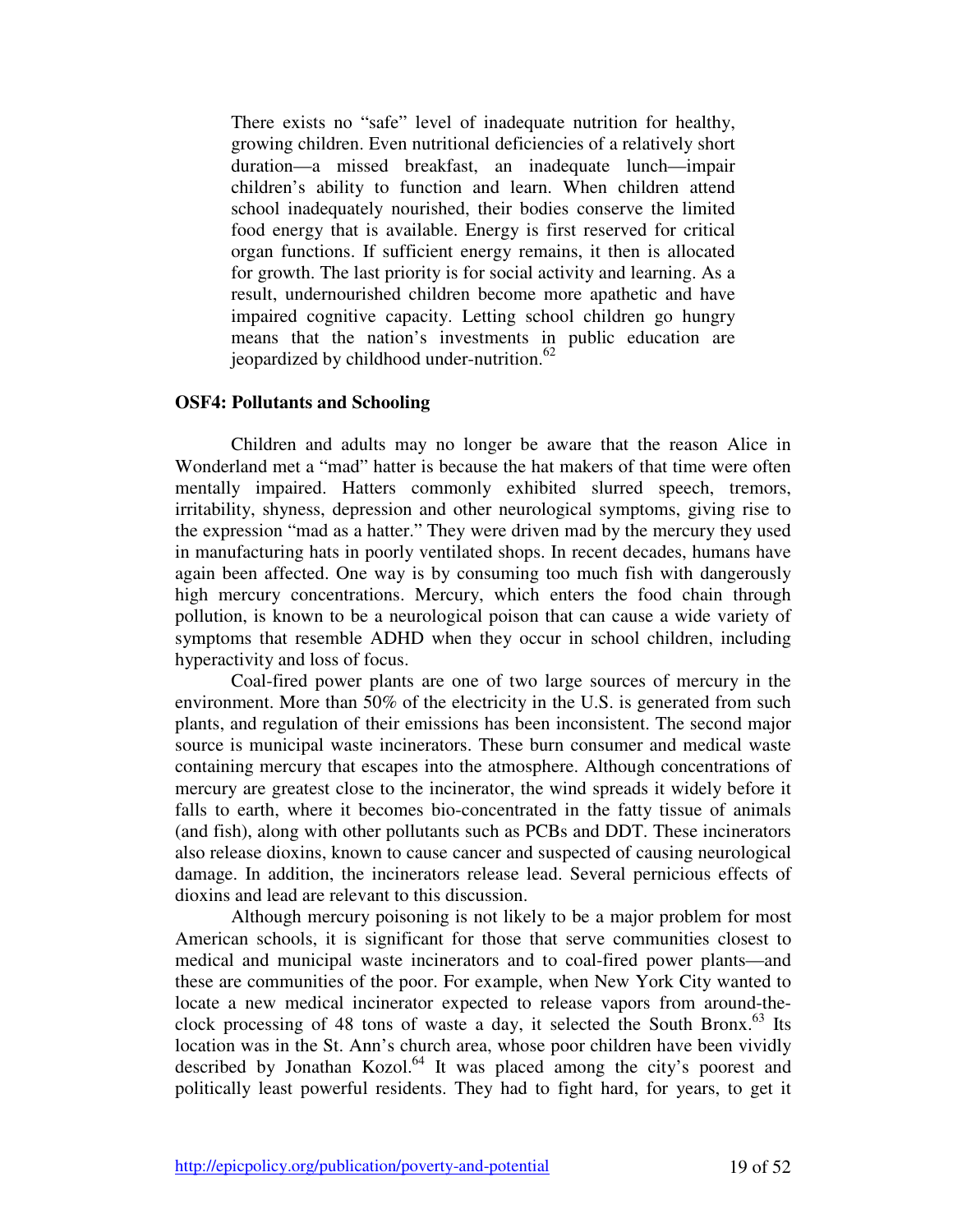There exists no "safe" level of inadequate nutrition for healthy, growing children. Even nutritional deficiencies of a relatively short duration—a missed breakfast, an inadequate lunch—impair children's ability to function and learn. When children attend school inadequately nourished, their bodies conserve the limited food energy that is available. Energy is first reserved for critical organ functions. If sufficient energy remains, it then is allocated for growth. The last priority is for social activity and learning. As a result, undernourished children become more apathetic and have impaired cognitive capacity. Letting school children go hungry means that the nation's investments in public education are jeopardized by childhood under-nutrition.<sup>62</sup>

### **OSF4: Pollutants and Schooling**

Children and adults may no longer be aware that the reason Alice in Wonderland met a "mad" hatter is because the hat makers of that time were often mentally impaired. Hatters commonly exhibited slurred speech, tremors, irritability, shyness, depression and other neurological symptoms, giving rise to the expression "mad as a hatter." They were driven mad by the mercury they used in manufacturing hats in poorly ventilated shops. In recent decades, humans have again been affected. One way is by consuming too much fish with dangerously high mercury concentrations. Mercury, which enters the food chain through pollution, is known to be a neurological poison that can cause a wide variety of symptoms that resemble ADHD when they occur in school children, including hyperactivity and loss of focus.

Coal-fired power plants are one of two large sources of mercury in the environment. More than 50% of the electricity in the U.S. is generated from such plants, and regulation of their emissions has been inconsistent. The second major source is municipal waste incinerators. These burn consumer and medical waste containing mercury that escapes into the atmosphere. Although concentrations of mercury are greatest close to the incinerator, the wind spreads it widely before it falls to earth, where it becomes bio-concentrated in the fatty tissue of animals (and fish), along with other pollutants such as PCBs and DDT. These incinerators also release dioxins, known to cause cancer and suspected of causing neurological damage. In addition, the incinerators release lead. Several pernicious effects of dioxins and lead are relevant to this discussion.

Although mercury poisoning is not likely to be a major problem for most American schools, it is significant for those that serve communities closest to medical and municipal waste incinerators and to coal-fired power plants—and these are communities of the poor. For example, when New York City wanted to locate a new medical incinerator expected to release vapors from around-theclock processing of 48 tons of waste a day, it selected the South Bronx.<sup>63</sup> Its location was in the St. Ann's church area, whose poor children have been vividly described by Jonathan Kozol.<sup>64</sup> It was placed among the city's poorest and politically least powerful residents. They had to fight hard, for years, to get it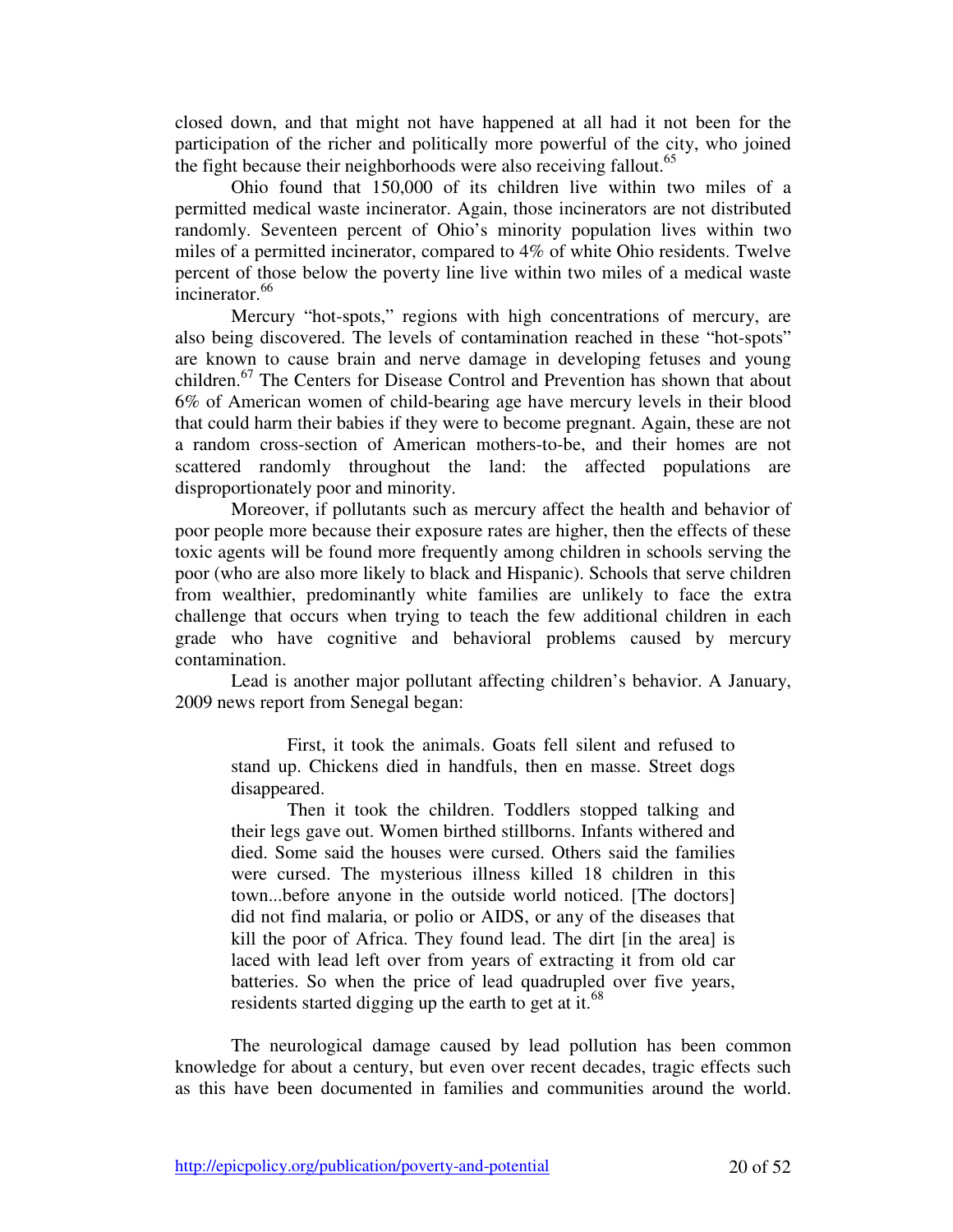closed down, and that might not have happened at all had it not been for the participation of the richer and politically more powerful of the city, who joined the fight because their neighborhoods were also receiving fallout.<sup>65</sup>

Ohio found that 150,000 of its children live within two miles of a permitted medical waste incinerator. Again, those incinerators are not distributed randomly. Seventeen percent of Ohio's minority population lives within two miles of a permitted incinerator, compared to 4% of white Ohio residents. Twelve percent of those below the poverty line live within two miles of a medical waste incinerator.<sup>66</sup>

Mercury "hot-spots," regions with high concentrations of mercury, are also being discovered. The levels of contamination reached in these "hot-spots" are known to cause brain and nerve damage in developing fetuses and young children.<sup>67</sup> The Centers for Disease Control and Prevention has shown that about 6% of American women of child-bearing age have mercury levels in their blood that could harm their babies if they were to become pregnant. Again, these are not a random cross-section of American mothers-to-be, and their homes are not scattered randomly throughout the land: the affected populations are disproportionately poor and minority.

Moreover, if pollutants such as mercury affect the health and behavior of poor people more because their exposure rates are higher, then the effects of these toxic agents will be found more frequently among children in schools serving the poor (who are also more likely to black and Hispanic). Schools that serve children from wealthier, predominantly white families are unlikely to face the extra challenge that occurs when trying to teach the few additional children in each grade who have cognitive and behavioral problems caused by mercury contamination.

Lead is another major pollutant affecting children's behavior. A January, 2009 news report from Senegal began:

First, it took the animals. Goats fell silent and refused to stand up. Chickens died in handfuls, then en masse. Street dogs disappeared.

Then it took the children. Toddlers stopped talking and their legs gave out. Women birthed stillborns. Infants withered and died. Some said the houses were cursed. Others said the families were cursed. The mysterious illness killed 18 children in this town...before anyone in the outside world noticed. [The doctors] did not find malaria, or polio or AIDS, or any of the diseases that kill the poor of Africa. They found lead. The dirt [in the area] is laced with lead left over from years of extracting it from old car batteries. So when the price of lead quadrupled over five years, residents started digging up the earth to get at it.<sup>68</sup>

The neurological damage caused by lead pollution has been common knowledge for about a century, but even over recent decades, tragic effects such as this have been documented in families and communities around the world.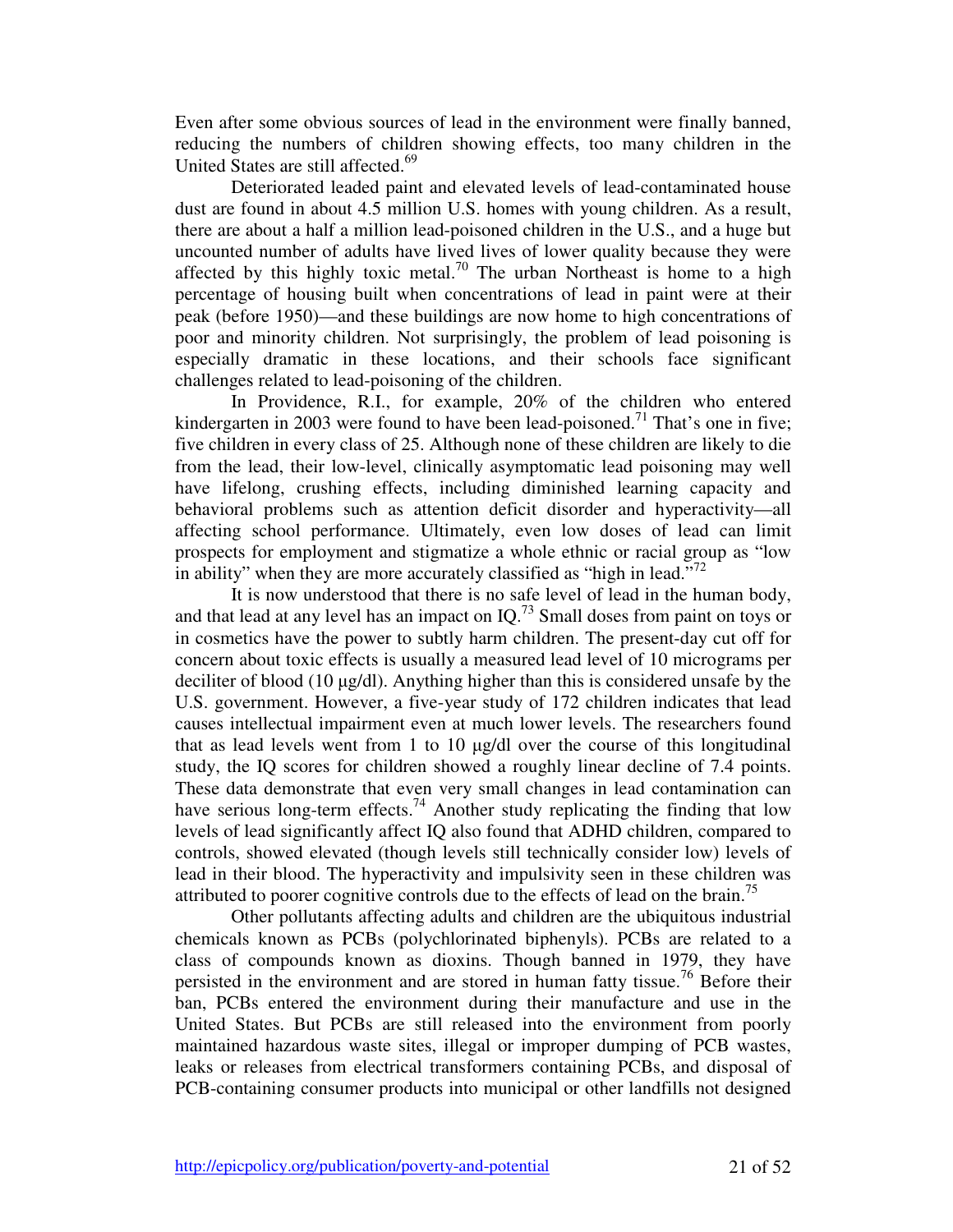Even after some obvious sources of lead in the environment were finally banned, reducing the numbers of children showing effects, too many children in the United States are still affected.<sup>69</sup>

Deteriorated leaded paint and elevated levels of lead-contaminated house dust are found in about 4.5 million U.S. homes with young children. As a result, there are about a half a million lead-poisoned children in the U.S., and a huge but uncounted number of adults have lived lives of lower quality because they were affected by this highly toxic metal.<sup>70</sup> The urban Northeast is home to a high percentage of housing built when concentrations of lead in paint were at their peak (before 1950)—and these buildings are now home to high concentrations of poor and minority children. Not surprisingly, the problem of lead poisoning is especially dramatic in these locations, and their schools face significant challenges related to lead-poisoning of the children.

In Providence, R.I., for example, 20% of the children who entered kindergarten in 2003 were found to have been lead-poisoned.<sup>71</sup> That's one in five; five children in every class of 25. Although none of these children are likely to die from the lead, their low-level, clinically asymptomatic lead poisoning may well have lifelong, crushing effects, including diminished learning capacity and behavioral problems such as attention deficit disorder and hyperactivity—all affecting school performance. Ultimately, even low doses of lead can limit prospects for employment and stigmatize a whole ethnic or racial group as "low in ability" when they are more accurately classified as "high in lead."<sup>72</sup>

It is now understood that there is no safe level of lead in the human body, and that lead at any level has an impact on  $IQ<sup>73</sup>$  Small doses from paint on toys or in cosmetics have the power to subtly harm children. The present-day cut off for concern about toxic effects is usually a measured lead level of 10 micrograms per deciliter of blood (10  $\mu$ g/dl). Anything higher than this is considered unsafe by the U.S. government. However, a five-year study of 172 children indicates that lead causes intellectual impairment even at much lower levels. The researchers found that as lead levels went from 1 to 10 µg/dl over the course of this longitudinal study, the IQ scores for children showed a roughly linear decline of 7.4 points. These data demonstrate that even very small changes in lead contamination can have serious long-term effects.<sup>74</sup> Another study replicating the finding that low levels of lead significantly affect IQ also found that ADHD children, compared to controls, showed elevated (though levels still technically consider low) levels of lead in their blood. The hyperactivity and impulsivity seen in these children was attributed to poorer cognitive controls due to the effects of lead on the brain.<sup>75</sup>

Other pollutants affecting adults and children are the ubiquitous industrial chemicals known as PCBs (polychlorinated biphenyls). PCBs are related to a class of compounds known as dioxins. Though banned in 1979, they have persisted in the environment and are stored in human fatty tissue.<sup>76</sup> Before their ban, PCBs entered the environment during their manufacture and use in the United States. But PCBs are still released into the environment from poorly maintained hazardous waste sites, illegal or improper dumping of PCB wastes, leaks or releases from electrical transformers containing PCBs, and disposal of PCB-containing consumer products into municipal or other landfills not designed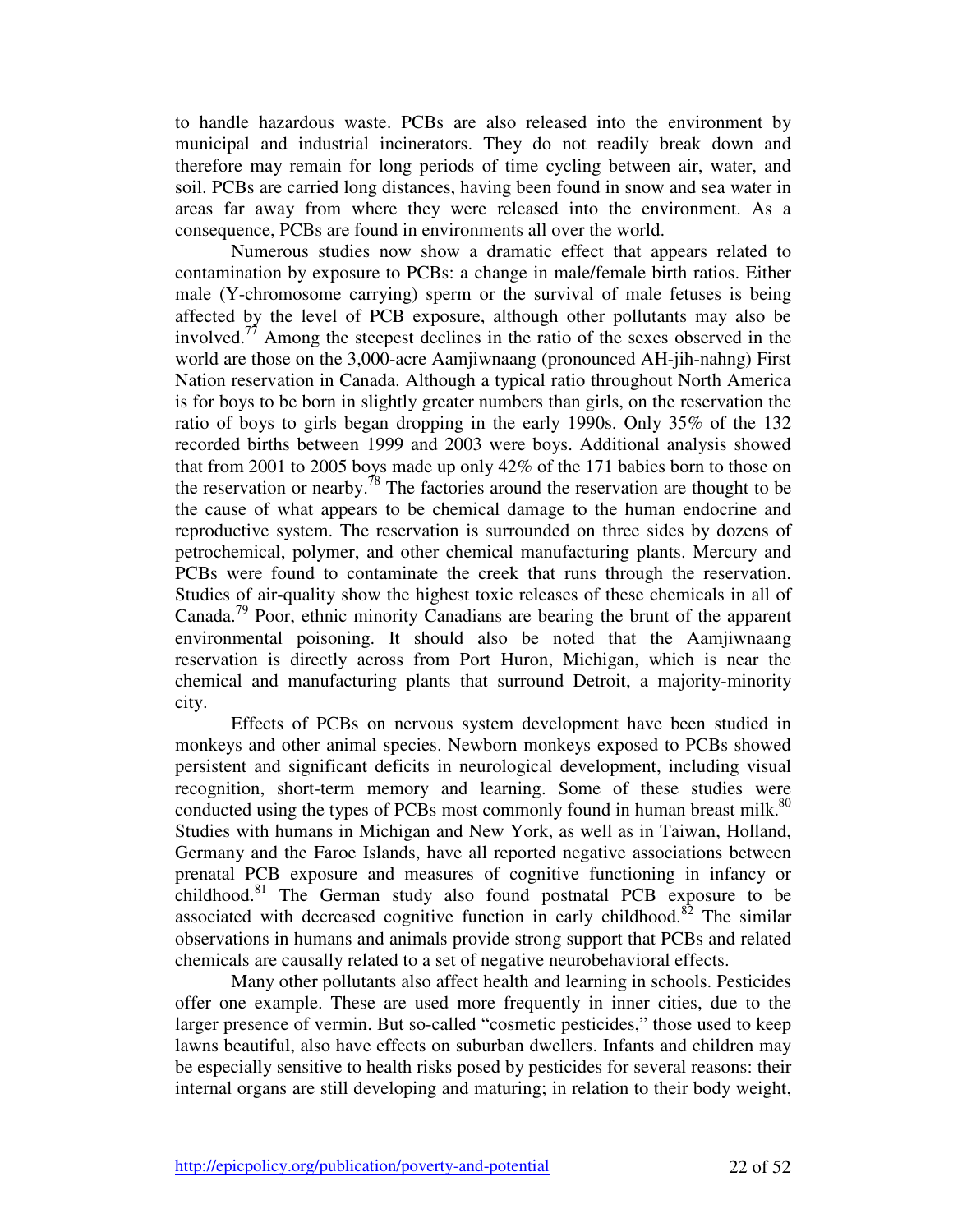to handle hazardous waste. PCBs are also released into the environment by municipal and industrial incinerators. They do not readily break down and therefore may remain for long periods of time cycling between air, water, and soil. PCBs are carried long distances, having been found in snow and sea water in areas far away from where they were released into the environment. As a consequence, PCBs are found in environments all over the world.

Numerous studies now show a dramatic effect that appears related to contamination by exposure to PCBs: a change in male/female birth ratios. Either male (Y-chromosome carrying) sperm or the survival of male fetuses is being affected by the level of PCB exposure, although other pollutants may also be involved.<sup>77</sup> Among the steepest declines in the ratio of the sexes observed in the world are those on the 3,000-acre Aamjiwnaang (pronounced AH-jih-nahng) First Nation reservation in Canada. Although a typical ratio throughout North America is for boys to be born in slightly greater numbers than girls, on the reservation the ratio of boys to girls began dropping in the early 1990s. Only 35% of the 132 recorded births between 1999 and 2003 were boys. Additional analysis showed that from 2001 to 2005 boys made up only 42% of the 171 babies born to those on the reservation or nearby.<sup>78</sup> The factories around the reservation are thought to be the cause of what appears to be chemical damage to the human endocrine and reproductive system. The reservation is surrounded on three sides by dozens of petrochemical, polymer, and other chemical manufacturing plants. Mercury and PCBs were found to contaminate the creek that runs through the reservation. Studies of air-quality show the highest toxic releases of these chemicals in all of Canada.<sup>79</sup> Poor, ethnic minority Canadians are bearing the brunt of the apparent environmental poisoning. It should also be noted that the Aamjiwnaang reservation is directly across from Port Huron, Michigan, which is near the chemical and manufacturing plants that surround Detroit, a majority-minority city.

Effects of PCBs on nervous system development have been studied in monkeys and other animal species. Newborn monkeys exposed to PCBs showed persistent and significant deficits in neurological development, including visual recognition, short-term memory and learning. Some of these studies were conducted using the types of PCBs most commonly found in human breast milk.<sup>80</sup> Studies with humans in Michigan and New York, as well as in Taiwan, Holland, Germany and the Faroe Islands, have all reported negative associations between prenatal PCB exposure and measures of cognitive functioning in infancy or childhood.<sup>81</sup> The German study also found postnatal PCB exposure to be associated with decreased cognitive function in early childhood.<sup>82</sup> The similar observations in humans and animals provide strong support that PCBs and related chemicals are causally related to a set of negative neurobehavioral effects.

Many other pollutants also affect health and learning in schools. Pesticides offer one example. These are used more frequently in inner cities, due to the larger presence of vermin. But so-called "cosmetic pesticides," those used to keep lawns beautiful, also have effects on suburban dwellers. Infants and children may be especially sensitive to health risks posed by pesticides for several reasons: their internal organs are still developing and maturing; in relation to their body weight,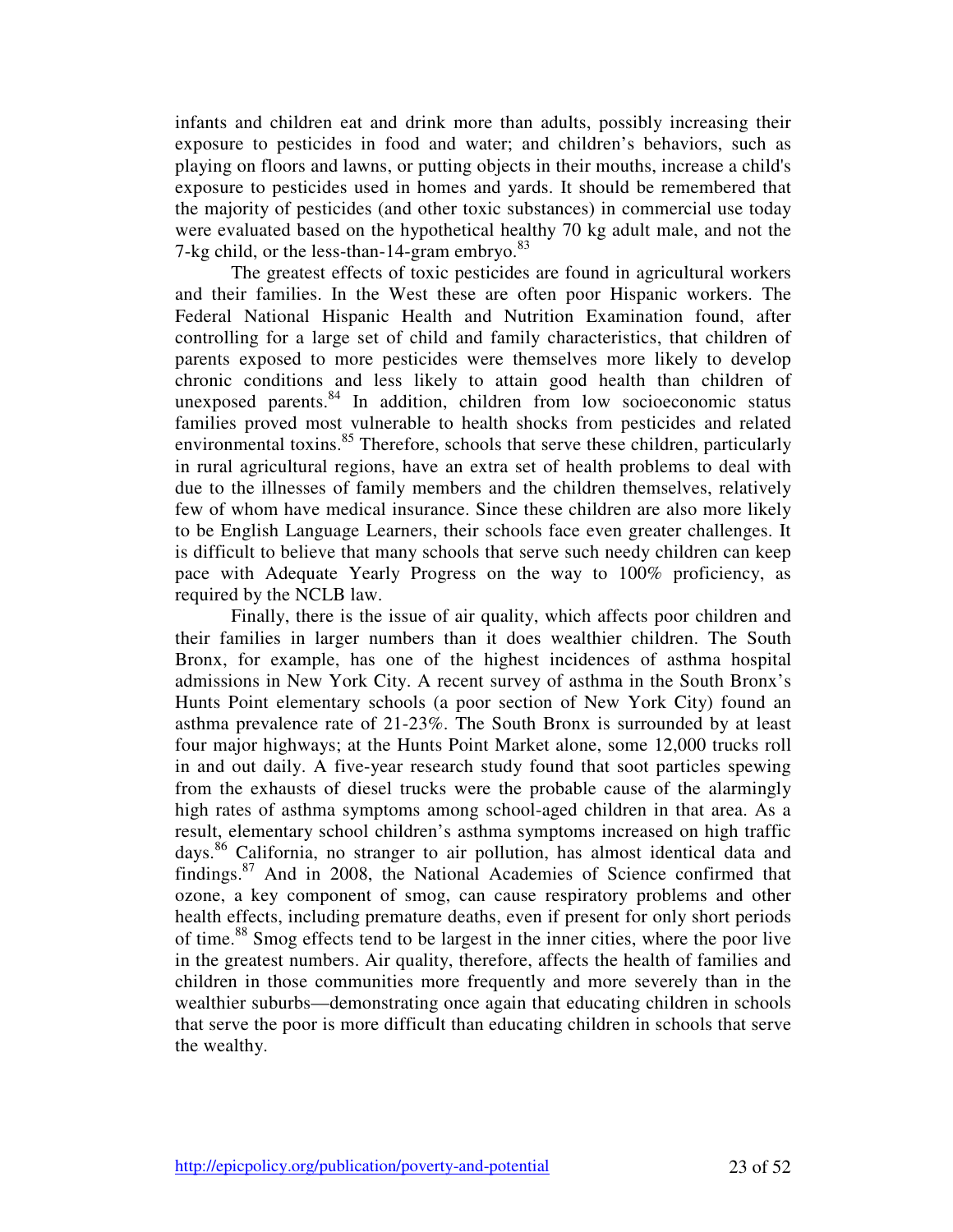infants and children eat and drink more than adults, possibly increasing their exposure to pesticides in food and water; and children's behaviors, such as playing on floors and lawns, or putting objects in their mouths, increase a child's exposure to pesticides used in homes and yards. It should be remembered that the majority of pesticides (and other toxic substances) in commercial use today were evaluated based on the hypothetical healthy 70 kg adult male, and not the 7-kg child, or the less-than-14-gram embryo. $^{83}$ 

The greatest effects of toxic pesticides are found in agricultural workers and their families. In the West these are often poor Hispanic workers. The Federal National Hispanic Health and Nutrition Examination found, after controlling for a large set of child and family characteristics, that children of parents exposed to more pesticides were themselves more likely to develop chronic conditions and less likely to attain good health than children of unexposed parents.<sup>84</sup> In addition, children from low socioeconomic status families proved most vulnerable to health shocks from pesticides and related environmental toxins.<sup>85</sup> Therefore, schools that serve these children, particularly in rural agricultural regions, have an extra set of health problems to deal with due to the illnesses of family members and the children themselves, relatively few of whom have medical insurance. Since these children are also more likely to be English Language Learners, their schools face even greater challenges. It is difficult to believe that many schools that serve such needy children can keep pace with Adequate Yearly Progress on the way to 100% proficiency, as required by the NCLB law.

Finally, there is the issue of air quality, which affects poor children and their families in larger numbers than it does wealthier children. The South Bronx, for example, has one of the highest incidences of asthma hospital admissions in New York City. A recent survey of asthma in the South Bronx's Hunts Point elementary schools (a poor section of New York City) found an asthma prevalence rate of 21-23%. The South Bronx is surrounded by at least four major highways; at the Hunts Point Market alone, some 12,000 trucks roll in and out daily. A five-year research study found that soot particles spewing from the exhausts of diesel trucks were the probable cause of the alarmingly high rates of asthma symptoms among school-aged children in that area. As a result, elementary school children's asthma symptoms increased on high traffic days.<sup>86</sup> California, no stranger to air pollution, has almost identical data and findings.<sup>87</sup> And in 2008, the National Academies of Science confirmed that ozone, a key component of smog, can cause respiratory problems and other health effects, including premature deaths, even if present for only short periods of time.<sup>88</sup> Smog effects tend to be largest in the inner cities, where the poor live in the greatest numbers. Air quality, therefore, affects the health of families and children in those communities more frequently and more severely than in the wealthier suburbs—demonstrating once again that educating children in schools that serve the poor is more difficult than educating children in schools that serve the wealthy.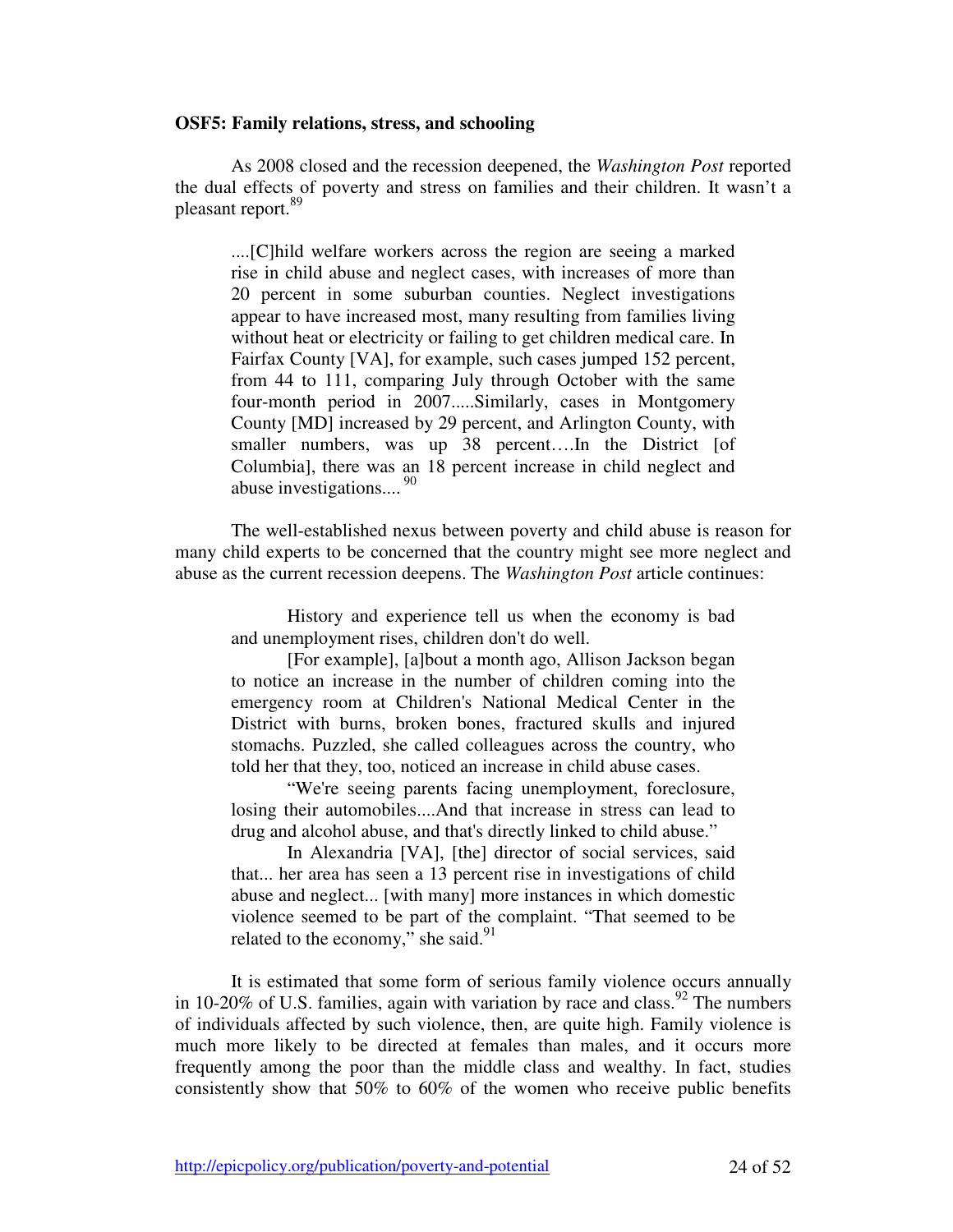#### **OSF5: Family relations, stress, and schooling**

As 2008 closed and the recession deepened, the *Washington Post* reported the dual effects of poverty and stress on families and their children. It wasn't a pleasant report.<sup>89</sup>

....[C]hild welfare workers across the region are seeing a marked rise in child abuse and neglect cases, with increases of more than 20 percent in some suburban counties. Neglect investigations appear to have increased most, many resulting from families living without heat or electricity or failing to get children medical care. In Fairfax County [VA], for example, such cases jumped 152 percent, from 44 to 111, comparing July through October with the same four-month period in 2007.....Similarly, cases in Montgomery County [MD] increased by 29 percent, and Arlington County, with smaller numbers, was up 38 percent....In the District [of Columbia], there was an 18 percent increase in child neglect and abuse investigations.... $90$ 

The well-established nexus between poverty and child abuse is reason for many child experts to be concerned that the country might see more neglect and abuse as the current recession deepens. The *Washington Post* article continues:

History and experience tell us when the economy is bad and unemployment rises, children don't do well.

 [For example], [a]bout a month ago, Allison Jackson began to notice an increase in the number of children coming into the emergency room at Children's National Medical Center in the District with burns, broken bones, fractured skulls and injured stomachs. Puzzled, she called colleagues across the country, who told her that they, too, noticed an increase in child abuse cases.

"We're seeing parents facing unemployment, foreclosure, losing their automobiles....And that increase in stress can lead to drug and alcohol abuse, and that's directly linked to child abuse."

In Alexandria [VA], [the] director of social services, said that... her area has seen a 13 percent rise in investigations of child abuse and neglect... [with many] more instances in which domestic violence seemed to be part of the complaint. "That seemed to be related to the economy," she said. $91$ 

It is estimated that some form of serious family violence occurs annually in 10-20% of U.S. families, again with variation by race and class.<sup>92</sup> The numbers of individuals affected by such violence, then, are quite high. Family violence is much more likely to be directed at females than males, and it occurs more frequently among the poor than the middle class and wealthy. In fact, studies consistently show that 50% to 60% of the women who receive public benefits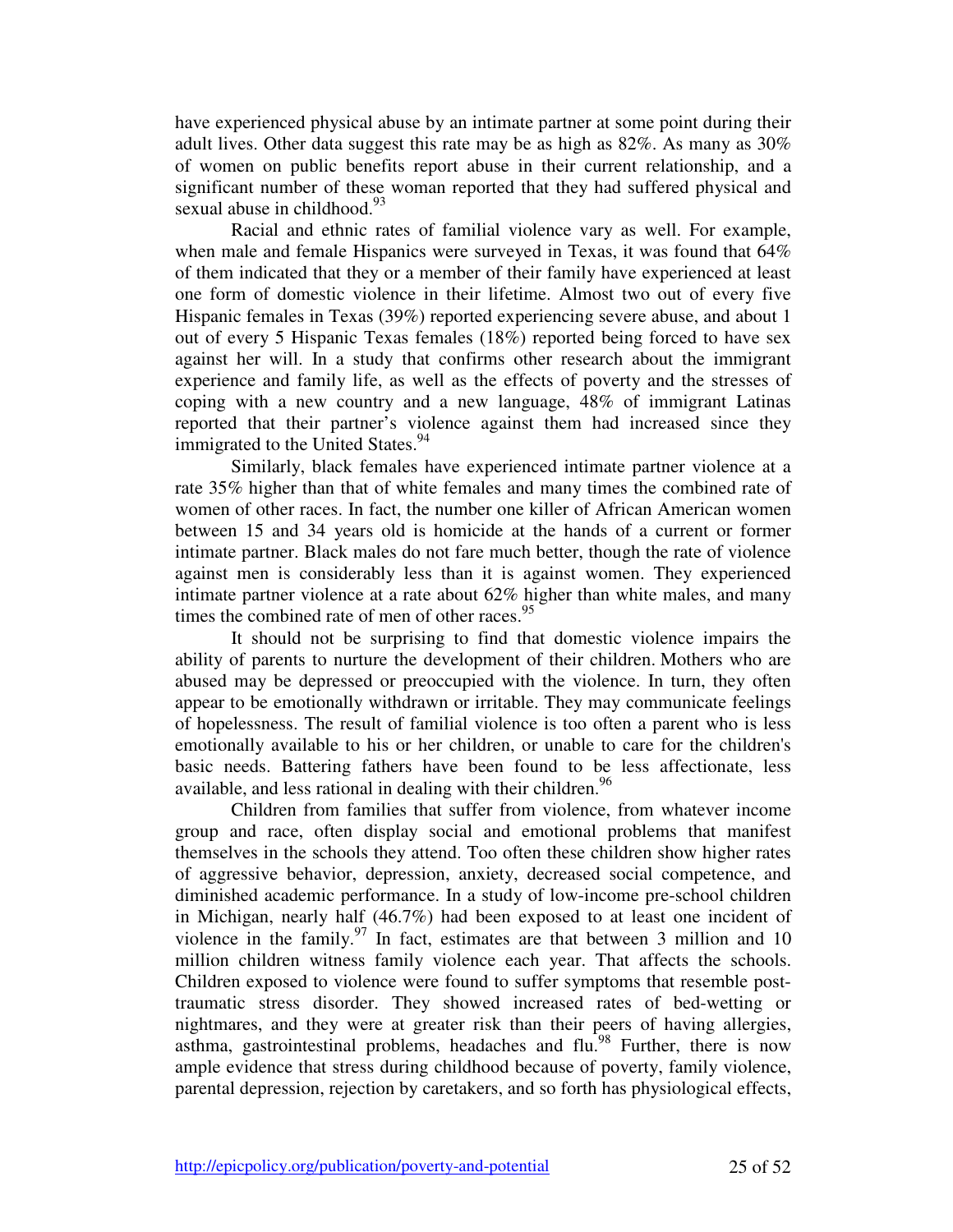have experienced physical abuse by an intimate partner at some point during their adult lives. Other data suggest this rate may be as high as 82%. As many as 30% of women on public benefits report abuse in their current relationship, and a significant number of these woman reported that they had suffered physical and sexual abuse in childhood.<sup>93</sup>

Racial and ethnic rates of familial violence vary as well. For example, when male and female Hispanics were surveyed in Texas, it was found that 64% of them indicated that they or a member of their family have experienced at least one form of domestic violence in their lifetime. Almost two out of every five Hispanic females in Texas (39%) reported experiencing severe abuse, and about 1 out of every 5 Hispanic Texas females (18%) reported being forced to have sex against her will. In a study that confirms other research about the immigrant experience and family life, as well as the effects of poverty and the stresses of coping with a new country and a new language, 48% of immigrant Latinas reported that their partner's violence against them had increased since they immigrated to the United States.<sup>94</sup>

Similarly, black females have experienced intimate partner violence at a rate 35% higher than that of white females and many times the combined rate of women of other races. In fact, the number one killer of African American women between 15 and 34 years old is homicide at the hands of a current or former intimate partner. Black males do not fare much better, though the rate of violence against men is considerably less than it is against women. They experienced intimate partner violence at a rate about 62% higher than white males, and many times the combined rate of men of other races.<sup>95</sup>

It should not be surprising to find that domestic violence impairs the ability of parents to nurture the development of their children. Mothers who are abused may be depressed or preoccupied with the violence. In turn, they often appear to be emotionally withdrawn or irritable. They may communicate feelings of hopelessness. The result of familial violence is too often a parent who is less emotionally available to his or her children, or unable to care for the children's basic needs. Battering fathers have been found to be less affectionate, less available, and less rational in dealing with their children.<sup>96</sup>

Children from families that suffer from violence, from whatever income group and race, often display social and emotional problems that manifest themselves in the schools they attend. Too often these children show higher rates of aggressive behavior, depression, anxiety, decreased social competence, and diminished academic performance. In a study of low-income pre-school children in Michigan, nearly half (46.7%) had been exposed to at least one incident of violence in the family.<sup>97</sup> In fact, estimates are that between 3 million and 10 million children witness family violence each year. That affects the schools. Children exposed to violence were found to suffer symptoms that resemble posttraumatic stress disorder. They showed increased rates of bed-wetting or nightmares, and they were at greater risk than their peers of having allergies, asthma, gastrointestinal problems, headaches and flu.<sup>98</sup> Further, there is now ample evidence that stress during childhood because of poverty, family violence, parental depression, rejection by caretakers, and so forth has physiological effects,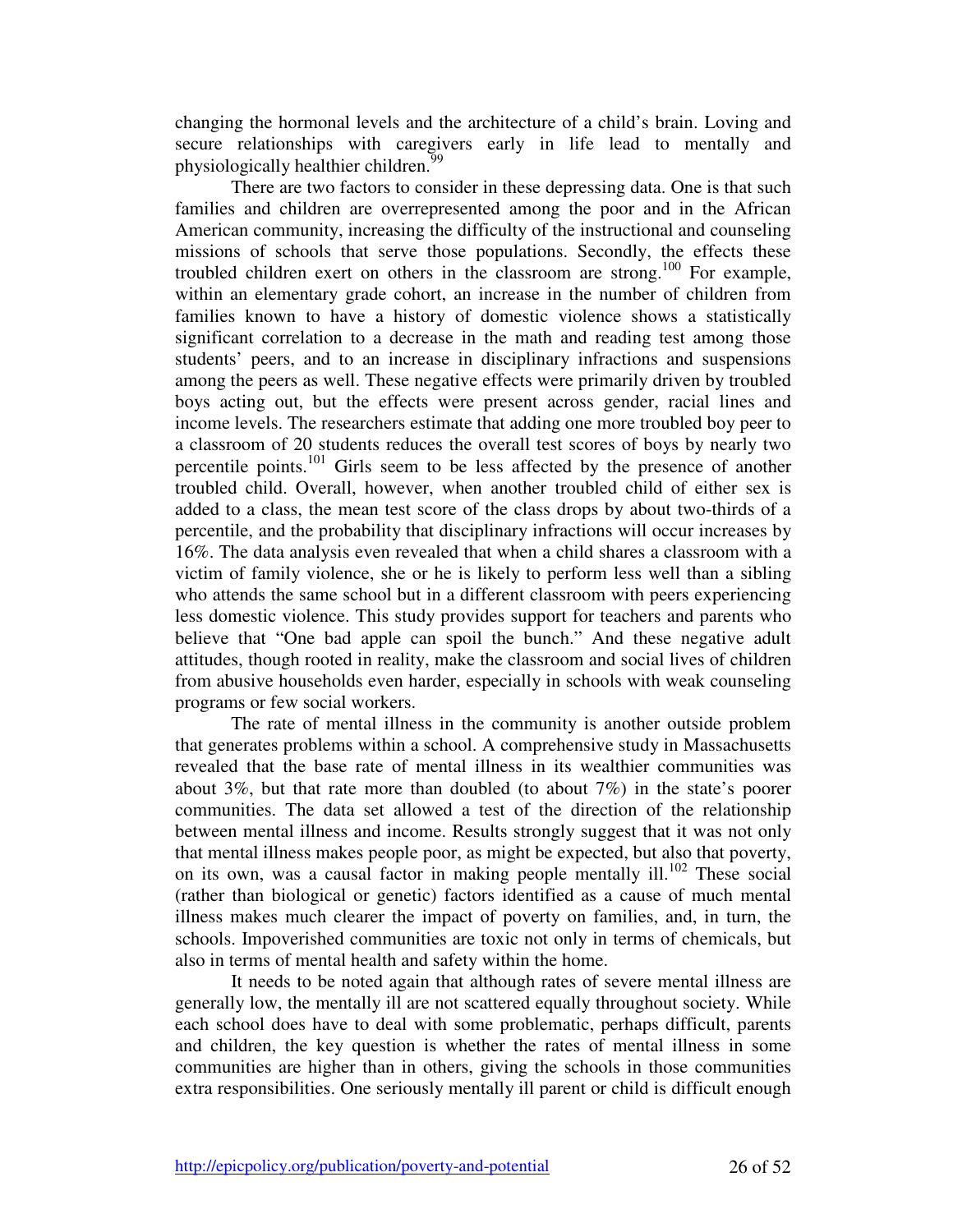changing the hormonal levels and the architecture of a child's brain. Loving and secure relationships with caregivers early in life lead to mentally and physiologically healthier children.<sup>99</sup>

There are two factors to consider in these depressing data. One is that such families and children are overrepresented among the poor and in the African American community, increasing the difficulty of the instructional and counseling missions of schools that serve those populations. Secondly, the effects these troubled children exert on others in the classroom are strong.<sup>100</sup> For example, within an elementary grade cohort, an increase in the number of children from families known to have a history of domestic violence shows a statistically significant correlation to a decrease in the math and reading test among those students' peers, and to an increase in disciplinary infractions and suspensions among the peers as well. These negative effects were primarily driven by troubled boys acting out, but the effects were present across gender, racial lines and income levels. The researchers estimate that adding one more troubled boy peer to a classroom of 20 students reduces the overall test scores of boys by nearly two percentile points.<sup>101</sup> Girls seem to be less affected by the presence of another troubled child. Overall, however, when another troubled child of either sex is added to a class, the mean test score of the class drops by about two-thirds of a percentile, and the probability that disciplinary infractions will occur increases by 16%. The data analysis even revealed that when a child shares a classroom with a victim of family violence, she or he is likely to perform less well than a sibling who attends the same school but in a different classroom with peers experiencing less domestic violence. This study provides support for teachers and parents who believe that "One bad apple can spoil the bunch." And these negative adult attitudes, though rooted in reality, make the classroom and social lives of children from abusive households even harder, especially in schools with weak counseling programs or few social workers.

The rate of mental illness in the community is another outside problem that generates problems within a school. A comprehensive study in Massachusetts revealed that the base rate of mental illness in its wealthier communities was about 3%, but that rate more than doubled (to about 7%) in the state's poorer communities. The data set allowed a test of the direction of the relationship between mental illness and income. Results strongly suggest that it was not only that mental illness makes people poor, as might be expected, but also that poverty, on its own, was a causal factor in making people mentally ill.<sup>102</sup> These social (rather than biological or genetic) factors identified as a cause of much mental illness makes much clearer the impact of poverty on families, and, in turn, the schools. Impoverished communities are toxic not only in terms of chemicals, but also in terms of mental health and safety within the home.

It needs to be noted again that although rates of severe mental illness are generally low, the mentally ill are not scattered equally throughout society. While each school does have to deal with some problematic, perhaps difficult, parents and children, the key question is whether the rates of mental illness in some communities are higher than in others, giving the schools in those communities extra responsibilities. One seriously mentally ill parent or child is difficult enough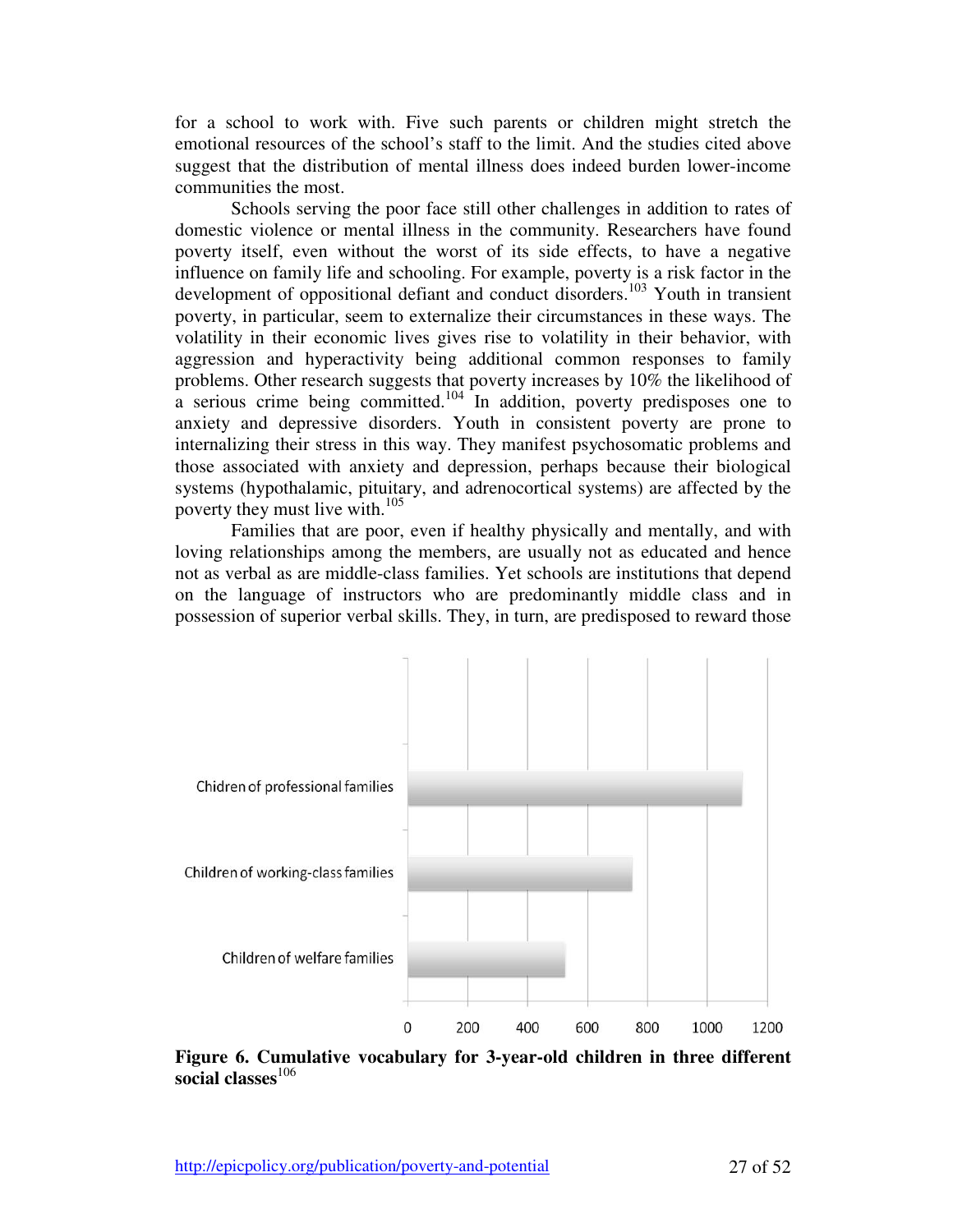for a school to work with. Five such parents or children might stretch the emotional resources of the school's staff to the limit. And the studies cited above suggest that the distribution of mental illness does indeed burden lower-income communities the most.

Schools serving the poor face still other challenges in addition to rates of domestic violence or mental illness in the community. Researchers have found poverty itself, even without the worst of its side effects, to have a negative influence on family life and schooling. For example, poverty is a risk factor in the development of oppositional defiant and conduct disorders.<sup>103</sup> Youth in transient poverty, in particular, seem to externalize their circumstances in these ways. The volatility in their economic lives gives rise to volatility in their behavior, with aggression and hyperactivity being additional common responses to family problems. Other research suggests that poverty increases by 10% the likelihood of a serious crime being committed.<sup>104</sup> In addition, poverty predisposes one to anxiety and depressive disorders. Youth in consistent poverty are prone to internalizing their stress in this way. They manifest psychosomatic problems and those associated with anxiety and depression, perhaps because their biological systems (hypothalamic, pituitary, and adrenocortical systems) are affected by the poverty they must live with.<sup>105</sup>

Families that are poor, even if healthy physically and mentally, and with loving relationships among the members, are usually not as educated and hence not as verbal as are middle-class families. Yet schools are institutions that depend on the language of instructors who are predominantly middle class and in possession of superior verbal skills. They, in turn, are predisposed to reward those



**Figure 6. Cumulative vocabulary for 3-year-old children in three different**  social classes<sup>106</sup>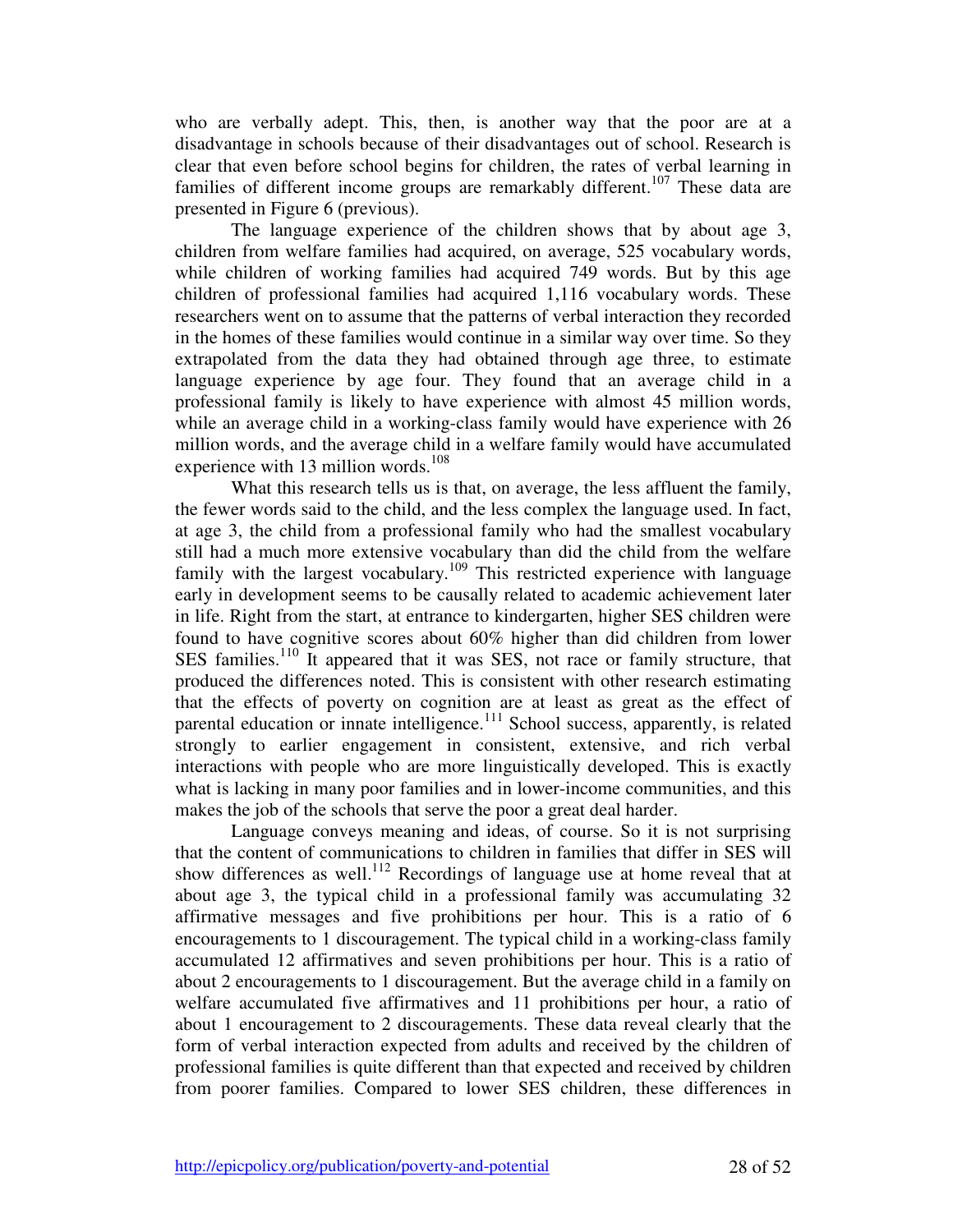who are verbally adept. This, then, is another way that the poor are at a disadvantage in schools because of their disadvantages out of school. Research is clear that even before school begins for children, the rates of verbal learning in families of different income groups are remarkably different.<sup>107</sup> These data are presented in Figure 6 (previous).

The language experience of the children shows that by about age 3, children from welfare families had acquired, on average, 525 vocabulary words, while children of working families had acquired 749 words. But by this age children of professional families had acquired 1,116 vocabulary words. These researchers went on to assume that the patterns of verbal interaction they recorded in the homes of these families would continue in a similar way over time. So they extrapolated from the data they had obtained through age three, to estimate language experience by age four. They found that an average child in a professional family is likely to have experience with almost 45 million words, while an average child in a working-class family would have experience with 26 million words, and the average child in a welfare family would have accumulated experience with 13 million words. $108$ 

What this research tells us is that, on average, the less affluent the family, the fewer words said to the child, and the less complex the language used. In fact, at age 3, the child from a professional family who had the smallest vocabulary still had a much more extensive vocabulary than did the child from the welfare family with the largest vocabulary.<sup>109</sup> This restricted experience with language early in development seems to be causally related to academic achievement later in life. Right from the start, at entrance to kindergarten, higher SES children were found to have cognitive scores about 60% higher than did children from lower SES families.<sup>110</sup> It appeared that it was SES, not race or family structure, that produced the differences noted. This is consistent with other research estimating that the effects of poverty on cognition are at least as great as the effect of parental education or innate intelligence.<sup>111</sup> School success, apparently, is related strongly to earlier engagement in consistent, extensive, and rich verbal interactions with people who are more linguistically developed. This is exactly what is lacking in many poor families and in lower-income communities, and this makes the job of the schools that serve the poor a great deal harder.

Language conveys meaning and ideas, of course. So it is not surprising that the content of communications to children in families that differ in SES will show differences as well.<sup>112</sup> Recordings of language use at home reveal that at about age 3, the typical child in a professional family was accumulating 32 affirmative messages and five prohibitions per hour. This is a ratio of 6 encouragements to 1 discouragement. The typical child in a working-class family accumulated 12 affirmatives and seven prohibitions per hour. This is a ratio of about 2 encouragements to 1 discouragement. But the average child in a family on welfare accumulated five affirmatives and 11 prohibitions per hour, a ratio of about 1 encouragement to 2 discouragements. These data reveal clearly that the form of verbal interaction expected from adults and received by the children of professional families is quite different than that expected and received by children from poorer families. Compared to lower SES children, these differences in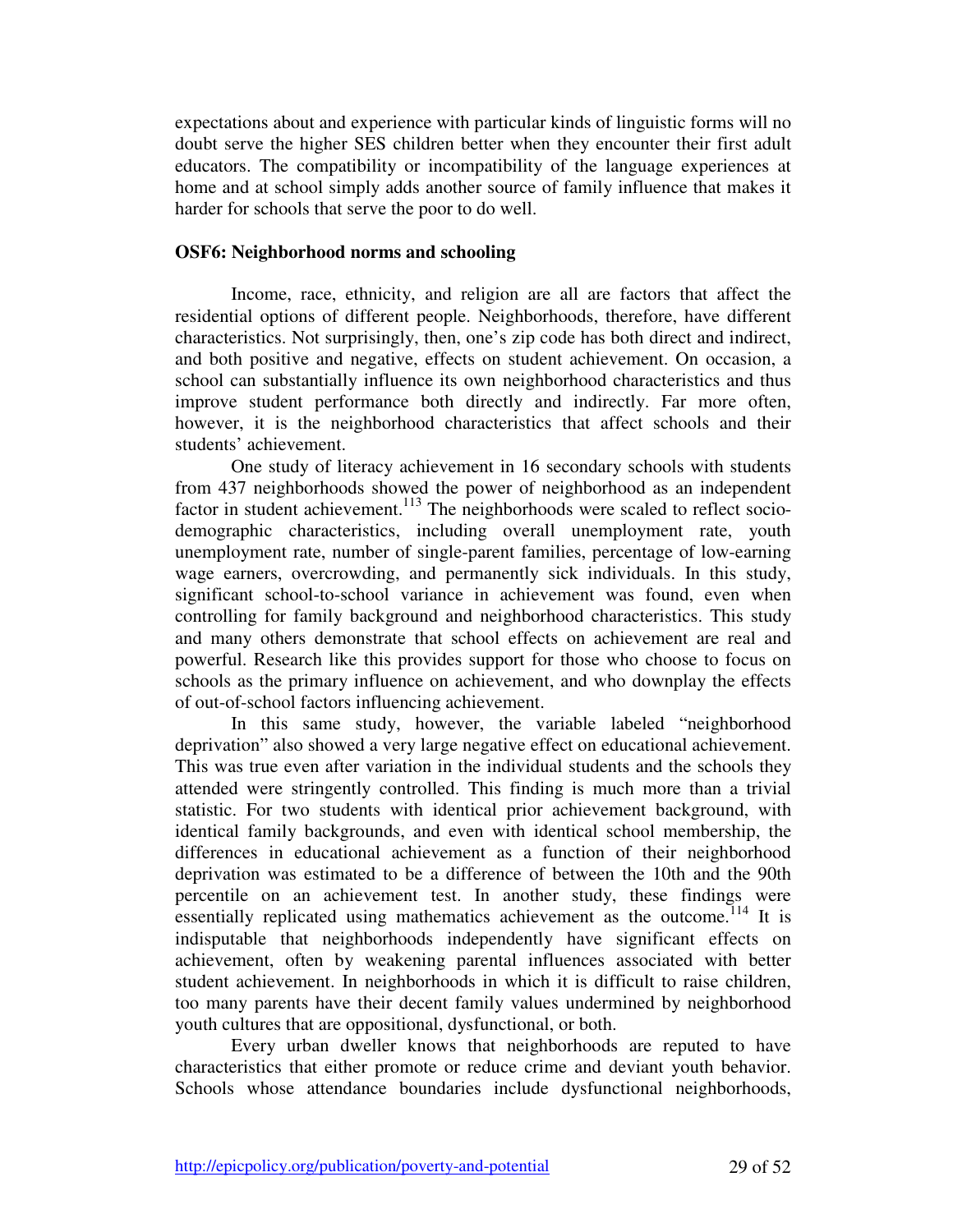expectations about and experience with particular kinds of linguistic forms will no doubt serve the higher SES children better when they encounter their first adult educators. The compatibility or incompatibility of the language experiences at home and at school simply adds another source of family influence that makes it harder for schools that serve the poor to do well.

### **OSF6: Neighborhood norms and schooling**

Income, race, ethnicity, and religion are all are factors that affect the residential options of different people. Neighborhoods, therefore, have different characteristics. Not surprisingly, then, one's zip code has both direct and indirect, and both positive and negative, effects on student achievement. On occasion, a school can substantially influence its own neighborhood characteristics and thus improve student performance both directly and indirectly. Far more often, however, it is the neighborhood characteristics that affect schools and their students' achievement.

One study of literacy achievement in 16 secondary schools with students from 437 neighborhoods showed the power of neighborhood as an independent factor in student achievement.<sup>113</sup> The neighborhoods were scaled to reflect sociodemographic characteristics, including overall unemployment rate, youth unemployment rate, number of single-parent families, percentage of low-earning wage earners, overcrowding, and permanently sick individuals. In this study, significant school-to-school variance in achievement was found, even when controlling for family background and neighborhood characteristics. This study and many others demonstrate that school effects on achievement are real and powerful. Research like this provides support for those who choose to focus on schools as the primary influence on achievement, and who downplay the effects of out-of-school factors influencing achievement.

In this same study, however, the variable labeled "neighborhood deprivation" also showed a very large negative effect on educational achievement. This was true even after variation in the individual students and the schools they attended were stringently controlled. This finding is much more than a trivial statistic. For two students with identical prior achievement background, with identical family backgrounds, and even with identical school membership, the differences in educational achievement as a function of their neighborhood deprivation was estimated to be a difference of between the 10th and the 90th percentile on an achievement test. In another study, these findings were essentially replicated using mathematics achievement as the outcome.<sup>114</sup> It is indisputable that neighborhoods independently have significant effects on achievement, often by weakening parental influences associated with better student achievement. In neighborhoods in which it is difficult to raise children, too many parents have their decent family values undermined by neighborhood youth cultures that are oppositional, dysfunctional, or both.

Every urban dweller knows that neighborhoods are reputed to have characteristics that either promote or reduce crime and deviant youth behavior. Schools whose attendance boundaries include dysfunctional neighborhoods,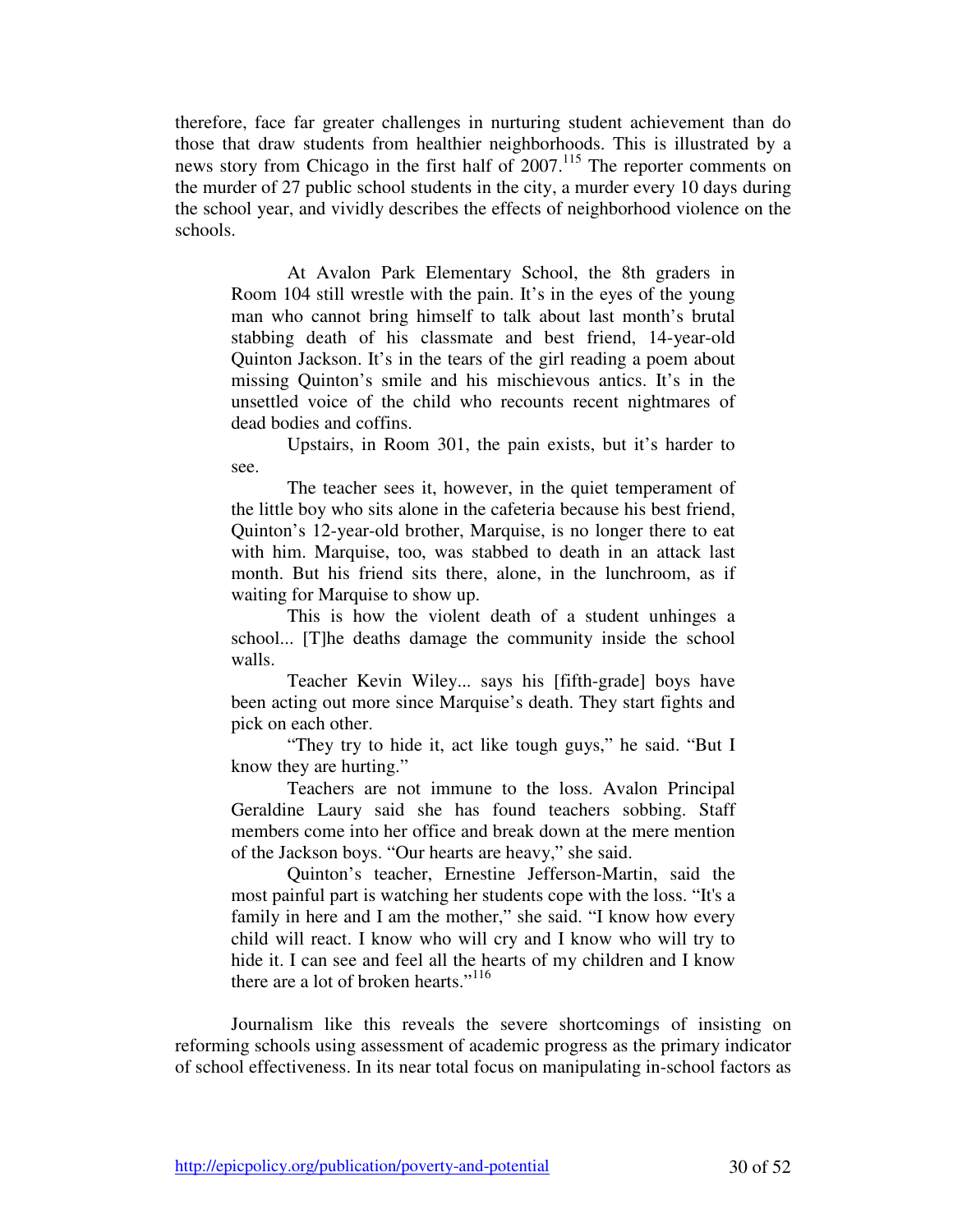therefore, face far greater challenges in nurturing student achievement than do those that draw students from healthier neighborhoods. This is illustrated by a news story from Chicago in the first half of  $2007$ .<sup>115</sup> The reporter comments on the murder of 27 public school students in the city, a murder every 10 days during the school year, and vividly describes the effects of neighborhood violence on the schools.

At Avalon Park Elementary School, the 8th graders in Room 104 still wrestle with the pain. It's in the eyes of the young man who cannot bring himself to talk about last month's brutal stabbing death of his classmate and best friend, 14-year-old Quinton Jackson. It's in the tears of the girl reading a poem about missing Quinton's smile and his mischievous antics. It's in the unsettled voice of the child who recounts recent nightmares of dead bodies and coffins.

Upstairs, in Room 301, the pain exists, but it's harder to see.

The teacher sees it, however, in the quiet temperament of the little boy who sits alone in the cafeteria because his best friend, Quinton's 12-year-old brother, Marquise, is no longer there to eat with him. Marquise, too, was stabbed to death in an attack last month. But his friend sits there, alone, in the lunchroom, as if waiting for Marquise to show up.

This is how the violent death of a student unhinges a school... [T]he deaths damage the community inside the school walls.

Teacher Kevin Wiley... says his [fifth-grade] boys have been acting out more since Marquise's death. They start fights and pick on each other.

"They try to hide it, act like tough guys," he said. "But I know they are hurting."

Teachers are not immune to the loss. Avalon Principal Geraldine Laury said she has found teachers sobbing. Staff members come into her office and break down at the mere mention of the Jackson boys. "Our hearts are heavy," she said.

Quinton's teacher, Ernestine Jefferson-Martin, said the most painful part is watching her students cope with the loss. "It's a family in here and I am the mother," she said. "I know how every child will react. I know who will cry and I know who will try to hide it. I can see and feel all the hearts of my children and I know there are a lot of broken hearts."<sup>116</sup>

Journalism like this reveals the severe shortcomings of insisting on reforming schools using assessment of academic progress as the primary indicator of school effectiveness. In its near total focus on manipulating in-school factors as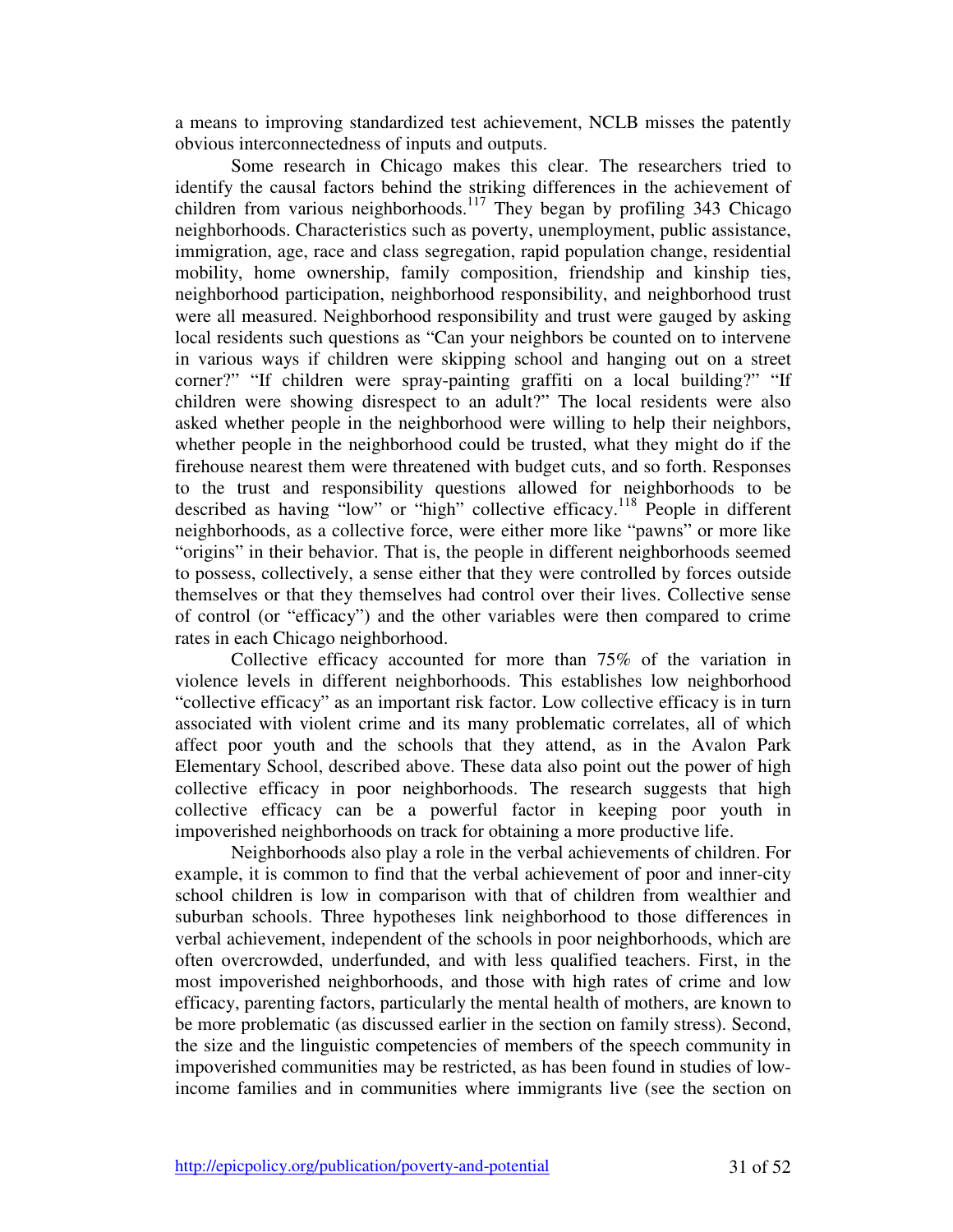a means to improving standardized test achievement, NCLB misses the patently obvious interconnectedness of inputs and outputs.

Some research in Chicago makes this clear. The researchers tried to identify the causal factors behind the striking differences in the achievement of children from various neighborhoods.<sup>117</sup> They began by profiling 343 Chicago neighborhoods. Characteristics such as poverty, unemployment, public assistance, immigration, age, race and class segregation, rapid population change, residential mobility, home ownership, family composition, friendship and kinship ties, neighborhood participation, neighborhood responsibility, and neighborhood trust were all measured. Neighborhood responsibility and trust were gauged by asking local residents such questions as "Can your neighbors be counted on to intervene in various ways if children were skipping school and hanging out on a street corner?" "If children were spray-painting graffiti on a local building?" "If children were showing disrespect to an adult?" The local residents were also asked whether people in the neighborhood were willing to help their neighbors, whether people in the neighborhood could be trusted, what they might do if the firehouse nearest them were threatened with budget cuts, and so forth. Responses to the trust and responsibility questions allowed for neighborhoods to be described as having "low" or "high" collective efficacy.<sup>118</sup> People in different neighborhoods, as a collective force, were either more like "pawns" or more like "origins" in their behavior. That is, the people in different neighborhoods seemed to possess, collectively, a sense either that they were controlled by forces outside themselves or that they themselves had control over their lives. Collective sense of control (or "efficacy") and the other variables were then compared to crime rates in each Chicago neighborhood.

Collective efficacy accounted for more than 75% of the variation in violence levels in different neighborhoods. This establishes low neighborhood "collective efficacy" as an important risk factor. Low collective efficacy is in turn associated with violent crime and its many problematic correlates, all of which affect poor youth and the schools that they attend, as in the Avalon Park Elementary School, described above. These data also point out the power of high collective efficacy in poor neighborhoods. The research suggests that high collective efficacy can be a powerful factor in keeping poor youth in impoverished neighborhoods on track for obtaining a more productive life.

Neighborhoods also play a role in the verbal achievements of children. For example, it is common to find that the verbal achievement of poor and inner-city school children is low in comparison with that of children from wealthier and suburban schools. Three hypotheses link neighborhood to those differences in verbal achievement, independent of the schools in poor neighborhoods, which are often overcrowded, underfunded, and with less qualified teachers. First, in the most impoverished neighborhoods, and those with high rates of crime and low efficacy, parenting factors, particularly the mental health of mothers, are known to be more problematic (as discussed earlier in the section on family stress). Second, the size and the linguistic competencies of members of the speech community in impoverished communities may be restricted, as has been found in studies of lowincome families and in communities where immigrants live (see the section on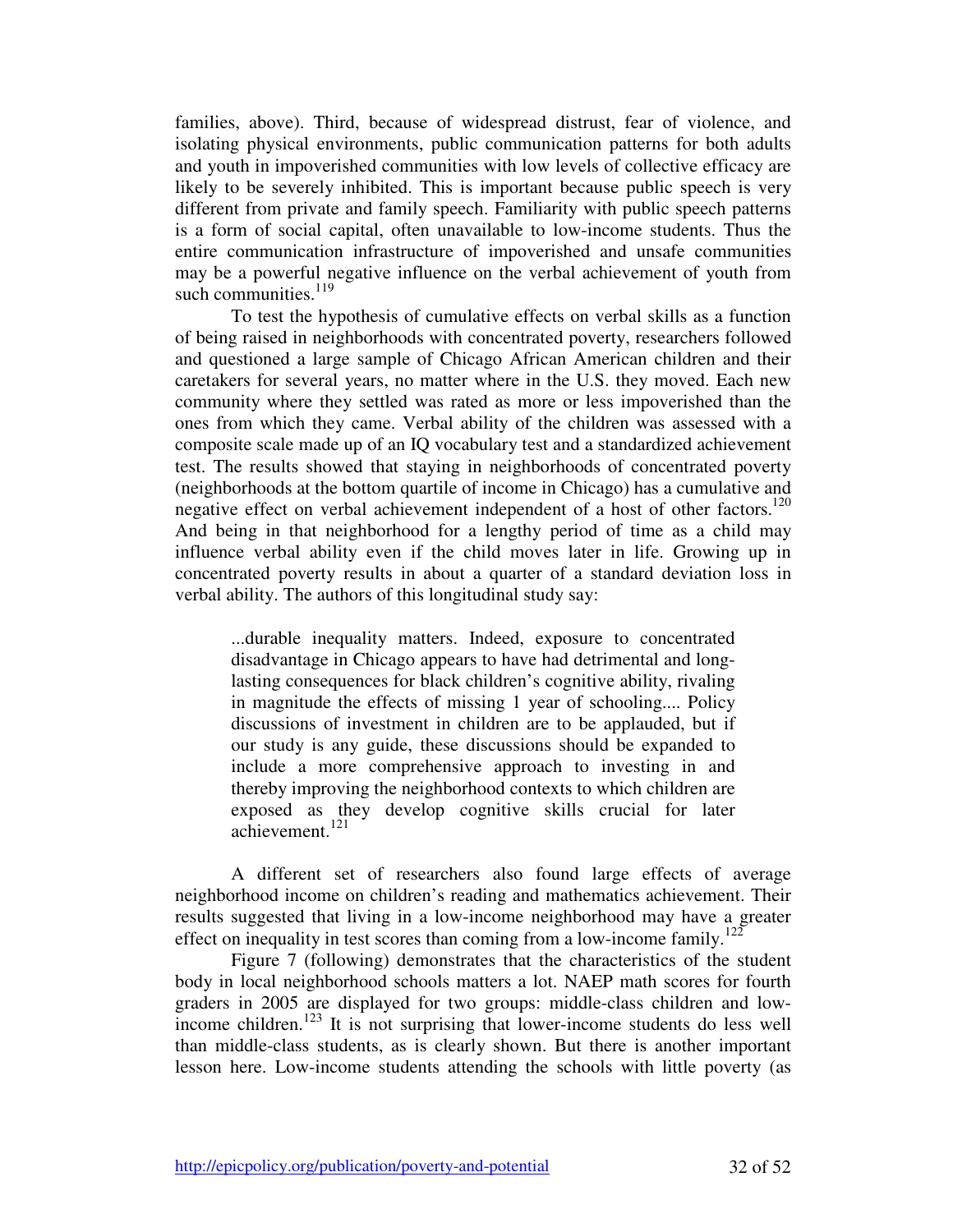families, above). Third, because of widespread distrust, fear of violence, and isolating physical environments, public communication patterns for both adults and youth in impoverished communities with low levels of collective efficacy are likely to be severely inhibited. This is important because public speech is very different from private and family speech. Familiarity with public speech patterns is a form of social capital, often unavailable to low-income students. Thus the entire communication infrastructure of impoverished and unsafe communities may be a powerful negative influence on the verbal achievement of youth from such communities. $119$ 

To test the hypothesis of cumulative effects on verbal skills as a function of being raised in neighborhoods with concentrated poverty, researchers followed and questioned a large sample of Chicago African American children and their caretakers for several years, no matter where in the U.S. they moved. Each new community where they settled was rated as more or less impoverished than the ones from which they came. Verbal ability of the children was assessed with a composite scale made up of an IQ vocabulary test and a standardized achievement test. The results showed that staying in neighborhoods of concentrated poverty (neighborhoods at the bottom quartile of income in Chicago) has a cumulative and negative effect on verbal achievement independent of a host of other factors.<sup>120</sup> And being in that neighborhood for a lengthy period of time as a child may influence verbal ability even if the child moves later in life. Growing up in concentrated poverty results in about a quarter of a standard deviation loss in verbal ability. The authors of this longitudinal study say:

...durable inequality matters. Indeed, exposure to concentrated disadvantage in Chicago appears to have had detrimental and longlasting consequences for black children's cognitive ability, rivaling in magnitude the effects of missing 1 year of schooling.... Policy discussions of investment in children are to be applauded, but if our study is any guide, these discussions should be expanded to include a more comprehensive approach to investing in and thereby improving the neighborhood contexts to which children are exposed as they develop cognitive skills crucial for later achievement.<sup>121</sup>

A different set of researchers also found large effects of average neighborhood income on children's reading and mathematics achievement. Their results suggested that living in a low-income neighborhood may have a greater effect on inequality in test scores than coming from a low-income family.<sup>122</sup>

Figure 7 (following) demonstrates that the characteristics of the student body in local neighborhood schools matters a lot. NAEP math scores for fourth graders in 2005 are displayed for two groups: middle-class children and lowincome children.<sup>123</sup> It is not surprising that lower-income students do less well than middle-class students, as is clearly shown. But there is another important lesson here. Low-income students attending the schools with little poverty (as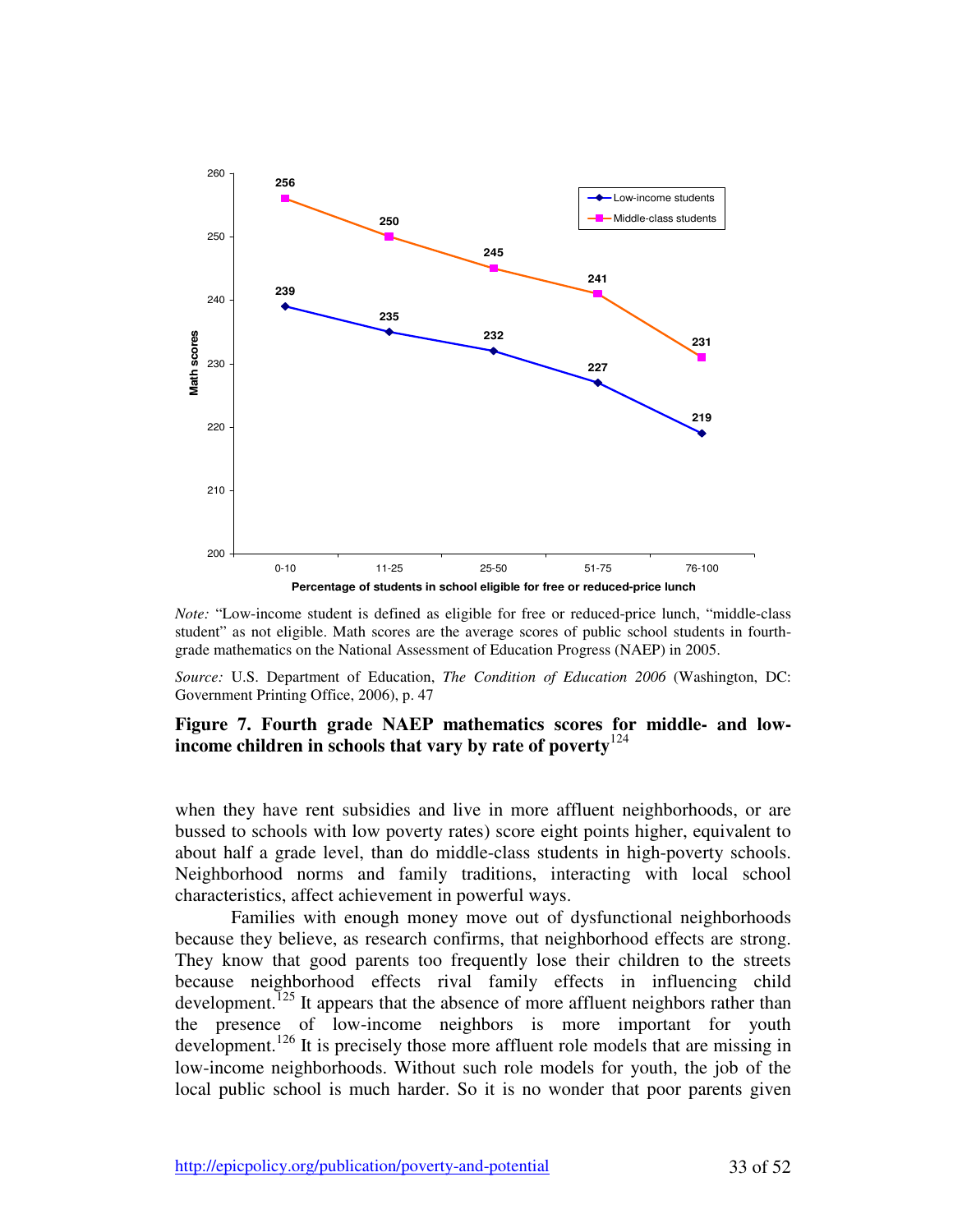

*Note:* "Low-income student is defined as eligible for free or reduced-price lunch, "middle-class student" as not eligible. Math scores are the average scores of public school students in fourthgrade mathematics on the National Assessment of Education Progress (NAEP) in 2005.

*Source:* U.S. Department of Education, *The Condition of Education 2006* (Washington, DC: Government Printing Office, 2006), p. 47

### **Figure 7. Fourth grade NAEP mathematics scores for middle- and lowincome children in schools that vary by rate of poverty**<sup>124</sup>

when they have rent subsidies and live in more affluent neighborhoods, or are bussed to schools with low poverty rates) score eight points higher, equivalent to about half a grade level, than do middle-class students in high-poverty schools. Neighborhood norms and family traditions, interacting with local school characteristics, affect achievement in powerful ways.

Families with enough money move out of dysfunctional neighborhoods because they believe, as research confirms, that neighborhood effects are strong. They know that good parents too frequently lose their children to the streets because neighborhood effects rival family effects in influencing child development.<sup>125</sup> It appears that the absence of more affluent neighbors rather than the presence of low-income neighbors is more important for youth development.<sup>126</sup> It is precisely those more affluent role models that are missing in low-income neighborhoods. Without such role models for youth, the job of the local public school is much harder. So it is no wonder that poor parents given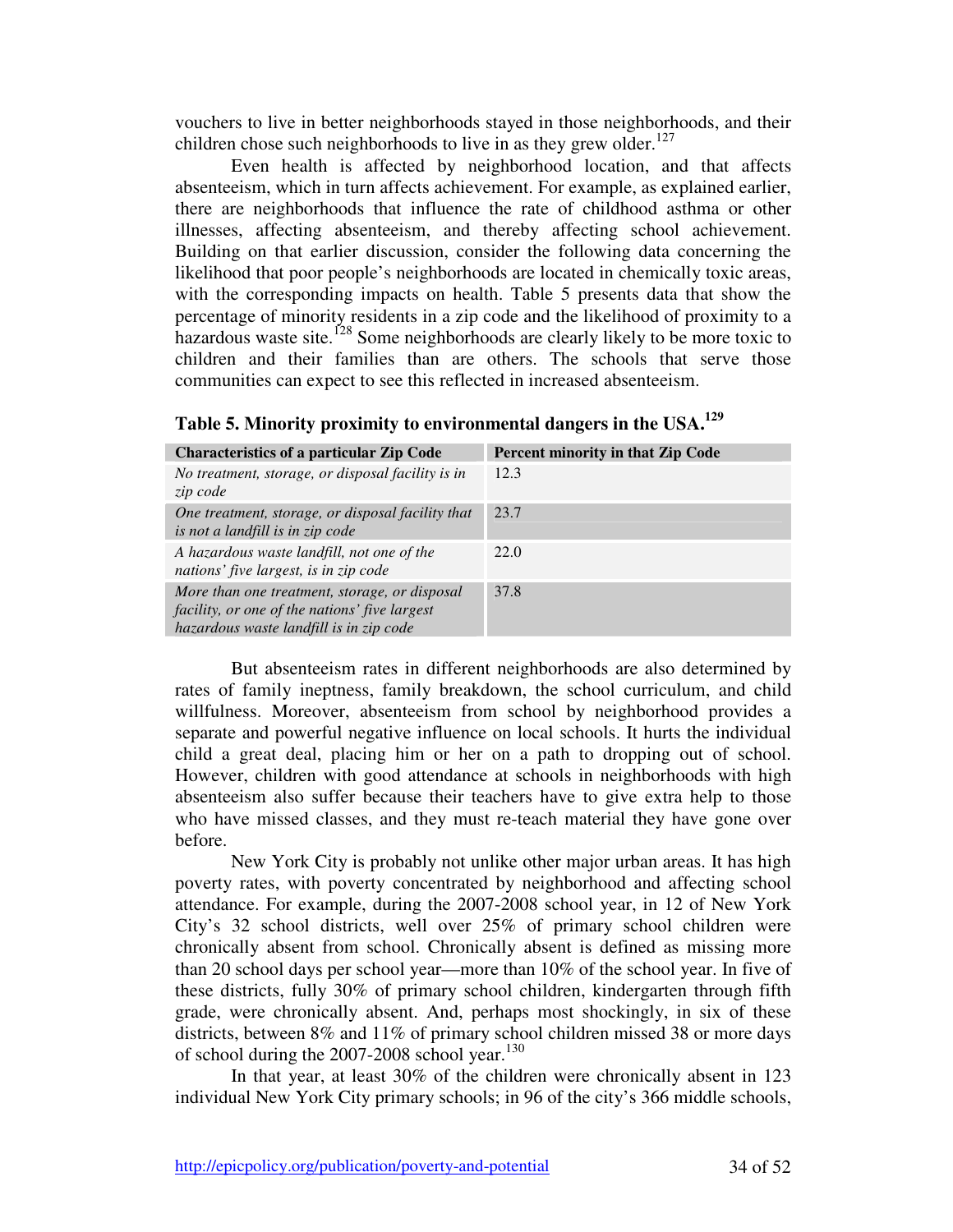vouchers to live in better neighborhoods stayed in those neighborhoods, and their children chose such neighborhoods to live in as they grew older.<sup>127</sup>

Even health is affected by neighborhood location, and that affects absenteeism, which in turn affects achievement. For example, as explained earlier, there are neighborhoods that influence the rate of childhood asthma or other illnesses, affecting absenteeism, and thereby affecting school achievement. Building on that earlier discussion, consider the following data concerning the likelihood that poor people's neighborhoods are located in chemically toxic areas, with the corresponding impacts on health. Table 5 presents data that show the percentage of minority residents in a zip code and the likelihood of proximity to a hazardous waste site.<sup>128</sup> Some neighborhoods are clearly likely to be more toxic to children and their families than are others. The schools that serve those communities can expect to see this reflected in increased absenteeism.

| <b>Characteristics of a particular Zip Code</b>                                                                                           | <b>Percent minority in that Zip Code</b> |
|-------------------------------------------------------------------------------------------------------------------------------------------|------------------------------------------|
| No treatment, storage, or disposal facility is in<br>zip code                                                                             | 12.3                                     |
| One treatment, storage, or disposal facility that<br>is not a landfill is in zip code                                                     | 23.7                                     |
| A hazardous waste landfill, not one of the<br>nations' five largest, is in zip code                                                       | 22.0                                     |
| More than one treatment, storage, or disposal<br>facility, or one of the nations' five largest<br>hazardous waste landfill is in zip code | 37.8                                     |

**Table 5. Minority proximity to environmental dangers in the USA.<sup>129</sup>**

But absenteeism rates in different neighborhoods are also determined by rates of family ineptness, family breakdown, the school curriculum, and child willfulness. Moreover, absenteeism from school by neighborhood provides a separate and powerful negative influence on local schools. It hurts the individual child a great deal, placing him or her on a path to dropping out of school. However, children with good attendance at schools in neighborhoods with high absenteeism also suffer because their teachers have to give extra help to those who have missed classes, and they must re-teach material they have gone over before.

New York City is probably not unlike other major urban areas. It has high poverty rates, with poverty concentrated by neighborhood and affecting school attendance. For example, during the 2007-2008 school year, in 12 of New York City's 32 school districts, well over 25% of primary school children were chronically absent from school. Chronically absent is defined as missing more than 20 school days per school year—more than 10% of the school year. In five of these districts, fully 30% of primary school children, kindergarten through fifth grade, were chronically absent. And, perhaps most shockingly, in six of these districts, between 8% and 11% of primary school children missed 38 or more days of school during the 2007-2008 school year.<sup>130</sup>

In that year, at least 30% of the children were chronically absent in 123 individual New York City primary schools; in 96 of the city's 366 middle schools,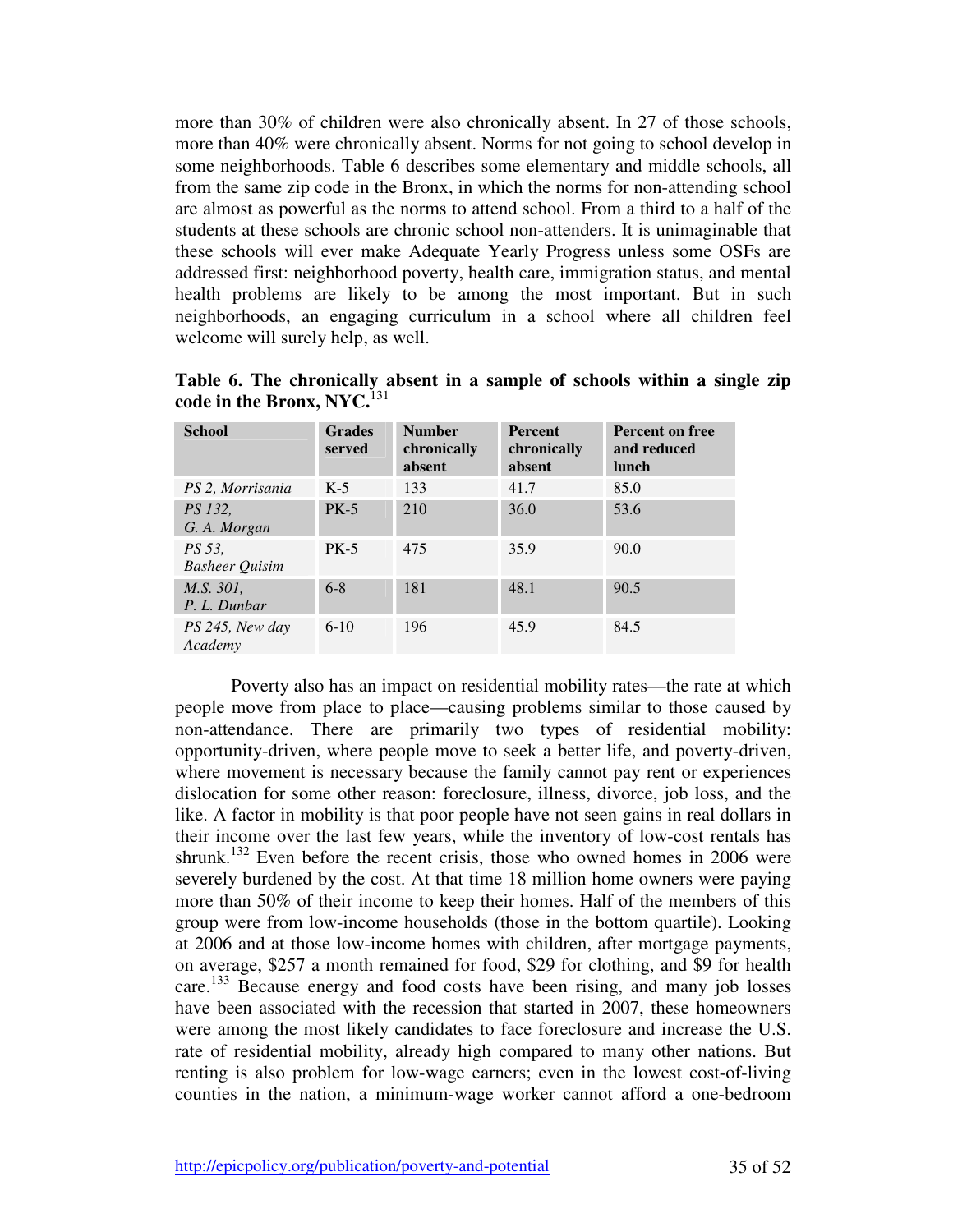more than 30% of children were also chronically absent. In 27 of those schools, more than 40% were chronically absent. Norms for not going to school develop in some neighborhoods. Table 6 describes some elementary and middle schools, all from the same zip code in the Bronx, in which the norms for non-attending school are almost as powerful as the norms to attend school. From a third to a half of the students at these schools are chronic school non-attenders. It is unimaginable that these schools will ever make Adequate Yearly Progress unless some OSFs are addressed first: neighborhood poverty, health care, immigration status, and mental health problems are likely to be among the most important. But in such neighborhoods, an engaging curriculum in a school where all children feel welcome will surely help, as well.

| <b>School</b>                    | <b>Grades</b><br>served | <b>Number</b><br>chronically<br>absent | <b>Percent</b><br>chronically<br>absent | <b>Percent on free</b><br>and reduced<br>lunch |
|----------------------------------|-------------------------|----------------------------------------|-----------------------------------------|------------------------------------------------|
| PS 2, Morrisania                 | $K-5$                   | 133                                    | 41.7                                    | 85.0                                           |
| PS 132,<br>G. A. Morgan          | $PK-5$                  | 210                                    | 36.0                                    | 53.6                                           |
| PS 53.<br><b>Basheer Quisim</b>  | <b>PK-5</b>             | 475                                    | 35.9                                    | 90.0                                           |
| <i>M.S. 301,</i><br>P. L. Dunbar | $6 - 8$                 | 181                                    | 48.1                                    | 90.5                                           |
| PS 245, New day<br>Academy       | $6-10$                  | 196                                    | 45.9                                    | 84.5                                           |

**Table 6. The chronically absent in a sample of schools within a single zip code in the Bronx, NYC.**<sup>131</sup>

Poverty also has an impact on residential mobility rates—the rate at which people move from place to place—causing problems similar to those caused by non-attendance. There are primarily two types of residential mobility: opportunity-driven, where people move to seek a better life, and poverty-driven, where movement is necessary because the family cannot pay rent or experiences dislocation for some other reason: foreclosure, illness, divorce, job loss, and the like. A factor in mobility is that poor people have not seen gains in real dollars in their income over the last few years, while the inventory of low-cost rentals has shrunk.<sup>132</sup> Even before the recent crisis, those who owned homes in 2006 were severely burdened by the cost. At that time 18 million home owners were paying more than 50% of their income to keep their homes. Half of the members of this group were from low-income households (those in the bottom quartile). Looking at 2006 and at those low-income homes with children, after mortgage payments, on average, \$257 a month remained for food, \$29 for clothing, and \$9 for health care.<sup>133</sup> Because energy and food costs have been rising, and many job losses have been associated with the recession that started in 2007, these homeowners were among the most likely candidates to face foreclosure and increase the U.S. rate of residential mobility, already high compared to many other nations. But renting is also problem for low-wage earners; even in the lowest cost-of-living counties in the nation, a minimum-wage worker cannot afford a one-bedroom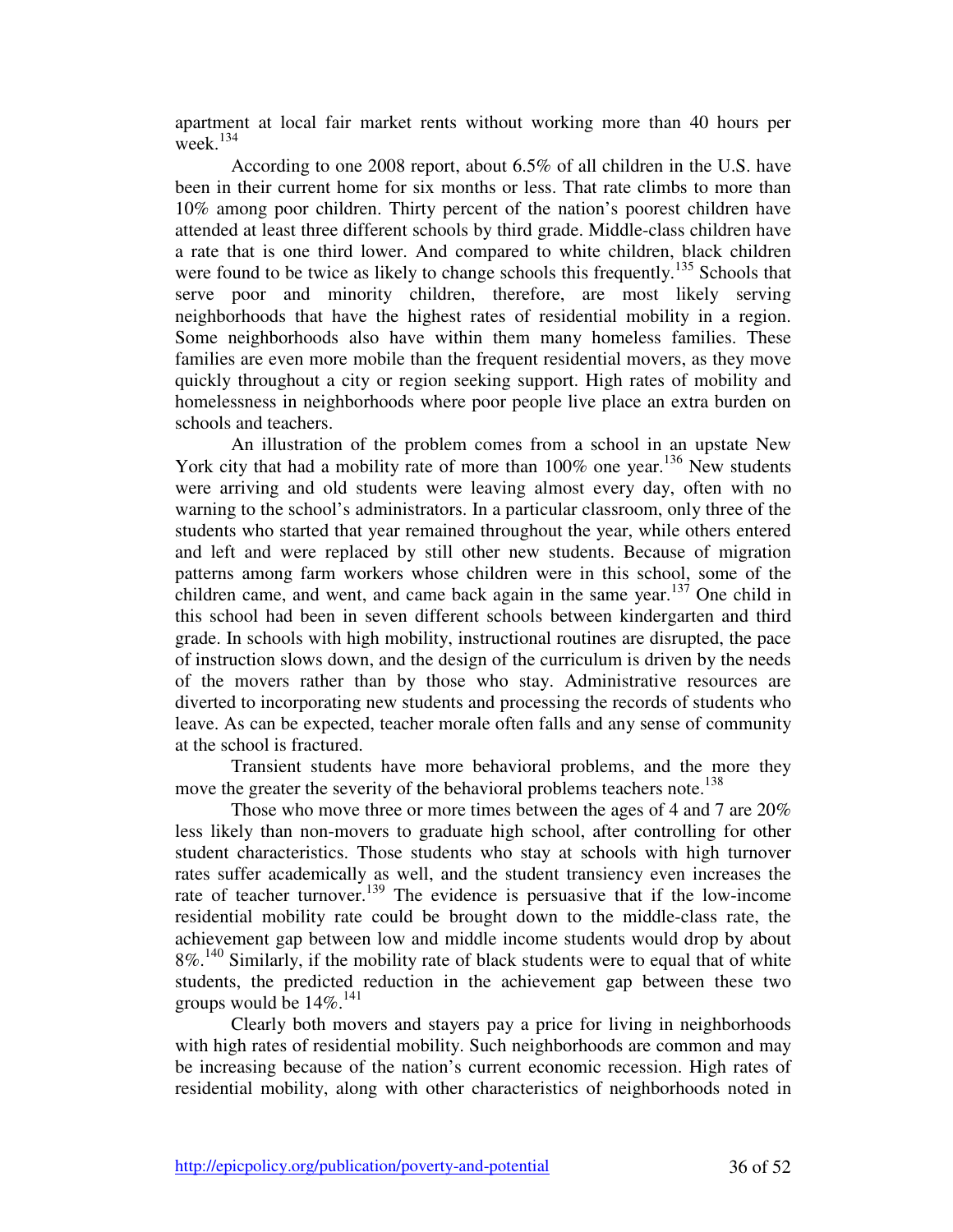apartment at local fair market rents without working more than 40 hours per week.<sup>134</sup>

According to one 2008 report, about 6.5% of all children in the U.S. have been in their current home for six months or less. That rate climbs to more than 10% among poor children. Thirty percent of the nation's poorest children have attended at least three different schools by third grade. Middle-class children have a rate that is one third lower. And compared to white children, black children were found to be twice as likely to change schools this frequently.<sup>135</sup> Schools that serve poor and minority children, therefore, are most likely serving neighborhoods that have the highest rates of residential mobility in a region. Some neighborhoods also have within them many homeless families. These families are even more mobile than the frequent residential movers, as they move quickly throughout a city or region seeking support. High rates of mobility and homelessness in neighborhoods where poor people live place an extra burden on schools and teachers.

An illustration of the problem comes from a school in an upstate New York city that had a mobility rate of more than  $100\%$  one year.<sup>136</sup> New students were arriving and old students were leaving almost every day, often with no warning to the school's administrators. In a particular classroom, only three of the students who started that year remained throughout the year, while others entered and left and were replaced by still other new students. Because of migration patterns among farm workers whose children were in this school, some of the children came, and went, and came back again in the same year.<sup>137</sup> One child in this school had been in seven different schools between kindergarten and third grade. In schools with high mobility, instructional routines are disrupted, the pace of instruction slows down, and the design of the curriculum is driven by the needs of the movers rather than by those who stay. Administrative resources are diverted to incorporating new students and processing the records of students who leave. As can be expected, teacher morale often falls and any sense of community at the school is fractured.

Transient students have more behavioral problems, and the more they move the greater the severity of the behavioral problems teachers note.<sup>138</sup>

Those who move three or more times between the ages of 4 and 7 are 20% less likely than non-movers to graduate high school, after controlling for other student characteristics. Those students who stay at schools with high turnover rates suffer academically as well, and the student transiency even increases the rate of teacher turnover.<sup>139</sup> The evidence is persuasive that if the low-income residential mobility rate could be brought down to the middle-class rate, the achievement gap between low and middle income students would drop by about  $8\%$ .<sup>140</sup> Similarly, if the mobility rate of black students were to equal that of white students, the predicted reduction in the achievement gap between these two groups would be  $14\%$ .<sup>141</sup>

Clearly both movers and stayers pay a price for living in neighborhoods with high rates of residential mobility. Such neighborhoods are common and may be increasing because of the nation's current economic recession. High rates of residential mobility, along with other characteristics of neighborhoods noted in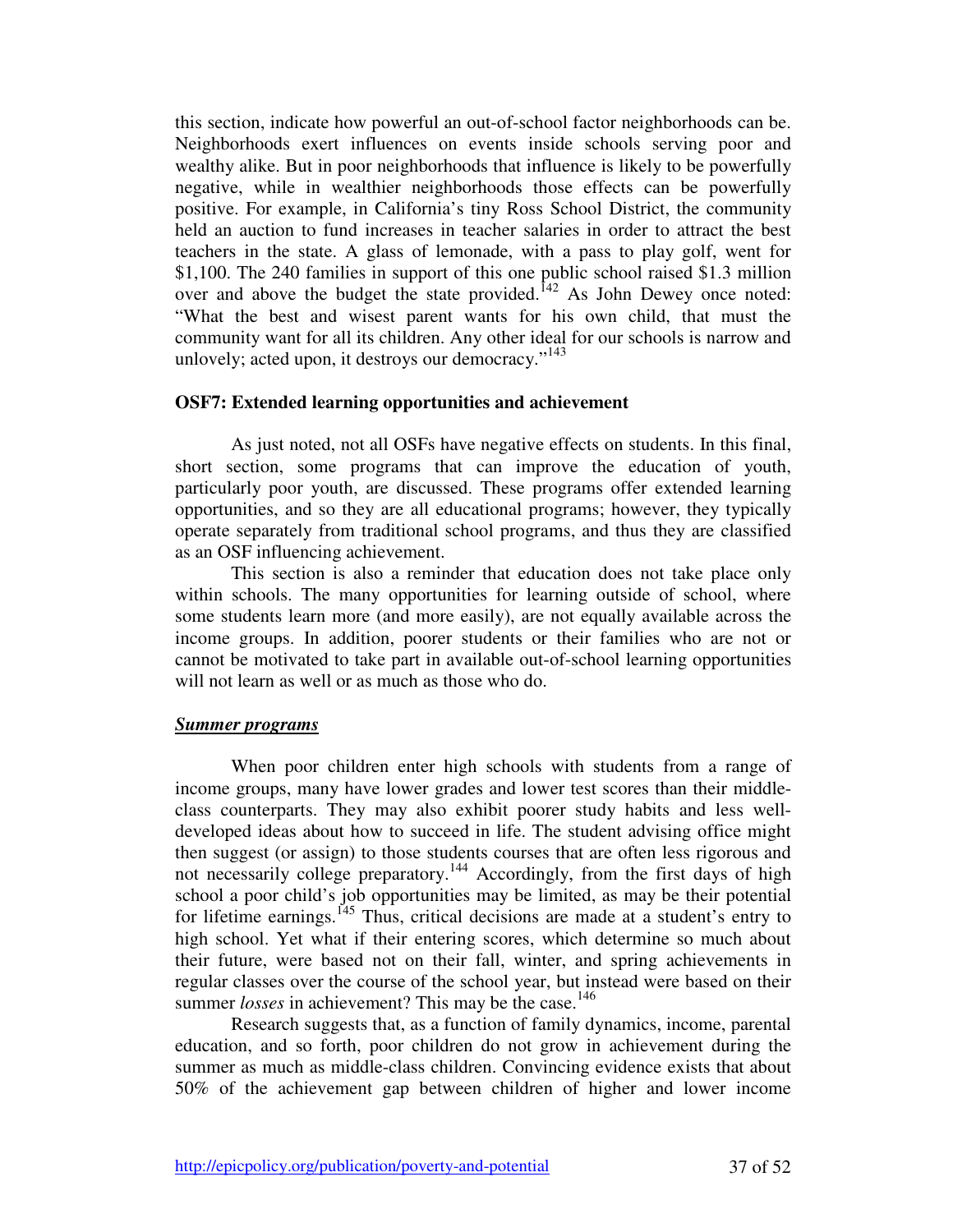this section, indicate how powerful an out-of-school factor neighborhoods can be. Neighborhoods exert influences on events inside schools serving poor and wealthy alike. But in poor neighborhoods that influence is likely to be powerfully negative, while in wealthier neighborhoods those effects can be powerfully positive. For example, in California's tiny Ross School District, the community held an auction to fund increases in teacher salaries in order to attract the best teachers in the state. A glass of lemonade, with a pass to play golf, went for \$1,100. The 240 families in support of this one public school raised \$1.3 million over and above the budget the state provided.<sup>142</sup> As John Dewey once noted: "What the best and wisest parent wants for his own child, that must the community want for all its children. Any other ideal for our schools is narrow and unlovely; acted upon, it destroys our democracy."<sup>143</sup>

# **OSF7: Extended learning opportunities and achievement**

As just noted, not all OSFs have negative effects on students. In this final, short section, some programs that can improve the education of youth, particularly poor youth, are discussed. These programs offer extended learning opportunities, and so they are all educational programs; however, they typically operate separately from traditional school programs, and thus they are classified as an OSF influencing achievement.

This section is also a reminder that education does not take place only within schools. The many opportunities for learning outside of school, where some students learn more (and more easily), are not equally available across the income groups. In addition, poorer students or their families who are not or cannot be motivated to take part in available out-of-school learning opportunities will not learn as well or as much as those who do.

# *Summer programs*

When poor children enter high schools with students from a range of income groups, many have lower grades and lower test scores than their middleclass counterparts. They may also exhibit poorer study habits and less welldeveloped ideas about how to succeed in life. The student advising office might then suggest (or assign) to those students courses that are often less rigorous and not necessarily college preparatory.<sup>144</sup> Accordingly, from the first days of high school a poor child's job opportunities may be limited, as may be their potential for lifetime earnings.<sup>145</sup> Thus, critical decisions are made at a student's entry to high school. Yet what if their entering scores, which determine so much about their future, were based not on their fall, winter, and spring achievements in regular classes over the course of the school year, but instead were based on their summer *losses* in achievement? This may be the case.<sup>146</sup>

Research suggests that, as a function of family dynamics, income, parental education, and so forth, poor children do not grow in achievement during the summer as much as middle-class children. Convincing evidence exists that about 50% of the achievement gap between children of higher and lower income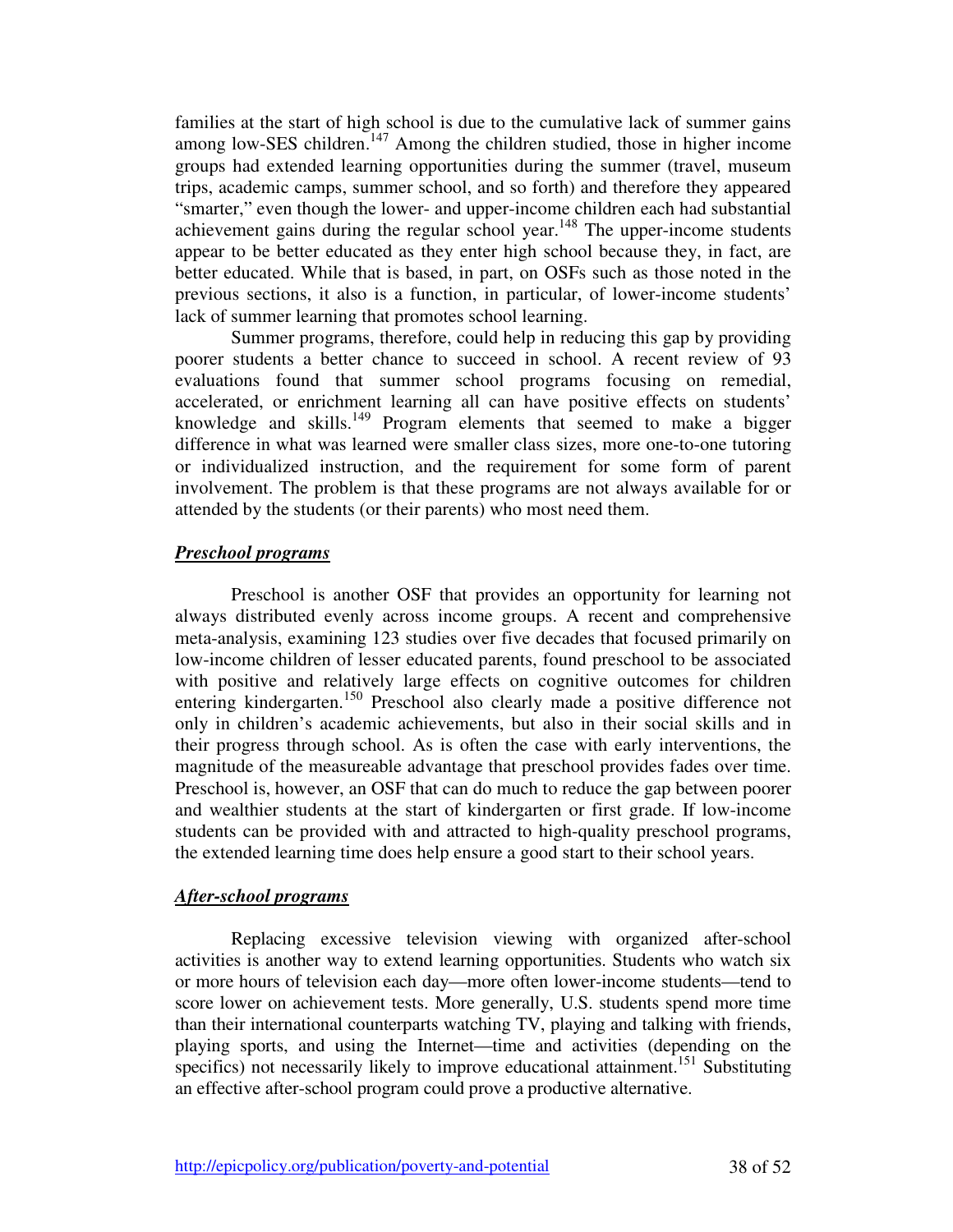families at the start of high school is due to the cumulative lack of summer gains among low-SES children.<sup>147</sup> Among the children studied, those in higher income groups had extended learning opportunities during the summer (travel, museum trips, academic camps, summer school, and so forth) and therefore they appeared "smarter," even though the lower- and upper-income children each had substantial achievement gains during the regular school year. $148$  The upper-income students appear to be better educated as they enter high school because they, in fact, are better educated. While that is based, in part, on OSFs such as those noted in the previous sections, it also is a function, in particular, of lower-income students' lack of summer learning that promotes school learning.

Summer programs, therefore, could help in reducing this gap by providing poorer students a better chance to succeed in school. A recent review of 93 evaluations found that summer school programs focusing on remedial, accelerated, or enrichment learning all can have positive effects on students' knowledge and skills.<sup>149</sup> Program elements that seemed to make a bigger difference in what was learned were smaller class sizes, more one-to-one tutoring or individualized instruction, and the requirement for some form of parent involvement. The problem is that these programs are not always available for or attended by the students (or their parents) who most need them.

# *Preschool programs*

Preschool is another OSF that provides an opportunity for learning not always distributed evenly across income groups. A recent and comprehensive meta-analysis, examining 123 studies over five decades that focused primarily on low-income children of lesser educated parents, found preschool to be associated with positive and relatively large effects on cognitive outcomes for children entering kindergarten.<sup>150</sup> Preschool also clearly made a positive difference not only in children's academic achievements, but also in their social skills and in their progress through school. As is often the case with early interventions, the magnitude of the measureable advantage that preschool provides fades over time. Preschool is, however, an OSF that can do much to reduce the gap between poorer and wealthier students at the start of kindergarten or first grade. If low-income students can be provided with and attracted to high-quality preschool programs, the extended learning time does help ensure a good start to their school years.

#### *After-school programs*

Replacing excessive television viewing with organized after-school activities is another way to extend learning opportunities. Students who watch six or more hours of television each day—more often lower-income students—tend to score lower on achievement tests. More generally, U.S. students spend more time than their international counterparts watching TV, playing and talking with friends, playing sports, and using the Internet—time and activities (depending on the specifics) not necessarily likely to improve educational attainment.<sup>151</sup> Substituting an effective after-school program could prove a productive alternative.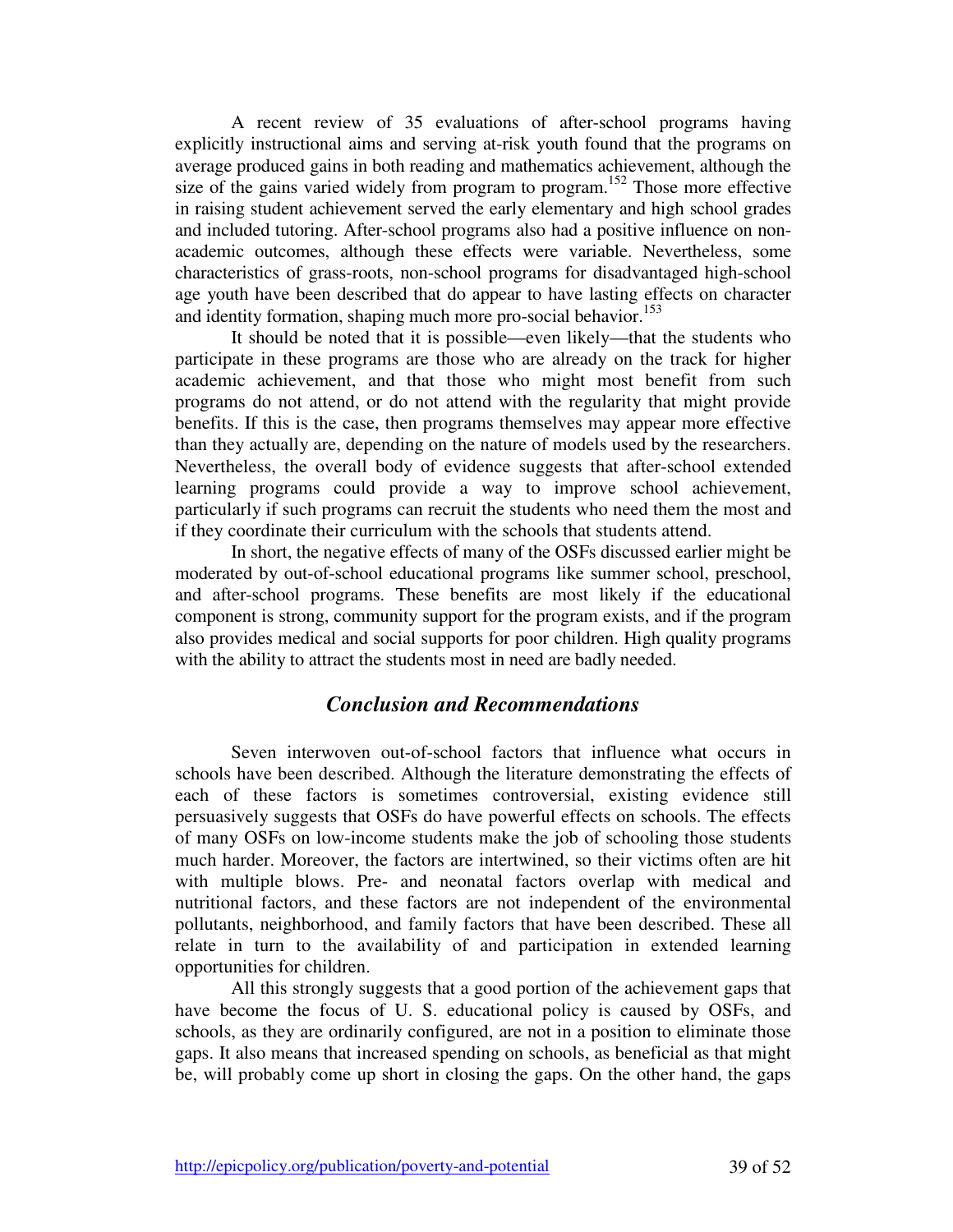A recent review of 35 evaluations of after-school programs having explicitly instructional aims and serving at-risk youth found that the programs on average produced gains in both reading and mathematics achievement, although the size of the gains varied widely from program to program.<sup>152</sup> Those more effective in raising student achievement served the early elementary and high school grades and included tutoring. After-school programs also had a positive influence on nonacademic outcomes, although these effects were variable. Nevertheless, some characteristics of grass-roots, non-school programs for disadvantaged high-school age youth have been described that do appear to have lasting effects on character and identity formation, shaping much more pro-social behavior.<sup>153</sup>

It should be noted that it is possible—even likely—that the students who participate in these programs are those who are already on the track for higher academic achievement, and that those who might most benefit from such programs do not attend, or do not attend with the regularity that might provide benefits. If this is the case, then programs themselves may appear more effective than they actually are, depending on the nature of models used by the researchers. Nevertheless, the overall body of evidence suggests that after-school extended learning programs could provide a way to improve school achievement, particularly if such programs can recruit the students who need them the most and if they coordinate their curriculum with the schools that students attend.

In short, the negative effects of many of the OSFs discussed earlier might be moderated by out-of-school educational programs like summer school, preschool, and after-school programs. These benefits are most likely if the educational component is strong, community support for the program exists, and if the program also provides medical and social supports for poor children. High quality programs with the ability to attract the students most in need are badly needed.

# *Conclusion and Recommendations*

Seven interwoven out-of-school factors that influence what occurs in schools have been described. Although the literature demonstrating the effects of each of these factors is sometimes controversial, existing evidence still persuasively suggests that OSFs do have powerful effects on schools. The effects of many OSFs on low-income students make the job of schooling those students much harder. Moreover, the factors are intertwined, so their victims often are hit with multiple blows. Pre- and neonatal factors overlap with medical and nutritional factors, and these factors are not independent of the environmental pollutants, neighborhood, and family factors that have been described. These all relate in turn to the availability of and participation in extended learning opportunities for children.

All this strongly suggests that a good portion of the achievement gaps that have become the focus of U. S. educational policy is caused by OSFs, and schools, as they are ordinarily configured, are not in a position to eliminate those gaps. It also means that increased spending on schools, as beneficial as that might be, will probably come up short in closing the gaps. On the other hand, the gaps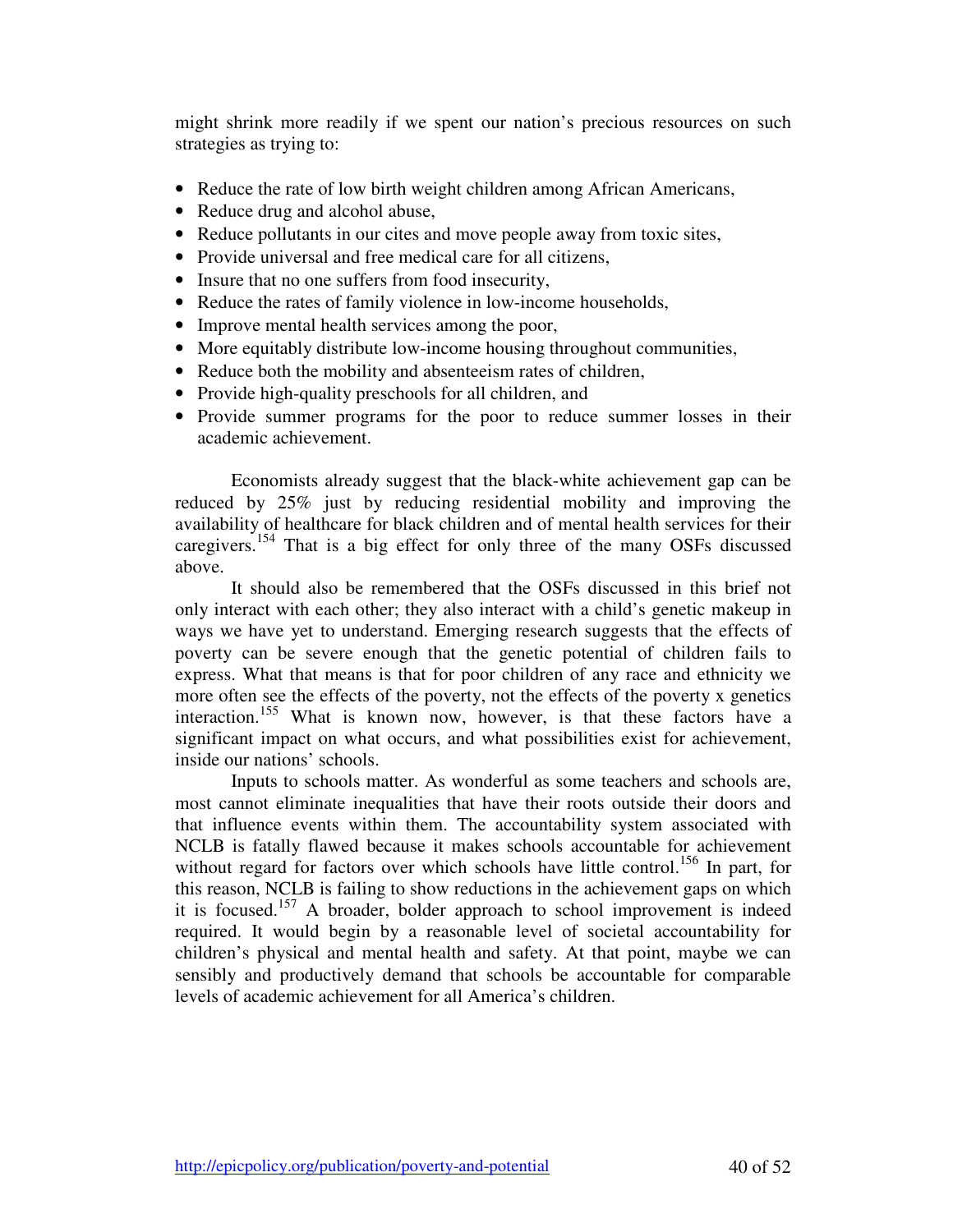might shrink more readily if we spent our nation's precious resources on such strategies as trying to:

- Reduce the rate of low birth weight children among African Americans,
- Reduce drug and alcohol abuse,
- Reduce pollutants in our cites and move people away from toxic sites,
- Provide universal and free medical care for all citizens,
- Insure that no one suffers from food insecurity,
- Reduce the rates of family violence in low-income households,
- Improve mental health services among the poor,
- More equitably distribute low-income housing throughout communities,
- Reduce both the mobility and absenteeism rates of children,
- Provide high-quality preschools for all children, and
- Provide summer programs for the poor to reduce summer losses in their academic achievement.

Economists already suggest that the black-white achievement gap can be reduced by 25% just by reducing residential mobility and improving the availability of healthcare for black children and of mental health services for their caregivers.<sup>154</sup> That is a big effect for only three of the many OSFs discussed above.

It should also be remembered that the OSFs discussed in this brief not only interact with each other; they also interact with a child's genetic makeup in ways we have yet to understand. Emerging research suggests that the effects of poverty can be severe enough that the genetic potential of children fails to express. What that means is that for poor children of any race and ethnicity we more often see the effects of the poverty, not the effects of the poverty x genetics interaction.<sup>155</sup> What is known now, however, is that these factors have a significant impact on what occurs, and what possibilities exist for achievement, inside our nations' schools.

Inputs to schools matter. As wonderful as some teachers and schools are, most cannot eliminate inequalities that have their roots outside their doors and that influence events within them. The accountability system associated with NCLB is fatally flawed because it makes schools accountable for achievement without regard for factors over which schools have little control.<sup>156</sup> In part, for this reason, NCLB is failing to show reductions in the achievement gaps on which it is focused.<sup>157</sup> A broader, bolder approach to school improvement is indeed required. It would begin by a reasonable level of societal accountability for children's physical and mental health and safety. At that point, maybe we can sensibly and productively demand that schools be accountable for comparable levels of academic achievement for all America's children.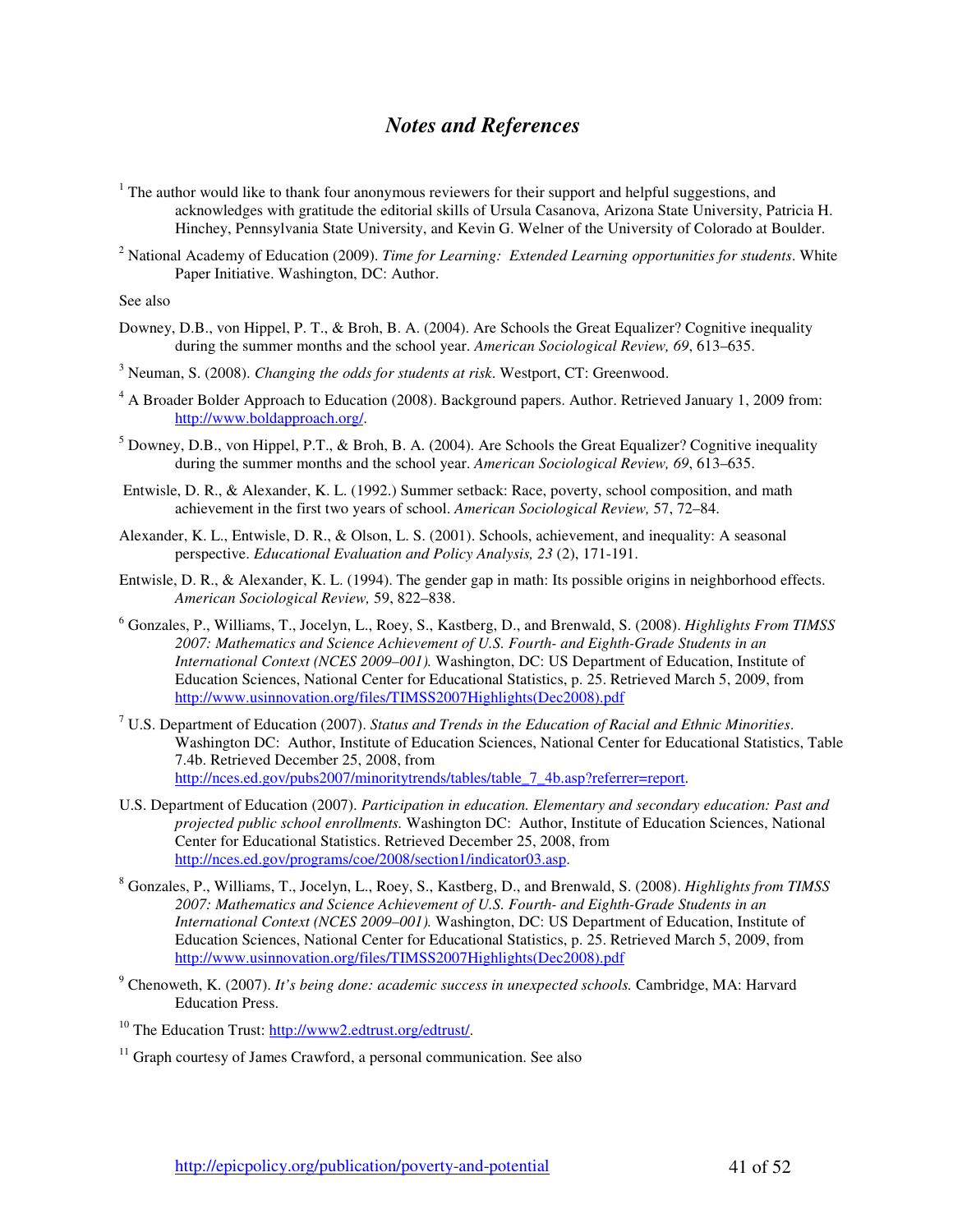# *Notes and References*

- $1$  The author would like to thank four anonymous reviewers for their support and helpful suggestions, and acknowledges with gratitude the editorial skills of Ursula Casanova, Arizona State University, Patricia H. Hinchey, Pennsylvania State University, and Kevin G. Welner of the University of Colorado at Boulder.
- 2 National Academy of Education (2009). *Time for Learning: Extended Learning opportunities for students*. White Paper Initiative. Washington, DC: Author.

See also

- Downey, D.B., von Hippel, P. T., & Broh, B. A. (2004). Are Schools the Great Equalizer? Cognitive inequality during the summer months and the school year. *American Sociological Review, 69*, 613–635.
- 3 Neuman, S. (2008). *Changing the odds for students at risk*. Westport, CT: Greenwood.
- <sup>4</sup> A Broader Bolder Approach to Education (2008). Background papers. Author. Retrieved January 1, 2009 from: http://www.boldapproach.org/.
- $<sup>5</sup>$  Downey, D.B., von Hippel, P.T., & Broh, B. A. (2004). Are Schools the Great Equalizer? Cognitive inequality</sup> during the summer months and the school year. *American Sociological Review, 69*, 613–635.
- Entwisle, D. R., & Alexander, K. L. (1992.) Summer setback: Race, poverty, school composition, and math achievement in the first two years of school. *American Sociological Review,* 57, 72–84.
- Alexander, K. L., Entwisle, D. R., & Olson, L. S. (2001). Schools, achievement, and inequality: A seasonal perspective. *Educational Evaluation and Policy Analysis, 23* (2), 171-191.
- Entwisle, D. R., & Alexander, K. L. (1994). The gender gap in math: Its possible origins in neighborhood effects. *American Sociological Review,* 59, 822–838.
- 6 Gonzales, P., Williams, T., Jocelyn, L., Roey, S., Kastberg, D., and Brenwald, S. (2008). *Highlights From TIMSS 2007: Mathematics and Science Achievement of U.S. Fourth- and Eighth-Grade Students in an International Context (NCES 2009–001).* Washington, DC: US Department of Education, Institute of Education Sciences, National Center for Educational Statistics, p. 25. Retrieved March 5, 2009, from http://www.usinnovation.org/files/TIMSS2007Highlights(Dec2008).pdf
- 7 U.S. Department of Education (2007). *Status and Trends in the Education of Racial and Ethnic Minorities*. Washington DC: Author, Institute of Education Sciences, National Center for Educational Statistics, Table 7.4b. Retrieved December 25, 2008, from http://nces.ed.gov/pubs2007/minoritytrends/tables/table\_7\_4b.asp?referrer=report.
- U.S. Department of Education (2007). *Participation in education. Elementary and secondary education: Past and projected public school enrollments.* Washington DC: Author, Institute of Education Sciences, National Center for Educational Statistics. Retrieved December 25, 2008, from http://nces.ed.gov/programs/coe/2008/section1/indicator03.asp.
- 8 Gonzales, P., Williams, T., Jocelyn, L., Roey, S., Kastberg, D., and Brenwald, S. (2008). *Highlights from TIMSS 2007: Mathematics and Science Achievement of U.S. Fourth- and Eighth-Grade Students in an International Context (NCES 2009–001).* Washington, DC: US Department of Education, Institute of Education Sciences, National Center for Educational Statistics, p. 25. Retrieved March 5, 2009, from http://www.usinnovation.org/files/TIMSS2007Highlights(Dec2008).pdf
- 9 Chenoweth, K. (2007). *It's being done: academic success in unexpected schools.* Cambridge, MA: Harvard Education Press.
- <sup>10</sup> The Education Trust: http://www2.edtrust.org/edtrust/.
- <sup>11</sup> Graph courtesy of James Crawford, a personal communication. See also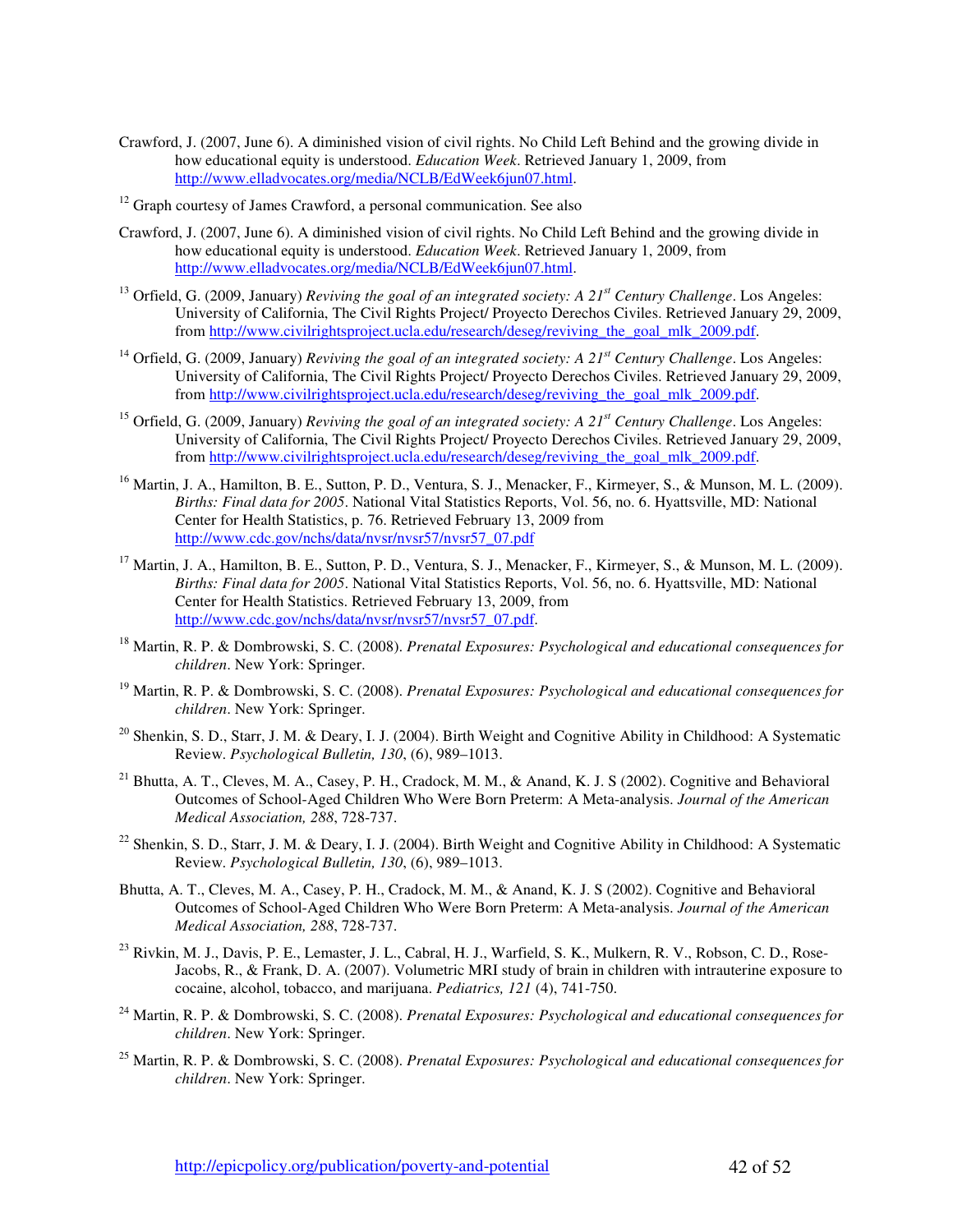- Crawford, J. (2007, June 6). A diminished vision of civil rights. No Child Left Behind and the growing divide in how educational equity is understood. *Education Week*. Retrieved January 1, 2009, from http://www.elladvocates.org/media/NCLB/EdWeek6jun07.html.
- $12$  Graph courtesy of James Crawford, a personal communication. See also
- Crawford, J. (2007, June 6). A diminished vision of civil rights. No Child Left Behind and the growing divide in how educational equity is understood. *Education Week*. Retrieved January 1, 2009, from http://www.elladvocates.org/media/NCLB/EdWeek6jun07.html.
- <sup>13</sup> Orfield, G. (2009, January) *Reviving the goal of an integrated society: A 21<sup>st</sup> Century Challenge*. Los Angeles: University of California, The Civil Rights Project/ Proyecto Derechos Civiles. Retrieved January 29, 2009, from http://www.civilrightsproject.ucla.edu/research/deseg/reviving\_the\_goal\_mlk\_2009.pdf.
- <sup>14</sup> Orfield, G. (2009, January) *Reviving the goal of an integrated society: A 21<sup>st</sup> Century Challenge*. Los Angeles: University of California, The Civil Rights Project/ Proyecto Derechos Civiles. Retrieved January 29, 2009, from http://www.civilrightsproject.ucla.edu/research/deseg/reviving\_the\_goal\_mlk\_2009.pdf.
- <sup>15</sup> Orfield, G. (2009, January) *Reviving the goal of an integrated society: A 21st Century Challenge*. Los Angeles: University of California, The Civil Rights Project/ Proyecto Derechos Civiles. Retrieved January 29, 2009, from http://www.civilrightsproject.ucla.edu/research/deseg/reviving\_the\_goal\_mlk\_2009.pdf.
- <sup>16</sup> Martin, J. A., Hamilton, B. E., Sutton, P. D., Ventura, S. J., Menacker, F., Kirmeyer, S., & Munson, M. L. (2009). *Births: Final data for 2005*. National Vital Statistics Reports, Vol. 56, no. 6. Hyattsville, MD: National Center for Health Statistics, p. 76. Retrieved February 13, 2009 from http://www.cdc.gov/nchs/data/nvsr/nvsr57/nvsr57\_07.pdf
- <sup>17</sup> Martin, J. A., Hamilton, B. E., Sutton, P. D., Ventura, S. J., Menacker, F., Kirmeyer, S., & Munson, M. L. (2009). *Births: Final data for 2005*. National Vital Statistics Reports, Vol. 56, no. 6. Hyattsville, MD: National Center for Health Statistics. Retrieved February 13, 2009, from http://www.cdc.gov/nchs/data/nvsr/nvsr57/nvsr57\_07.pdf.
- <sup>18</sup> Martin, R. P. & Dombrowski, S. C. (2008). *Prenatal Exposures: Psychological and educational consequences for children*. New York: Springer.
- <sup>19</sup> Martin, R. P. & Dombrowski, S. C. (2008). *Prenatal Exposures: Psychological and educational consequences for children*. New York: Springer.
- <sup>20</sup> Shenkin, S. D., Starr, J. M. & Deary, I. J. (2004). Birth Weight and Cognitive Ability in Childhood: A Systematic Review. *Psychological Bulletin, 130*, (6), 989–1013.
- <sup>21</sup> Bhutta, A. T., Cleves, M. A., Casey, P. H., Cradock, M. M., & Anand, K. J. S (2002). Cognitive and Behavioral Outcomes of School-Aged Children Who Were Born Preterm: A Meta-analysis. *Journal of the American Medical Association, 288*, 728-737.
- $^{22}$  Shenkin, S. D., Starr, J. M. & Deary, I. J. (2004). Birth Weight and Cognitive Ability in Childhood: A Systematic Review. *Psychological Bulletin, 130*, (6), 989–1013.
- Bhutta, A. T., Cleves, M. A., Casey, P. H., Cradock, M. M., & Anand, K. J. S (2002). Cognitive and Behavioral Outcomes of School-Aged Children Who Were Born Preterm: A Meta-analysis. *Journal of the American Medical Association, 288*, 728-737.
- <sup>23</sup> Rivkin, M. J., Davis, P. E., Lemaster, J. L., Cabral, H. J., Warfield, S. K., Mulkern, R. V., Robson, C. D., Rose-Jacobs, R., & Frank, D. A. (2007). Volumetric MRI study of brain in children with intrauterine exposure to cocaine, alcohol, tobacco, and marijuana. *Pediatrics, 121* (4), 741-750.
- <sup>24</sup> Martin, R. P. & Dombrowski, S. C. (2008). *Prenatal Exposures: Psychological and educational consequences for children*. New York: Springer.
- <sup>25</sup> Martin, R. P. & Dombrowski, S. C. (2008). *Prenatal Exposures: Psychological and educational consequences for children*. New York: Springer.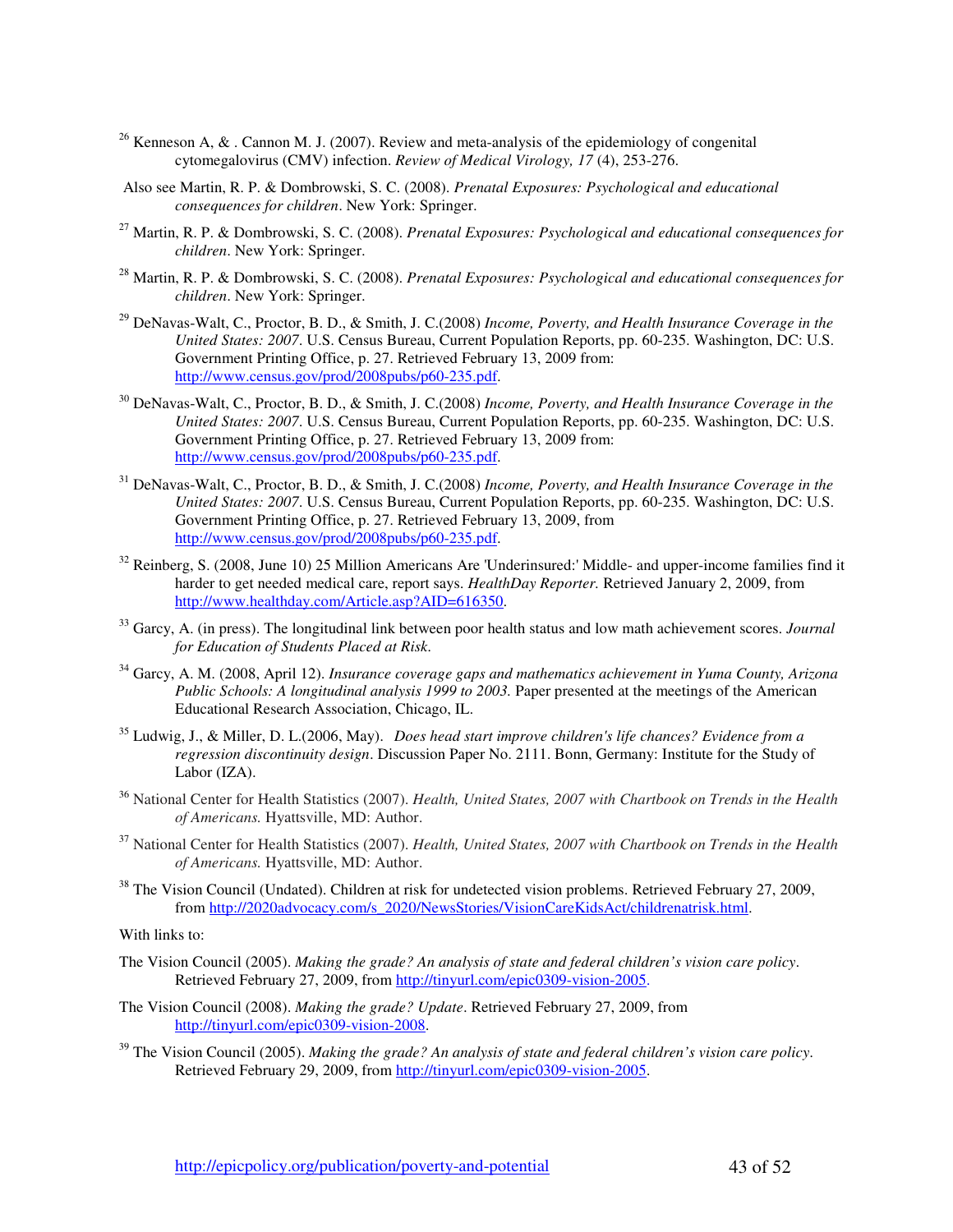- <sup>26</sup> Kenneson A,  $\&$  . Cannon M, J. (2007). Review and meta-analysis of the epidemiology of congenital cytomegalovirus (CMV) infection. *Review of Medical Virology, 17* (4), 253-276.
- Also see Martin, R. P. & Dombrowski, S. C. (2008). *Prenatal Exposures: Psychological and educational consequences for children*. New York: Springer.
- <sup>27</sup> Martin, R. P. & Dombrowski, S. C. (2008). *Prenatal Exposures: Psychological and educational consequences for children*. New York: Springer.
- <sup>28</sup> Martin, R. P. & Dombrowski, S. C. (2008). *Prenatal Exposures: Psychological and educational consequences for children*. New York: Springer.
- <sup>29</sup> DeNavas-Walt, C., Proctor, B. D., & Smith, J. C.(2008) *Income, Poverty, and Health Insurance Coverage in the United States: 2007*. U.S. Census Bureau, Current Population Reports, pp. 60-235. Washington, DC: U.S. Government Printing Office, p. 27. Retrieved February 13, 2009 from: http://www.census.gov/prod/2008pubs/p60-235.pdf.
- <sup>30</sup> DeNavas-Walt, C., Proctor, B. D., & Smith, J. C.(2008) *Income, Poverty, and Health Insurance Coverage in the United States: 2007*. U.S. Census Bureau, Current Population Reports, pp. 60-235. Washington, DC: U.S. Government Printing Office, p. 27. Retrieved February 13, 2009 from: http://www.census.gov/prod/2008pubs/p60-235.pdf.
- <sup>31</sup> DeNavas-Walt, C., Proctor, B. D., & Smith, J. C.(2008) *Income, Poverty, and Health Insurance Coverage in the United States: 2007*. U.S. Census Bureau, Current Population Reports, pp. 60-235. Washington, DC: U.S. Government Printing Office, p. 27. Retrieved February 13, 2009, from http://www.census.gov/prod/2008pubs/p60-235.pdf.
- <sup>32</sup> Reinberg, S. (2008, June 10) 25 Million Americans Are 'Underinsured:' Middle- and upper-income families find it harder to get needed medical care, report says. *HealthDay Reporter.* Retrieved January 2, 2009, from http://www.healthday.com/Article.asp?AID=616350.
- <sup>33</sup> Garcy, A. (in press). The longitudinal link between poor health status and low math achievement scores. *Journal for Education of Students Placed at Risk*.
- <sup>34</sup> Garcy, A. M. (2008, April 12). *Insurance coverage gaps and mathematics achievement in Yuma County, Arizona Public Schools: A longitudinal analysis 1999 to 2003.* Paper presented at the meetings of the American Educational Research Association, Chicago, IL.
- <sup>35</sup> Ludwig, J., & Miller, D. L.(2006, May). *Does head start improve children's life chances? Evidence from a regression discontinuity design*. Discussion Paper No. 2111. Bonn, Germany: Institute for the Study of Labor (IZA).
- <sup>36</sup> National Center for Health Statistics (2007). *Health, United States, 2007 with Chartbook on Trends in the Health of Americans.* Hyattsville, MD: Author.
- <sup>37</sup> National Center for Health Statistics (2007). *Health, United States, 2007 with Chartbook on Trends in the Health of Americans.* Hyattsville, MD: Author.
- <sup>38</sup> The Vision Council (Undated). Children at risk for undetected vision problems. Retrieved February 27, 2009, from http://2020advocacy.com/s\_2020/NewsStories/VisionCareKidsAct/childrenatrisk.html.

With links to:

- The Vision Council (2005). *Making the grade? An analysis of state and federal children's vision care policy*. Retrieved February 27, 2009, from http://tinyurl.com/epic0309-vision-2005.
- The Vision Council (2008). *Making the grade? Update*. Retrieved February 27, 2009, from http://tinyurl.com/epic0309-vision-2008.
- <sup>39</sup> The Vision Council (2005). *Making the grade? An analysis of state and federal children's vision care policy*. Retrieved February 29, 2009, from http://tinyurl.com/epic0309-vision-2005.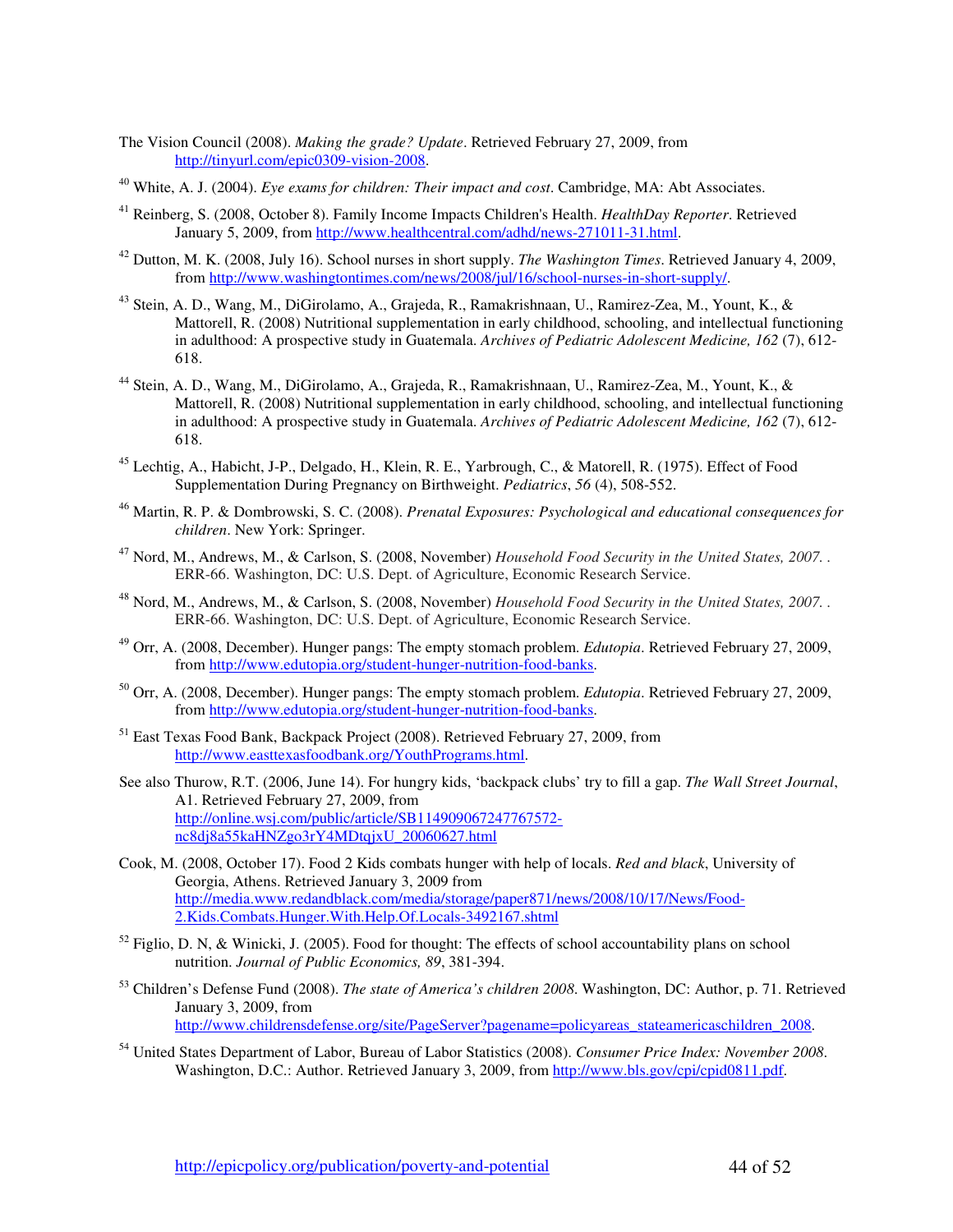- The Vision Council (2008). *Making the grade? Update*. Retrieved February 27, 2009, from http://tinyurl.com/epic0309-vision-2008.
- <sup>40</sup> White, A. J. (2004). *Eye exams for children: Their impact and cost*. Cambridge, MA: Abt Associates.
- <sup>41</sup> Reinberg, S. (2008, October 8). Family Income Impacts Children's Health. *HealthDay Reporter*. Retrieved January 5, 2009, from http://www.healthcentral.com/adhd/news-271011-31.html.
- <sup>42</sup> Dutton, M. K. (2008, July 16). School nurses in short supply. *The Washington Times*. Retrieved January 4, 2009, from http://www.washingtontimes.com/news/2008/jul/16/school-nurses-in-short-supply/.
- <sup>43</sup> Stein, A. D., Wang, M., DiGirolamo, A., Grajeda, R., Ramakrishnaan, U., Ramirez-Zea, M., Yount, K., & Mattorell, R. (2008) Nutritional supplementation in early childhood, schooling, and intellectual functioning in adulthood: A prospective study in Guatemala. *Archives of Pediatric Adolescent Medicine, 162* (7), 612- 618.
- <sup>44</sup> Stein, A. D., Wang, M., DiGirolamo, A., Grajeda, R., Ramakrishnaan, U., Ramirez-Zea, M., Yount, K., & Mattorell, R. (2008) Nutritional supplementation in early childhood, schooling, and intellectual functioning in adulthood: A prospective study in Guatemala. *Archives of Pediatric Adolescent Medicine, 162* (7), 612- 618.
- <sup>45</sup> Lechtig, A., Habicht, J-P., Delgado, H., Klein, R. E., Yarbrough, C., & Matorell, R. (1975). Effect of Food Supplementation During Pregnancy on Birthweight. *Pediatrics*, *56* (4), 508-552.
- <sup>46</sup> Martin, R. P. & Dombrowski, S. C. (2008). *Prenatal Exposures: Psychological and educational consequences for children*. New York: Springer.
- <sup>47</sup> Nord, M., Andrews, M., & Carlson, S. (2008, November) *Household Food Security in the United States, 2007. .*  ERR-66. Washington, DC: U.S. Dept. of Agriculture, Economic Research Service.
- <sup>48</sup> Nord, M., Andrews, M., & Carlson, S. (2008, November) *Household Food Security in the United States, 2007. .*  ERR-66. Washington, DC: U.S. Dept. of Agriculture, Economic Research Service.
- <sup>49</sup> Orr, A. (2008, December). Hunger pangs: The empty stomach problem. *Edutopia*. Retrieved February 27, 2009, from http://www.edutopia.org/student-hunger-nutrition-food-banks.
- <sup>50</sup> Orr, A. (2008, December). Hunger pangs: The empty stomach problem. *Edutopia*. Retrieved February 27, 2009, from http://www.edutopia.org/student-hunger-nutrition-food-banks.
- <sup>51</sup> East Texas Food Bank, Backpack Project (2008). Retrieved February 27, 2009, from http://www.easttexasfoodbank.org/YouthPrograms.html.
- See also Thurow, R.T. (2006, June 14). For hungry kids, 'backpack clubs' try to fill a gap. *The Wall Street Journal*, A1. Retrieved February 27, 2009, from http://online.wsj.com/public/article/SB114909067247767572 nc8dj8a55kaHNZgo3rY4MDtqjxU\_20060627.html
- Cook, M. (2008, October 17). Food 2 Kids combats hunger with help of locals. *Red and black*, University of Georgia, Athens. Retrieved January 3, 2009 from http://media.www.redandblack.com/media/storage/paper871/news/2008/10/17/News/Food-2.Kids.Combats.Hunger.With.Help.Of.Locals-3492167.shtml
- $52$  Figlio, D. N, & Winicki, J. (2005). Food for thought: The effects of school accountability plans on school nutrition. *Journal of Public Economics, 89*, 381-394.
- <sup>53</sup> Children's Defense Fund (2008). *The state of America's children 2008*. Washington, DC: Author, p. 71. Retrieved January 3, 2009, from http://www.childrensdefense.org/site/PageServer?pagename=policyareas\_stateamericaschildren\_2008.
- <sup>54</sup> United States Department of Labor, Bureau of Labor Statistics (2008). *Consumer Price Index: November 2008*.
	- Washington, D.C.: Author. Retrieved January 3, 2009, from http://www.bls.gov/cpi/cpid0811.pdf.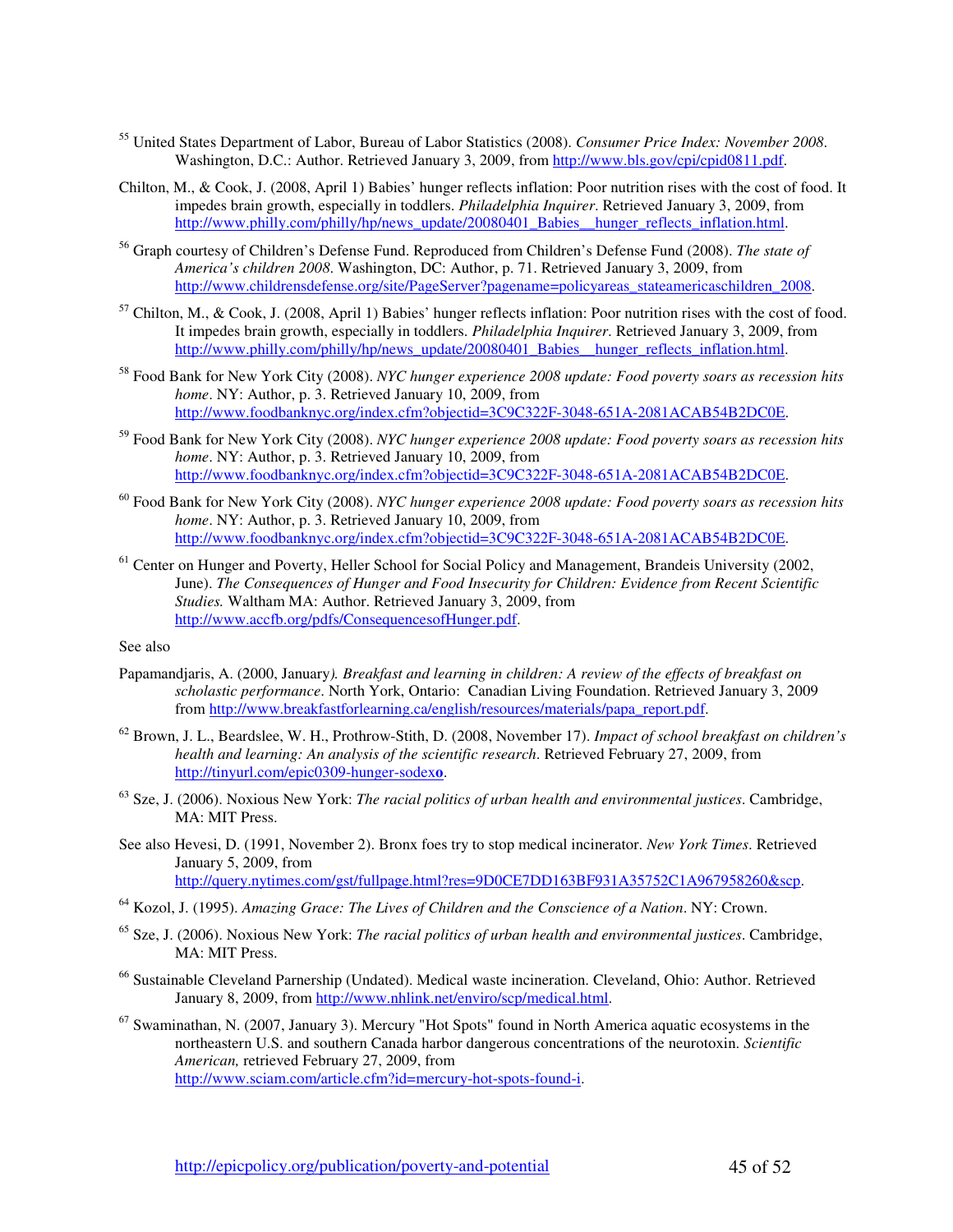- <sup>55</sup> United States Department of Labor, Bureau of Labor Statistics (2008). *Consumer Price Index: November 2008*. Washington, D.C.: Author. Retrieved January 3, 2009, from http://www.bls.gov/cpi/cpid0811.pdf.
- Chilton, M., & Cook, J. (2008, April 1) Babies' hunger reflects inflation: Poor nutrition rises with the cost of food. It impedes brain growth, especially in toddlers. *Philadelphia Inquirer*. Retrieved January 3, 2009, from http://www.philly.com/philly/hp/news\_update/20080401\_Babies\_\_hunger\_reflects\_inflation.html.
- <sup>56</sup> Graph courtesy of Children's Defense Fund. Reproduced from Children's Defense Fund (2008). *The state of America's children 2008*. Washington, DC: Author, p. 71. Retrieved January 3, 2009, from http://www.childrensdefense.org/site/PageServer?pagename=policyareas\_stateamericaschildren\_2008.
- $57$  Chilton, M., & Cook, J. (2008, April 1) Babies' hunger reflects inflation: Poor nutrition rises with the cost of food. It impedes brain growth, especially in toddlers. *Philadelphia Inquirer*. Retrieved January 3, 2009, from http://www.philly.com/philly/hp/news\_update/20080401\_Babies\_\_hunger\_reflects\_inflation.html.
- <sup>58</sup> Food Bank for New York City (2008). *NYC hunger experience 2008 update: Food poverty soars as recession hits home*. NY: Author, p. 3. Retrieved January 10, 2009, from http://www.foodbanknyc.org/index.cfm?objectid=3C9C322F-3048-651A-2081ACAB54B2DC0E.
- <sup>59</sup> Food Bank for New York City (2008). *NYC hunger experience 2008 update: Food poverty soars as recession hits home*. NY: Author, p. 3. Retrieved January 10, 2009, from http://www.foodbanknyc.org/index.cfm?objectid=3C9C322F-3048-651A-2081ACAB54B2DC0E.
- <sup>60</sup> Food Bank for New York City (2008). *NYC hunger experience 2008 update: Food poverty soars as recession hits home*. NY: Author, p. 3. Retrieved January 10, 2009, from http://www.foodbanknyc.org/index.cfm?objectid=3C9C322F-3048-651A-2081ACAB54B2DC0E.
- <sup>61</sup> Center on Hunger and Poverty, Heller School for Social Policy and Management, Brandeis University (2002, June). *The Consequences of Hunger and Food Insecurity for Children: Evidence from Recent Scientific Studies.* Waltham MA: Author. Retrieved January 3, 2009, from http://www.accfb.org/pdfs/ConsequencesofHunger.pdf.

#### See also

- Papamandjaris, A. (2000, January*). Breakfast and learning in children: A review of the effects of breakfast on scholastic performance*. North York, Ontario: Canadian Living Foundation. Retrieved January 3, 2009 from http://www.breakfastforlearning.ca/english/resources/materials/papa\_report.pdf.
- <sup>62</sup> Brown, J. L., Beardslee, W. H., Prothrow-Stith, D. (2008, November 17). *Impact of school breakfast on children's health and learning: An analysis of the scientific research*. Retrieved February 27, 2009, from http://tinyurl.com/epic0309-hunger-sodex**o**.
- <sup>63</sup> Sze, J. (2006). Noxious New York: *The racial politics of urban health and environmental justices*. Cambridge, MA: MIT Press.
- See also Hevesi, D. (1991, November 2). Bronx foes try to stop medical incinerator. *New York Times*. Retrieved January 5, 2009, from http://query.nytimes.com/gst/fullpage.html?res=9D0CE7DD163BF931A35752C1A967958260&scp.
- <sup>64</sup> Kozol, J. (1995). *Amazing Grace: The Lives of Children and the Conscience of a Nation*. NY: Crown.
- <sup>65</sup> Sze, J. (2006). Noxious New York: *The racial politics of urban health and environmental justices*. Cambridge, MA: MIT Press.
- <sup>66</sup> Sustainable Cleveland Parnership (Undated). Medical waste incineration. Cleveland, Ohio: Author. Retrieved January 8, 2009, from http://www.nhlink.net/enviro/scp/medical.html.
- <sup>67</sup> Swaminathan, N. (2007, January 3). Mercury "Hot Spots" found in North America aquatic ecosystems in the northeastern U.S. and southern Canada harbor dangerous concentrations of the neurotoxin. *Scientific American,* retrieved February 27, 2009, from http://www.sciam.com/article.cfm?id=mercury-hot-spots-found-i.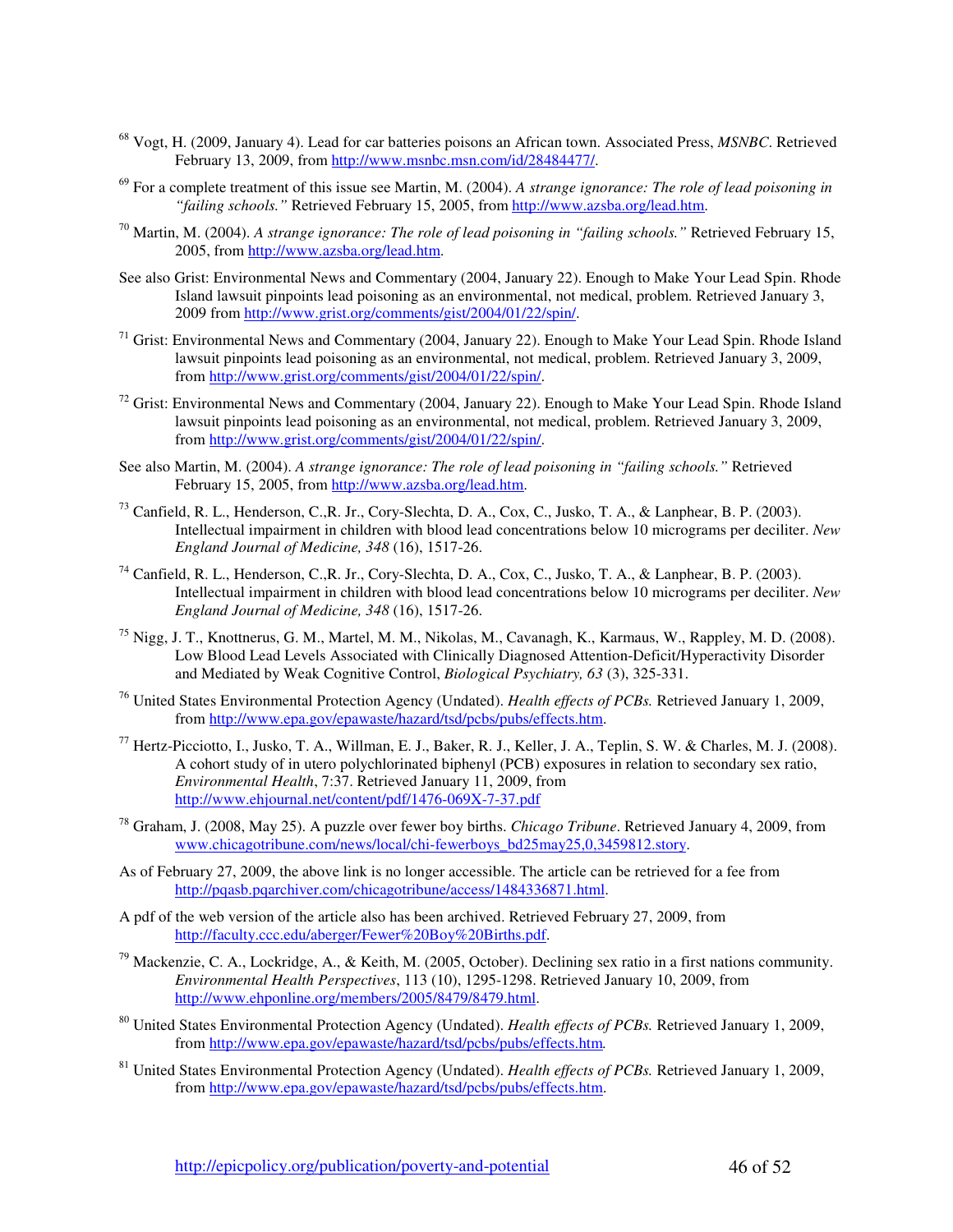- <sup>68</sup> Vogt, H. (2009, January 4). Lead for car batteries poisons an African town. Associated Press, *MSNBC*. Retrieved February 13, 2009, from http://www.msnbc.msn.com/id/28484477/.
- <sup>69</sup> For a complete treatment of this issue see Martin, M. (2004). *A strange ignorance: The role of lead poisoning in "failing schools."* Retrieved February 15, 2005, from http://www.azsba.org/lead.htm.
- <sup>70</sup> Martin, M. (2004). *A strange ignorance: The role of lead poisoning in "failing schools."* Retrieved February 15, 2005, from http://www.azsba.org/lead.htm.
- See also Grist: Environmental News and Commentary (2004, January 22). Enough to Make Your Lead Spin. Rhode Island lawsuit pinpoints lead poisoning as an environmental, not medical, problem. Retrieved January 3, 2009 from http://www.grist.org/comments/gist/2004/01/22/spin/.
- $71$  Grist: Environmental News and Commentary (2004, January 22). Enough to Make Your Lead Spin. Rhode Island lawsuit pinpoints lead poisoning as an environmental, not medical, problem. Retrieved January 3, 2009, from http://www.grist.org/comments/gist/2004/01/22/spin/.
- <sup>72</sup> Grist: Environmental News and Commentary (2004, January 22). Enough to Make Your Lead Spin. Rhode Island lawsuit pinpoints lead poisoning as an environmental, not medical, problem. Retrieved January 3, 2009, from http://www.grist.org/comments/gist/2004/01/22/spin/.
- See also Martin, M. (2004). *A strange ignorance: The role of lead poisoning in "failing schools."* Retrieved February 15, 2005, from http://www.azsba.org/lead.htm.
- <sup>73</sup> Canfield, R. L., Henderson, C.,R. Jr., Cory-Slechta, D. A., Cox, C., Jusko, T. A., & Lanphear, B. P. (2003). Intellectual impairment in children with blood lead concentrations below 10 micrograms per deciliter. *New England Journal of Medicine, 348* (16), 1517-26.
- <sup>74</sup> Canfield, R. L., Henderson, C.,R. Jr., Cory-Slechta, D. A., Cox, C., Jusko, T. A., & Lanphear, B. P. (2003). Intellectual impairment in children with blood lead concentrations below 10 micrograms per deciliter. *New England Journal of Medicine, 348* (16), 1517-26.
- <sup>75</sup> Nigg, J. T., Knottnerus, G. M., Martel, M. M., Nikolas, M., Cavanagh, K., Karmaus, W., Rappley, M. D. (2008). Low Blood Lead Levels Associated with Clinically Diagnosed Attention-Deficit/Hyperactivity Disorder and Mediated by Weak Cognitive Control, *Biological Psychiatry, 63* (3), 325-331.
- <sup>76</sup> United States Environmental Protection Agency (Undated). *Health effects of PCBs.* Retrieved January 1, 2009, from http://www.epa.gov/epawaste/hazard/tsd/pcbs/pubs/effects.htm.
- <sup>77</sup> Hertz-Picciotto, I., Jusko, T. A., Willman, E. J., Baker, R. J., Keller, J. A., Teplin, S. W. & Charles, M. J. (2008). A cohort study of in utero polychlorinated biphenyl (PCB) exposures in relation to secondary sex ratio, *Environmental Health*, 7:37. Retrieved January 11, 2009, from http://www.ehjournal.net/content/pdf/1476-069X-7-37.pdf
- <sup>78</sup> Graham, J. (2008, May 25). A puzzle over fewer boy births. *Chicago Tribune*. Retrieved January 4, 2009, from www.chicagotribune.com/news/local/chi-fewerboys\_bd25may25,0,3459812.story.
- As of February 27, 2009, the above link is no longer accessible. The article can be retrieved for a fee from http://pqasb.pqarchiver.com/chicagotribune/access/1484336871.html.
- A pdf of the web version of the article also has been archived. Retrieved February 27, 2009, from http://faculty.ccc.edu/aberger/Fewer%20Boy%20Births.pdf.
- <sup>79</sup> Mackenzie, C. A., Lockridge, A., & Keith, M. (2005, October). Declining sex ratio in a first nations community. *Environmental Health Perspectives*, 113 (10), 1295-1298. Retrieved January 10, 2009, from http://www.ehponline.org/members/2005/8479/8479.html.
- <sup>80</sup> United States Environmental Protection Agency (Undated). *Health effects of PCBs.* Retrieved January 1, 2009, from http://www.epa.gov/epawaste/hazard/tsd/pcbs/pubs/effects.htm*.*
- <sup>81</sup> United States Environmental Protection Agency (Undated). *Health effects of PCBs.* Retrieved January 1, 2009, from http://www.epa.gov/epawaste/hazard/tsd/pcbs/pubs/effects.htm.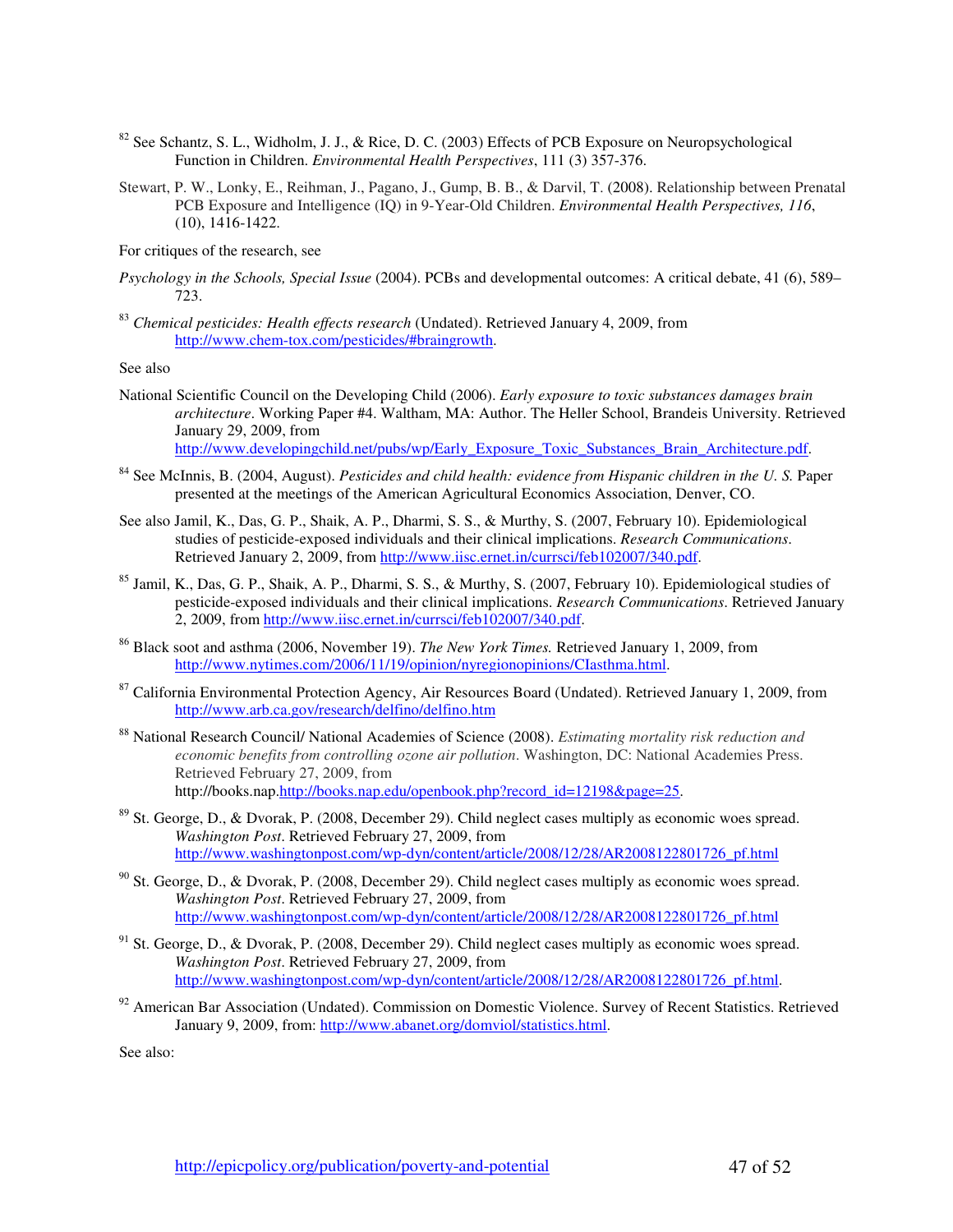- $82$  See Schantz, S. L., Widholm, J. J., & Rice, D. C. (2003) Effects of PCB Exposure on Neuropsychological Function in Children. *Environmental Health Perspectives*, 111 (3) 357-376.
- Stewart, P. W., Lonky, E., Reihman, J., Pagano, J., Gump, B. B., & Darvil, T. (2008). Relationship between Prenatal PCB Exposure and Intelligence (IQ) in 9-Year-Old Children. *Environmental Health Perspectives, 116*, (10), 1416-1422.
- For critiques of the research, see
- *Psychology in the Schools, Special Issue* (2004). PCBs and developmental outcomes: A critical debate, 41 (6), 589– 723.
- <sup>83</sup> *Chemical pesticides: Health effects research* (Undated). Retrieved January 4, 2009, from http://www.chem-tox.com/pesticides/#braingrowth.

See also

National Scientific Council on the Developing Child (2006). *Early exposure to toxic substances damages brain architecture*. Working Paper #4. Waltham, MA: Author. The Heller School, Brandeis University. Retrieved January 29, 2009, from

http://www.developingchild.net/pubs/wp/Early\_Exposure\_Toxic\_Substances\_Brain\_Architecture.pdf.

- <sup>84</sup> See McInnis, B. (2004, August). *Pesticides and child health: evidence from Hispanic children in the U. S.* Paper presented at the meetings of the American Agricultural Economics Association, Denver, CO.
- See also Jamil, K., Das, G. P., Shaik, A. P., Dharmi, S. S., & Murthy, S. (2007, February 10). Epidemiological studies of pesticide-exposed individuals and their clinical implications. *Research Communications*. Retrieved January 2, 2009, from http://www.iisc.ernet.in/currsci/feb102007/340.pdf.
- <sup>85</sup> Jamil, K., Das, G. P., Shaik, A. P., Dharmi, S. S., & Murthy, S. (2007, February 10). Epidemiological studies of pesticide-exposed individuals and their clinical implications. *Research Communications*. Retrieved January 2, 2009, from http://www.iisc.ernet.in/currsci/feb102007/340.pdf.
- <sup>86</sup> Black soot and asthma (2006, November 19). *The New York Times.* Retrieved January 1, 2009, from http://www.nytimes.com/2006/11/19/opinion/nyregionopinions/CIasthma.html.
- <sup>87</sup> California Environmental Protection Agency, Air Resources Board (Undated). Retrieved January 1, 2009, from http://www.arb.ca.gov/research/delfino/delfino.htm
- <sup>88</sup> National Research Council/ National Academies of Science (2008). *Estimating mortality risk reduction and economic benefits from controlling ozone air pollution*. Washington, DC: National Academies Press. Retrieved February 27, 2009, from http://books.nap.http://books.nap.edu/openbook.php?record\_id=12198&page=25.
- <sup>89</sup> St. George, D., & Dvorak, P. (2008, December 29). Child neglect cases multiply as economic woes spread. *Washington Post*. Retrieved February 27, 2009, from http://www.washingtonpost.com/wp-dyn/content/article/2008/12/28/AR2008122801726\_pf.html
- $90$  St. George, D., & Dvorak, P. (2008, December 29). Child neglect cases multiply as economic woes spread. *Washington Post*. Retrieved February 27, 2009, from http://www.washingtonpost.com/wp-dyn/content/article/2008/12/28/AR2008122801726\_pf.html
- <sup>91</sup> St. George, D., & Dvorak, P. (2008, December 29). Child neglect cases multiply as economic woes spread. *Washington Post*. Retrieved February 27, 2009, from http://www.washingtonpost.com/wp-dyn/content/article/2008/12/28/AR2008122801726\_pf.html.
- <sup>92</sup> American Bar Association (Undated). Commission on Domestic Violence. Survey of Recent Statistics. Retrieved January 9, 2009, from: http://www.abanet.org/domviol/statistics.html.

See also: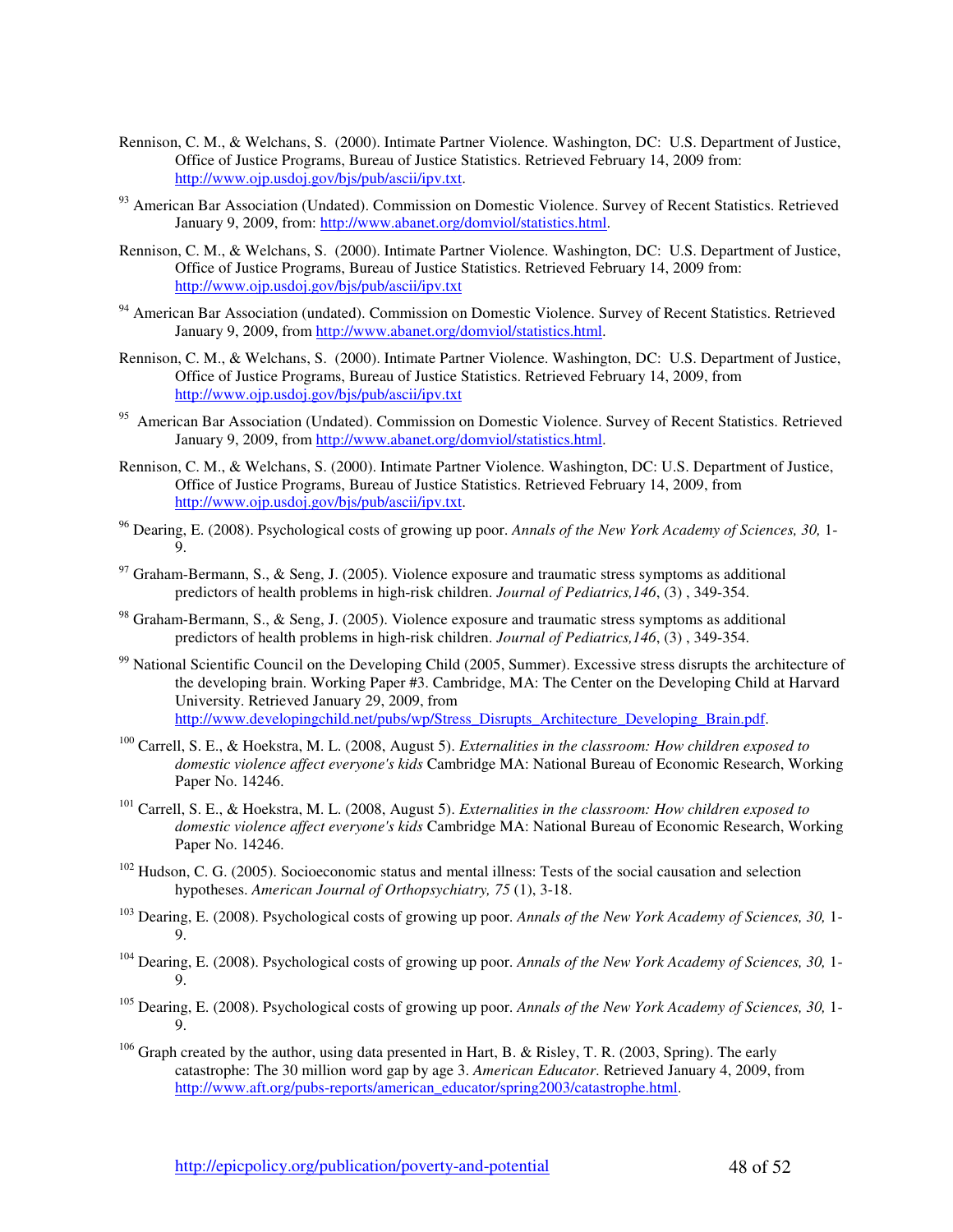- Rennison, C. M., & Welchans, S. (2000). Intimate Partner Violence. Washington, DC: U.S. Department of Justice, Office of Justice Programs, Bureau of Justice Statistics. Retrieved February 14, 2009 from: http://www.ojp.usdoj.gov/bjs/pub/ascii/ipv.txt.
- <sup>93</sup> American Bar Association (Undated). Commission on Domestic Violence. Survey of Recent Statistics. Retrieved January 9, 2009, from: http://www.abanet.org/domviol/statistics.html.
- Rennison, C. M., & Welchans, S. (2000). Intimate Partner Violence. Washington, DC: U.S. Department of Justice, Office of Justice Programs, Bureau of Justice Statistics. Retrieved February 14, 2009 from: http://www.ojp.usdoj.gov/bjs/pub/ascii/ipv.txt
- <sup>94</sup> American Bar Association (undated). Commission on Domestic Violence. Survey of Recent Statistics. Retrieved January 9, 2009, from http://www.abanet.org/domviol/statistics.html.
- Rennison, C. M., & Welchans, S. (2000). Intimate Partner Violence. Washington, DC: U.S. Department of Justice, Office of Justice Programs, Bureau of Justice Statistics. Retrieved February 14, 2009, from http://www.ojp.usdoj.gov/bjs/pub/ascii/ipv.txt
- <sup>95</sup> American Bar Association (Undated). Commission on Domestic Violence. Survey of Recent Statistics. Retrieved January 9, 2009, from http://www.abanet.org/domviol/statistics.html.
- Rennison, C. M., & Welchans, S. (2000). Intimate Partner Violence. Washington, DC: U.S. Department of Justice, Office of Justice Programs, Bureau of Justice Statistics. Retrieved February 14, 2009, from http://www.ojp.usdoj.gov/bjs/pub/ascii/ipv.txt.
- <sup>96</sup> Dearing, E. (2008). Psychological costs of growing up poor. *Annals of the New York Academy of Sciences, 30,* 1- 9.
- $97$  Graham-Bermann, S., & Seng, J. (2005). Violence exposure and traumatic stress symptoms as additional predictors of health problems in high-risk children. *Journal of Pediatrics,146*, (3) , 349-354.
- <sup>98</sup> Graham-Bermann, S., & Seng, J. (2005). Violence exposure and traumatic stress symptoms as additional predictors of health problems in high-risk children. *Journal of Pediatrics,146*, (3) , 349-354.
- <sup>99</sup> National Scientific Council on the Developing Child (2005, Summer). Excessive stress disrupts the architecture of the developing brain. Working Paper #3. Cambridge, MA: The Center on the Developing Child at Harvard University. Retrieved January 29, 2009, from http://www.developingchild.net/pubs/wp/Stress\_Disrupts\_Architecture\_Developing\_Brain.pdf.
- <sup>100</sup> Carrell, S. E., & Hoekstra, M. L. (2008, August 5). *Externalities in the classroom: How children exposed to domestic violence affect everyone's kids* Cambridge MA: National Bureau of Economic Research, Working Paper No. 14246.
- <sup>101</sup> Carrell, S. E., & Hoekstra, M. L. (2008, August 5). *Externalities in the classroom: How children exposed to domestic violence affect everyone's kids* Cambridge MA: National Bureau of Economic Research, Working Paper No. 14246.
- <sup>102</sup> Hudson, C. G. (2005). Socioeconomic status and mental illness: Tests of the social causation and selection hypotheses. *American Journal of Orthopsychiatry, 75* (1), 3-18.
- <sup>103</sup> Dearing, E. (2008). Psychological costs of growing up poor. *Annals of the New York Academy of Sciences, 30,* 1- 9.
- <sup>104</sup> Dearing, E. (2008). Psychological costs of growing up poor. *Annals of the New York Academy of Sciences, 30,* 1- 9.
- <sup>105</sup> Dearing, E. (2008). Psychological costs of growing up poor. *Annals of the New York Academy of Sciences, 30,* 1- 9.
- <sup>106</sup> Graph created by the author, using data presented in Hart, B. & Risley, T. R. (2003, Spring). The early catastrophe: The 30 million word gap by age 3. *American Educator*. Retrieved January 4, 2009, from http://www.aft.org/pubs-reports/american\_educator/spring2003/catastrophe.html.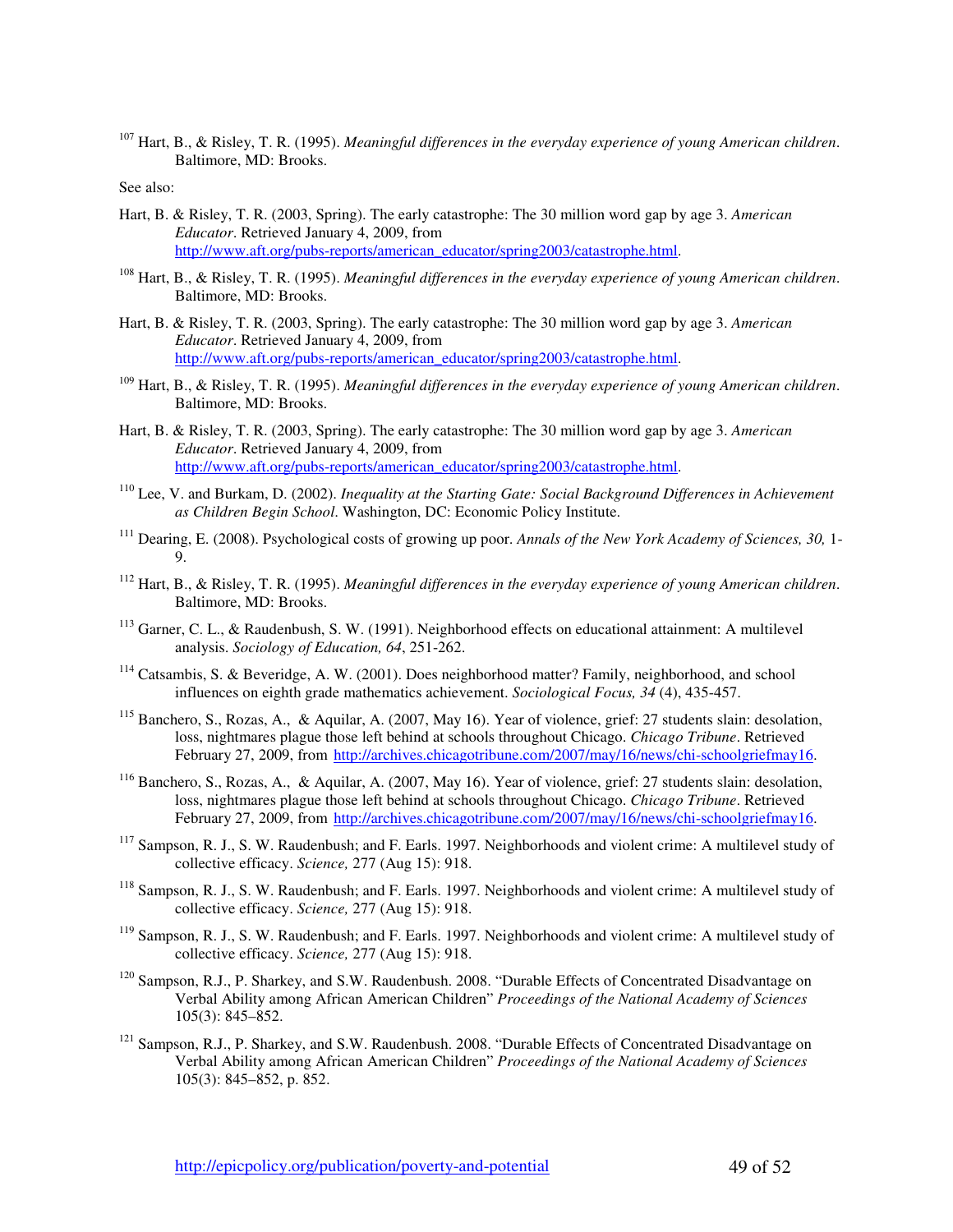<sup>107</sup> Hart, B., & Risley, T. R. (1995). *Meaningful differences in the everyday experience of young American children*. Baltimore, MD: Brooks.

#### See also:

- Hart, B. & Risley, T. R. (2003, Spring). The early catastrophe: The 30 million word gap by age 3. *American Educator*. Retrieved January 4, 2009, from http://www.aft.org/pubs-reports/american\_educator/spring2003/catastrophe.html.
- <sup>108</sup> Hart, B., & Risley, T. R. (1995). *Meaningful differences in the everyday experience of young American children*. Baltimore, MD: Brooks.
- Hart, B. & Risley, T. R. (2003, Spring). The early catastrophe: The 30 million word gap by age 3. *American Educator*. Retrieved January 4, 2009, from http://www.aft.org/pubs-reports/american\_educator/spring2003/catastrophe.html.
- <sup>109</sup> Hart, B., & Risley, T. R. (1995). *Meaningful differences in the everyday experience of young American children*. Baltimore, MD: Brooks.
- Hart, B. & Risley, T. R. (2003, Spring). The early catastrophe: The 30 million word gap by age 3. *American Educator*. Retrieved January 4, 2009, from http://www.aft.org/pubs-reports/american\_educator/spring2003/catastrophe.html.
- <sup>110</sup> Lee, V. and Burkam, D. (2002). *Inequality at the Starting Gate: Social Background Differences in Achievement as Children Begin School*. Washington, DC: Economic Policy Institute.
- <sup>111</sup> Dearing, E. (2008). Psychological costs of growing up poor. *Annals of the New York Academy of Sciences, 30,* 1- 9.
- <sup>112</sup> Hart, B., & Risley, T. R. (1995). *Meaningful differences in the everyday experience of young American children*. Baltimore, MD: Brooks.
- <sup>113</sup> Garner, C. L., & Raudenbush, S. W. (1991). Neighborhood effects on educational attainment: A multilevel analysis. *Sociology of Education, 64*, 251-262.
- <sup>114</sup> Catsambis, S. & Beveridge, A. W. (2001). Does neighborhood matter? Family, neighborhood, and school influences on eighth grade mathematics achievement. *Sociological Focus, 34* (4), 435-457.
- <sup>115</sup> Banchero, S., Rozas, A., & Aquilar, A. (2007, May 16). Year of violence, grief: 27 students slain: desolation, loss, nightmares plague those left behind at schools throughout Chicago. *Chicago Tribune*. Retrieved February 27, 2009, from http://archives.chicagotribune.com/2007/may/16/news/chi-schoolgriefmay16.
- <sup>116</sup> Banchero, S., Rozas, A., & Aquilar, A. (2007, May 16). Year of violence, grief: 27 students slain: desolation, loss, nightmares plague those left behind at schools throughout Chicago. *Chicago Tribune*. Retrieved February 27, 2009, from http://archives.chicagotribune.com/2007/may/16/news/chi-schoolgriefmay16.
- <sup>117</sup> Sampson, R. J., S. W. Raudenbush; and F. Earls. 1997. Neighborhoods and violent crime: A multilevel study of collective efficacy. *Science,* 277 (Aug 15): 918.
- <sup>118</sup> Sampson, R. J., S. W. Raudenbush; and F. Earls. 1997. Neighborhoods and violent crime: A multilevel study of collective efficacy. *Science,* 277 (Aug 15): 918.
- <sup>119</sup> Sampson, R. J., S. W. Raudenbush; and F. Earls. 1997. Neighborhoods and violent crime: A multilevel study of collective efficacy. *Science,* 277 (Aug 15): 918.
- <sup>120</sup> Sampson, R.J., P. Sharkey, and S.W. Raudenbush. 2008. "Durable Effects of Concentrated Disadvantage on Verbal Ability among African American Children" *Proceedings of the National Academy of Sciences*  105(3): 845–852.
- <sup>121</sup> Sampson, R.J., P. Sharkey, and S.W. Raudenbush. 2008. "Durable Effects of Concentrated Disadvantage on Verbal Ability among African American Children" *Proceedings of the National Academy of Sciences*  105(3): 845–852, p. 852.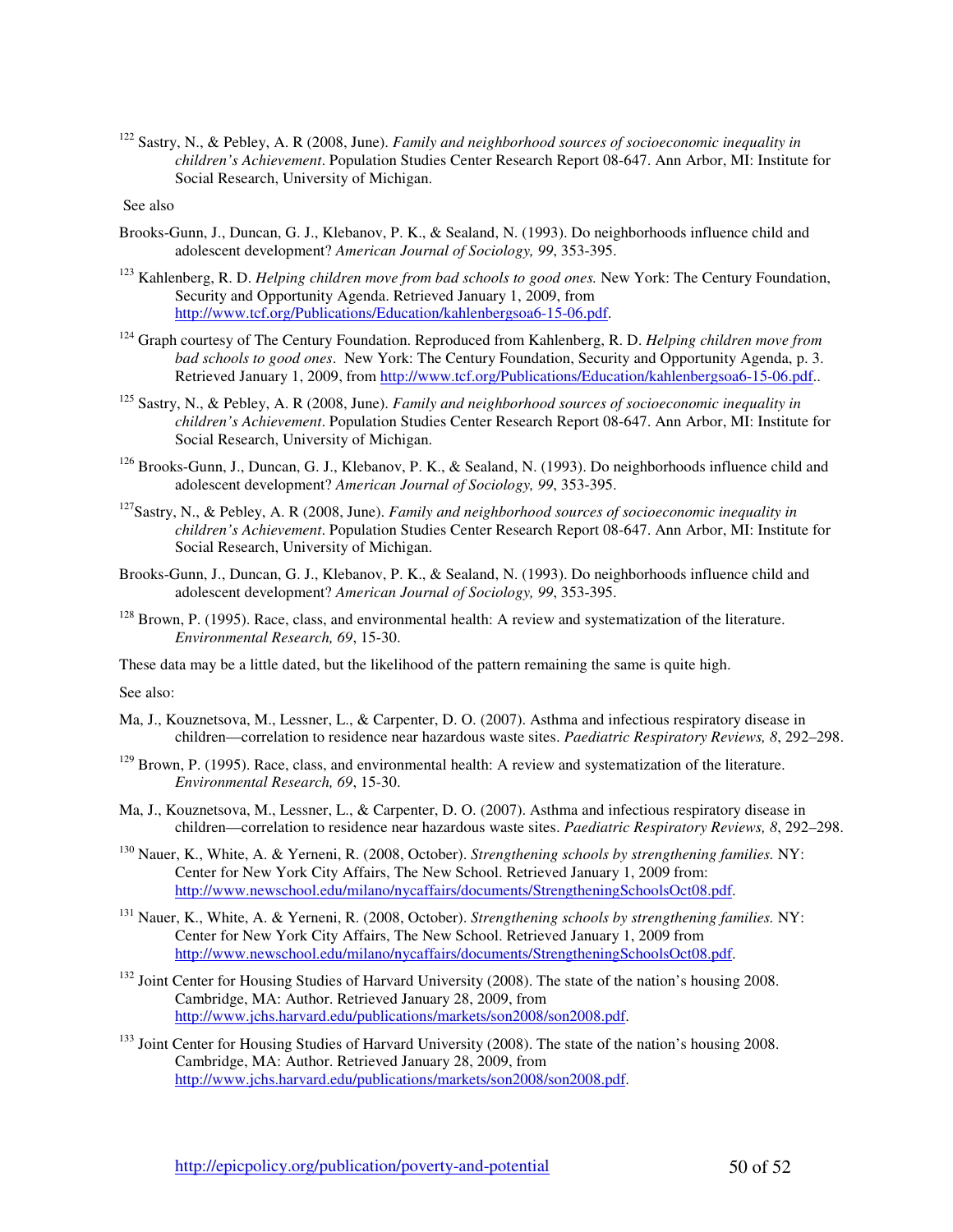<sup>122</sup> Sastry, N., & Pebley, A. R (2008, June). *Family and neighborhood sources of socioeconomic inequality in children's Achievement*. Population Studies Center Research Report 08-647. Ann Arbor, MI: Institute for Social Research, University of Michigan.

See also

- Brooks-Gunn, J., Duncan, G. J., Klebanov, P. K., & Sealand, N. (1993). Do neighborhoods influence child and adolescent development? *American Journal of Sociology, 99*, 353-395.
- <sup>123</sup> Kahlenberg, R. D. *Helping children move from bad schools to good ones.* New York: The Century Foundation, Security and Opportunity Agenda. Retrieved January 1, 2009, from http://www.tcf.org/Publications/Education/kahlenbergsoa6-15-06.pdf.
- <sup>124</sup> Graph courtesy of The Century Foundation. Reproduced from Kahlenberg, R. D. *Helping children move from bad schools to good ones*. New York: The Century Foundation, Security and Opportunity Agenda, p. 3. Retrieved January 1, 2009, from http://www.tcf.org/Publications/Education/kahlenbergsoa6-15-06.pdf..
- <sup>125</sup> Sastry, N., & Pebley, A. R (2008, June). *Family and neighborhood sources of socioeconomic inequality in children's Achievement*. Population Studies Center Research Report 08-647. Ann Arbor, MI: Institute for Social Research, University of Michigan.
- <sup>126</sup> Brooks-Gunn, J., Duncan, G. J., Klebanov, P. K., & Sealand, N. (1993). Do neighborhoods influence child and adolescent development? *American Journal of Sociology, 99*, 353-395.
- <sup>127</sup>Sastry, N., & Pebley, A. R (2008, June). *Family and neighborhood sources of socioeconomic inequality in children's Achievement*. Population Studies Center Research Report 08-647. Ann Arbor, MI: Institute for Social Research, University of Michigan.
- Brooks-Gunn, J., Duncan, G. J., Klebanov, P. K., & Sealand, N. (1993). Do neighborhoods influence child and adolescent development? *American Journal of Sociology, 99*, 353-395.
- $128$  Brown, P. (1995). Race, class, and environmental health: A review and systematization of the literature. *Environmental Research, 69*, 15-30.

These data may be a little dated, but the likelihood of the pattern remaining the same is quite high.

See also:

- Ma, J., Kouznetsova, M., Lessner, L., & Carpenter, D. O. (2007). Asthma and infectious respiratory disease in children—correlation to residence near hazardous waste sites. *Paediatric Respiratory Reviews, 8*, 292–298.
- <sup>129</sup> Brown, P. (1995). Race, class, and environmental health: A review and systematization of the literature. *Environmental Research, 69*, 15-30.
- Ma, J., Kouznetsova, M., Lessner, L., & Carpenter, D. O. (2007). Asthma and infectious respiratory disease in children—correlation to residence near hazardous waste sites. *Paediatric Respiratory Reviews, 8*, 292–298.
- <sup>130</sup> Nauer, K., White, A. & Yerneni, R. (2008, October). *Strengthening schools by strengthening families.* NY: Center for New York City Affairs, The New School. Retrieved January 1, 2009 from: http://www.newschool.edu/milano/nycaffairs/documents/StrengtheningSchoolsOct08.pdf.
- <sup>131</sup> Nauer, K., White, A. & Yerneni, R. (2008, October). *Strengthening schools by strengthening families.* NY: Center for New York City Affairs, The New School. Retrieved January 1, 2009 from http://www.newschool.edu/milano/nycaffairs/documents/StrengtheningSchoolsOct08.pdf.
- <sup>132</sup> Joint Center for Housing Studies of Harvard University (2008). The state of the nation's housing 2008. Cambridge, MA: Author. Retrieved January 28, 2009, from http://www.jchs.harvard.edu/publications/markets/son2008/son2008.pdf.
- <sup>133</sup> Joint Center for Housing Studies of Harvard University (2008). The state of the nation's housing 2008. Cambridge, MA: Author. Retrieved January 28, 2009, from http://www.jchs.harvard.edu/publications/markets/son2008/son2008.pdf.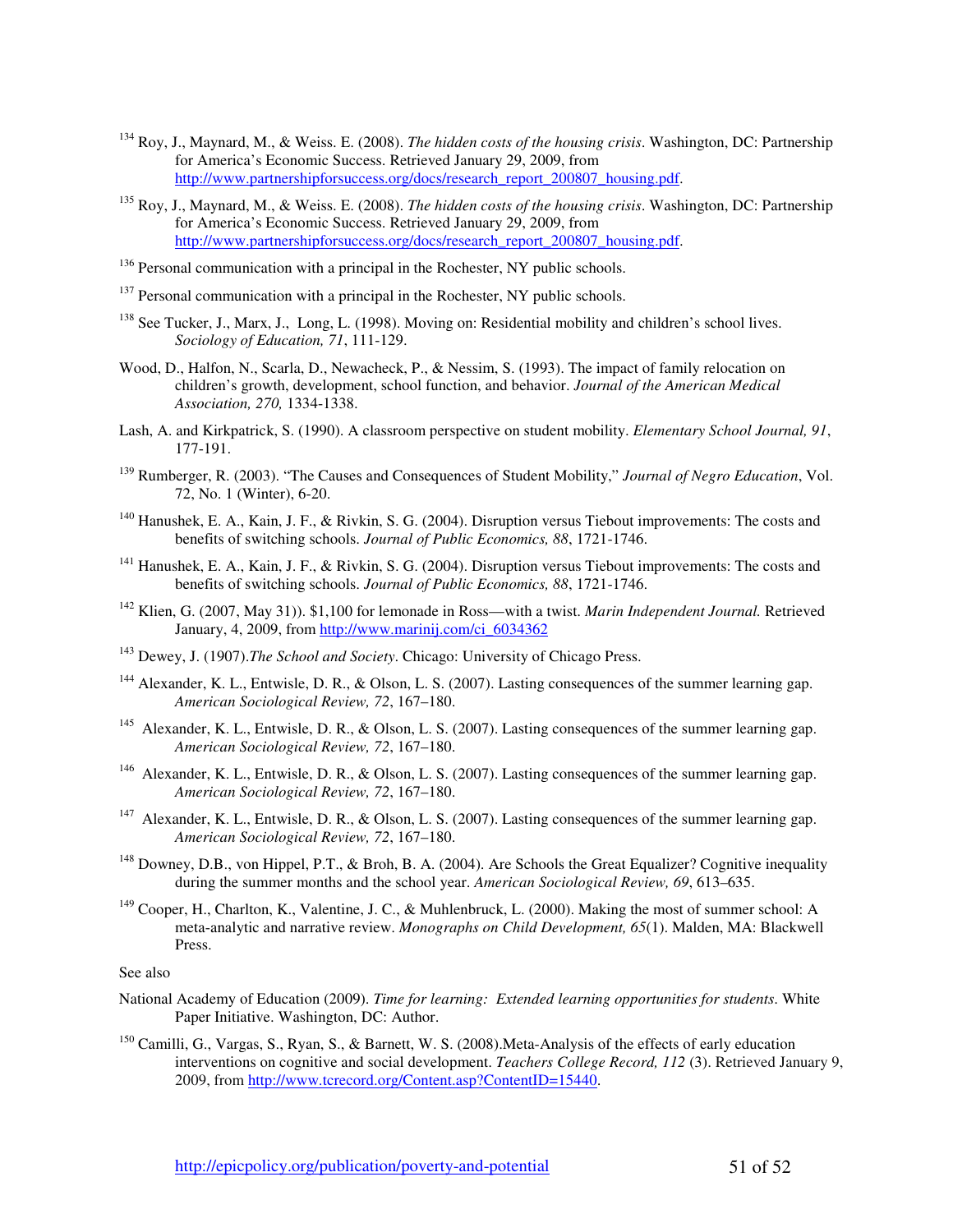- <sup>134</sup> Roy, J., Maynard, M., & Weiss. E. (2008). *The hidden costs of the housing crisis*. Washington, DC: Partnership for America's Economic Success. Retrieved January 29, 2009, from http://www.partnershipforsuccess.org/docs/research\_report\_200807\_housing.pdf.
- <sup>135</sup> Roy, J., Maynard, M., & Weiss. E. (2008). *The hidden costs of the housing crisis*. Washington, DC: Partnership for America's Economic Success. Retrieved January 29, 2009, from http://www.partnershipforsuccess.org/docs/research\_report\_200807\_housing.pdf.
- <sup>136</sup> Personal communication with a principal in the Rochester, NY public schools.

- <sup>138</sup> See Tucker, J., Marx, J., Long, L. (1998). Moving on: Residential mobility and children's school lives. *Sociology of Education, 71*, 111-129.
- Wood, D., Halfon, N., Scarla, D., Newacheck, P., & Nessim, S. (1993). The impact of family relocation on children's growth, development, school function, and behavior. *Journal of the American Medical Association, 270,* 1334-1338.
- Lash, A. and Kirkpatrick, S. (1990). A classroom perspective on student mobility. *Elementary School Journal, 91*, 177-191.
- <sup>139</sup> Rumberger, R. (2003). "The Causes and Consequences of Student Mobility," *Journal of Negro Education*, Vol. 72, No. 1 (Winter), 6-20.
- <sup>140</sup> Hanushek, E. A., Kain, J. F., & Rivkin, S. G. (2004). Disruption versus Tiebout improvements: The costs and benefits of switching schools. *Journal of Public Economics, 88*, 1721-1746.
- <sup>141</sup> Hanushek, E. A., Kain, J. F., & Rivkin, S. G. (2004). Disruption versus Tiebout improvements: The costs and benefits of switching schools. *Journal of Public Economics, 88*, 1721-1746.
- <sup>142</sup> Klien, G. (2007, May 31)). \$1,100 for lemonade in Ross—with a twist. *Marin Independent Journal.* Retrieved January, 4, 2009, from http://www.marinij.com/ci\_6034362
- <sup>143</sup> Dewey, J. (1907).*The School and Society*. Chicago: University of Chicago Press.
- <sup>144</sup> Alexander, K. L., Entwisle, D. R., & Olson, L. S. (2007). Lasting consequences of the summer learning gap. *American Sociological Review, 72*, 167–180.
- <sup>145</sup> Alexander, K. L., Entwisle, D. R., & Olson, L. S. (2007). Lasting consequences of the summer learning gap. *American Sociological Review, 72*, 167–180.
- <sup>146</sup> Alexander, K. L., Entwisle, D. R., & Olson, L. S. (2007). Lasting consequences of the summer learning gap. *American Sociological Review, 72*, 167–180.
- <sup>147</sup> Alexander, K. L., Entwisle, D. R., & Olson, L. S. (2007). Lasting consequences of the summer learning gap. *American Sociological Review, 72*, 167–180.
- <sup>148</sup> Downey, D.B., von Hippel, P.T., & Broh, B. A. (2004). Are Schools the Great Equalizer? Cognitive inequality during the summer months and the school year. *American Sociological Review, 69*, 613–635.
- <sup>149</sup> Cooper, H., Charlton, K., Valentine, J. C., & Muhlenbruck, L. (2000). Making the most of summer school: A meta-analytic and narrative review. *Monographs on Child Development, 65*(1). Malden, MA: Blackwell Press.

#### See also

- National Academy of Education (2009). *Time for learning: Extended learning opportunities for students*. White Paper Initiative. Washington, DC: Author.
- <sup>150</sup> Camilli, G., Vargas, S., Ryan, S., & Barnett, W. S. (2008).Meta-Analysis of the effects of early education interventions on cognitive and social development. *Teachers College Record, 112* (3). Retrieved January 9, 2009, from http://www.tcrecord.org/Content.asp?ContentID=15440.

 $137$  Personal communication with a principal in the Rochester, NY public schools.